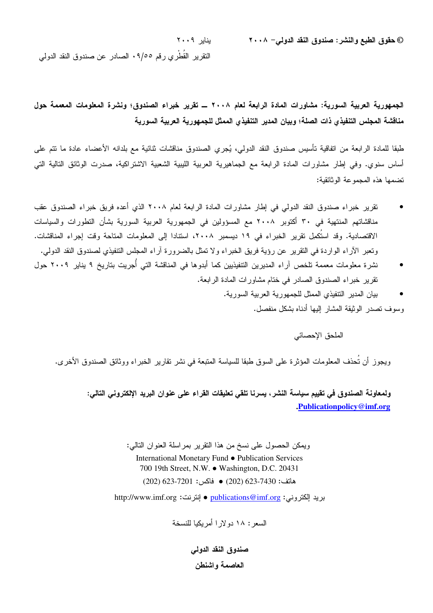@ **حقوق الطبع والنشر: صندوق النقد الدولي**– ٢٠٠٨<br>© **حقوق الطبع والنشر: صندوق النقد الدولي**– ٢٠٠٨

النقرير القطري رقم ٩/٥٥. الصادر عن صندوق النقد الدولي

الجمهورية العربية السورية: مشاورات المادة الرابعة لعام ٢٠٠٨ ـــ تقرير خبراء الصندوق؛ ونشرة المعلومات المعممة حول مناقشة المجلس التنفيذي ذات الصلة؛ وبيان المدير التنفيذي الممثل للجمهورية العربية السورية

طبقا للمادة الرابعة من اتفاقية نأسيس صندوق النقد الدولي، يُجري الصندوق مناقشات ثنائية مع بلدانه الأعضاء عادة ما نتم على أساس سنوي. وفي إطار مشاورات المادة الرابعة مع الجماهيرية العربية الليبية الشعبية الاشتراكية، صدرت الوثائق التالية التي تضمها هذه المجموعة الوثائقية:

- تقرير خبراء صندوق النقد الدولي في إطار مشاورات المادة الرابعة لعام ٢٠٠٨ الذي أعده فريق خبراء الصندوق عقب مناقشاتهم المنتهية في ٣٠ أكتوبر ٢٠٠٨ مع المسؤولين في الجمهورية العربية السورية بشأن التطورات والسياسات الاقتصادية. وقد استكمِل تقرير الخبراء في ١٩ ديسمبر ٢٠٠٨، استتادا إلى المعلومات المتاحة وقت إجراء المناقشات. ونعبر الأراء الواردة في التقرير عن رؤية فريق الخبراء ولا تمثّل بالضرورة أراء المجلس النتفيذي لصندوق النقد الدولي.
- نشرة معلومات معممة تلخص آراء المديرين التتفيذيين كما أبدوها في المناقشة التي أُجريت بتاريخ ٩ يناير ٢٠٠٩ حول تقرير خبراء الصندوق الصادر في ختام مشاورات المادة الرابعة.
	- بيان المدير النتفيذي الممثل للجمهورية العربية السورية. وسوف نصدر الوثيقة المشار إليها أدناه بشكل منفصل.

الملحق الإحصائي

ويجوز أن تحذف المعلومات المؤثرة على السوق طبقا للسياسة المتبعة في نشر نقارير الخبراء ووثائق الصندوق الأخرى.

ولمعاونـة الصندوق فـي تقييم سياسة النشر ، يسرنـا تلقى تعليقات القراء علـي عنوان البريد الإلكترونـي التالـي: **.Publicationpolicy@imf.org**

> ويمكن الحصول على نسخ من هذا النقرير بمراسلة العنوان النالي: International Monetary Fund ● Publication Services 700 19th Street, N.W. ● Washington, D.C. 20431  $(202)$  623-7201  $\bullet$  (202)  $623$ -7430  $\bullet$  (202)

بريد الكتروني: <u>publications@imf.or</u>g ● إنترنت: http://www.imf.org

السعر : ١٨ دو لار ا أمريكيا للنسخة

صندوق النقد الدول*ى* العاصمة واشنطن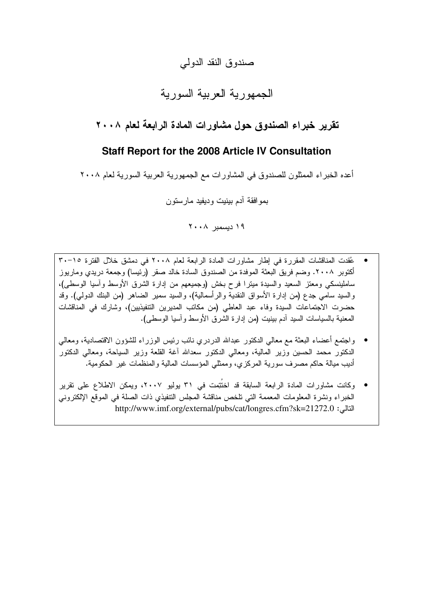## صندوق النقد الدولمي

# الجمهورية العربية السورية

## تقرير خبراء الصندوق حول مشاورات المادة الرابعة لعام ٢٠٠٨

### **Staff Report for the 2008 Article IV Consultation**

أعده الخبر اء الممثلون للصندوق في المشاور ات مع الجمهورية العربية السورية لعام ٢٠٠٨

بموافقة أدم بينيت وديفيد مارستون

۱۹ دیسمبر ۲۰۰۸

- عُقدت المناقشات المقررة في إطار مشاورات المادة الرابعة لعام ٢٠٠٨ في دمشق خلال الفترة ١٥-٣٠ أكتوبر ٢٠٠٨. وضم فريق البعثة الموفدة من الصندوق السادة خالد صقر (رئيسا) وجمعة دريدي وماريوز ساملينسكي ومعتز السعيد والسيدة ميترًا فرح بخش (وجميعهم من إدارة الشرق الأوسط وأسيا الوسطى)، والسيد سامي جدع (من إدارة الأسواق النقدية والرأسمالية)، والسيد سمير الضاهر (من البنك الدولي). وقد حضرت الاجتماعات السيدة وفاء عبد العاطي (من مكاتب المديرين التتفيذيين)، وشارك في المناقشات المعنية بالسياسات السيد أدم بينيت (من إدارة الشرق الأوسط وأسيا الوسطى).
- واجتمع أعضاء البعثة مع معالي الدكتور عبدالله الدردري نائب رئيس الوزراء للشؤون الاقتصادية، ومعالي الدكتور محمد الحسين وزير المالية، ومعالي الدكتور سعدالله أغة القلعة وزير السياحة، ومعالي الدكتور أديب ميالة حاكم مصرف سورية المركزي، وممثلي المؤسسات المالية والمنظمات غير الحكومية.
- وكانت مشاورات المادة الرابعة السابقة قد اختُتِمت في ٣١ بولبو ٢٠٠٧، ويمكن الاطلاع على تقرير الخبراء ونشرة المعلومات المعممة التي تلخص مناقشة المجلس التنفيذي ذات الصلة في الموقع الإلكتروني http://www.imf.org/external/pubs/cat/longres.cfm?sk=21272.0 :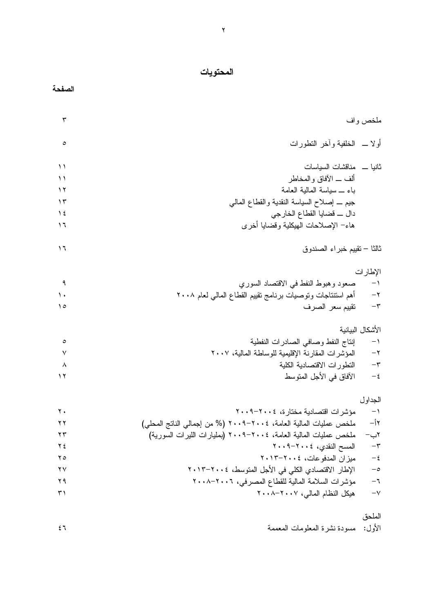#### المحتويات

| ŋ<br>$\bullet$ |
|----------------|
|----------------|

| $\mathbf{\breve{v}}$ |                                                                   | ملخص واف          |
|----------------------|-------------------------------------------------------------------|-------------------|
| ٥                    | أولا __ الخلفية وأخر النطورات                                     |                   |
| ۱۱                   | ثانيا __ مناقشات السياسات                                         |                   |
| $\setminus$          | ألف ـــ الأفاق والمخاطر                                           |                   |
| ۲ (                  | باء _ سياسة المالية العامة                                        |                   |
| $\gamma$             | جيم _ إصلاح السياسة النقدية والقطاع المالمي                       |                   |
| $\frac{1}{2}$        | دال ـــ قضايا القطاع الخارجي                                      |                   |
| 1٦                   | هاء– الإصلاحات الهيكلية وقضايا أخرى                               |                   |
|                      |                                                                   |                   |
| ۱٦                   | ثالثا – نقييم خبراء الصندوق                                       |                   |
|                      |                                                                   | الإطارات          |
| ٩                    | صعود وهبوط النفط في الاقتصاد السوري                               | $\rightarrow$     |
| ١.                   | أهم استتناجات ونوصيات برنامج نقييم القطاع المالبي لعام ٢٠٠٨       | $-\tau$           |
| ه ۱                  | نقييم سعر الصرف                                                   | $-\tau$           |
|                      |                                                                   | الأشكال البيانية  |
| $\circ$              | إنتاج النفط وصافى الصادرات النفطية                                | $\rightarrow$     |
| ٧                    | المؤشرات المقارنة الإقليمية للوساطة المالية، ٢٠٠٧                 | $-\tau$           |
| ٨                    | النطورات الاقتصادية الكلية                                        | $-\tau$           |
| ۲ (                  | الآفاق في الأجل المتوسط                                           | $-\,\xi$          |
|                      |                                                                   | الجداول           |
| $\mathbf{y}$ .       | مؤشرات اقتصادية مختارة، ٢٠٠٤–٢٠٠٩                                 | $-1$              |
| $\mathbf{y}$         | ملخص عمليات المالية العامة، ٢٠٠٤-٢٠٠٩ (% من إجمالي الناتج المحلي) | $-\mathfrak{f}$ ۲ |
| ۲۳                   | ملخص عمليات المالية العامة، ٢٠٠٤-٢٠٠٩ (بمليارات الليرات السورية)  | ۲ب−               |
| ۲٤                   | المسح النقدي، ٢٠٠٤-٢٠٠٩                                           | $-\mathfrak{r}$   |
| $\mathbf{y}$         | ميزان المدفوعات، ٢٠٠٤-٢٠١٣                                        | $-\,\xi$          |

| $\mathsf{Y} \mathsf{V}$ | الإطار الاقتصادي الكلي في الأجل المتوسط، ٢٠١٤–٢٠١٣ | $-\circ$ |
|-------------------------|----------------------------------------------------|----------|
| 79 A                    | مؤشرات السلامة المالية للقطاع المصرفي، ٢٠٠٦–٢٠٠٨   |          |
|                         | هيكل النظام المالبي، ٢٠٠٧–٢٠٠٨                     | $-\vee$  |

الملحق

الأول: مسودة نشرة المعلومات المعم

 $\epsilon$ مة المستقبل المستقبل المستقبل المستقبل المستقبل المستقبل المستقبل المستقبل المستقبل المستقبل المستقبل المستقبل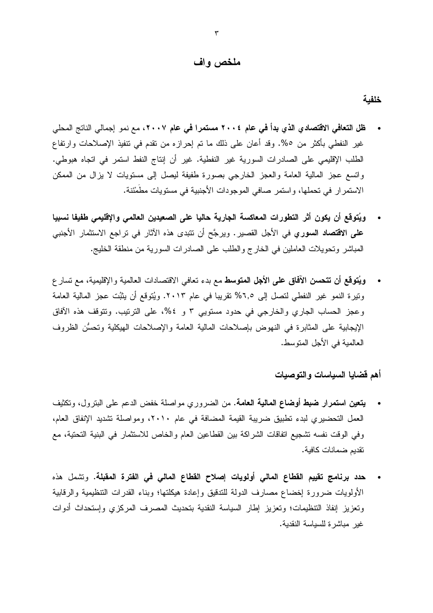#### ملخص واف

خلفبة

- **ظل التعافي الاقتصادي الذي بدأ في عام ٢٠٠٤ مستمرا في عام ٢٠٠٧،** مع نمو إجمالي الناتج المحلي غير النفطي بأكثر من ٥%. وقد أعان على ذلك ما تم إحرازه من نقدم في نتفيذ الإصلاحات وارتفاع الطلب الإقليمي على الصـادرات السورية غير النفطية. غير أن إنتاج النفط استمر في اتجاه هبوطي. واتسع عجز المالية العامة والعجز الخارجي بصورة طفيفة ليصل إلى مستويات لا يزال من الممكن الاستمرار في تحملها، واستمر صافي الموجودات الأجنبية في مستويات مطمئنة.
- ويُتوقع أن يكون أثر التطورات المعاكسة الجارية حاليا على الصعيدين العالمي والإقليمي طفيفا نسبيا  $\bullet$ **على الاقتصاد السوري ف**ي الأجل القصير. ويرجَّح أن نتبدى هذه الآثار في نراجع الاستثمار الأجنبي المباشر وتحويلات العاملين في الخارج والطلب على الصادرات السورية من منطقة الخليج.
- ويُتوقع أن تتحسن الآفاق على الأجل المتوسط مع بدء نعافي الاقتصادات العالمية والإقليمية، مع نسار ع ونيرة النمو غير النفطي لنصل إلى ٦,٥% نقريبا في عام ٢٠١٣. ويُتوقع أن يثبُت عجز المالية العامة وعجز الحساب الجاري والخارجي في حدود مستويي ٣ و ٥٤%، على الترنيب. ونتوقف هذه الآفاق الإيجابية على المثابرة في النهوض بإصلاحات المالية العامة والإصلاحات الهيكلية وتحسُّن الظروف العالمية في الأجل المتوسط.

أهم قضايا السياسات والتوصيات

- **يتعين استمرار ضبط أوضاع المالية العامة.** من الضروري مواصلة خفض الدعم على البترول، وتكثيف العمل التحضيري لبدء تطبيق ضريبة القيمة المضافة في عام ٢٠١٠، ومواصلة تشديد الإنفاق العام، وفي الوقت نفسه تشجيع اتفاقات الشراكة بين القطاعين العام والخاص للاستثمار في البنية التحتية، مع تقديم ضمانات كافية.
- حدد برنامج تقييم القطاع المالي أولويات إصلاح القطاع المالي في الفترة المقبلة. وتشمل هذه الأولويات ضرورة إخضاع مصارف الدولة للتدقيق وإعادة هيكلتها؛ وبناء القدرات التنظيمية والرقابية وتعزيز إنفاذ التنظيمات؛ وتعزيز إطار السياسة النقدية بتحديث المصرف المركزي وإستحداث أدوات غير مباشرة للسياسة النقدية.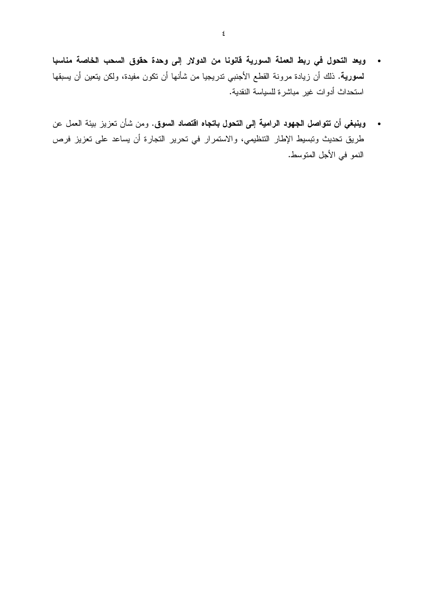- ويعد التحول في ربط العملة السورية قانونا من الدولار إلى وحدة حقوق السحب الخاصة مناسبا **لسورية.** ذلك أن زيادة مرونة القطع الأجنبي ندريجيا من شأنها أن تكون مفيدة، ولكن يتعين أن يسبقها استحداث أدوات غير مباشرة للسياسة النقدية.
- وينبغي أن تتواصل الجهود الرامية إلى التحول باتجاه اقتصاد السوق. ومن شأن تعزيز بيئة العمل عن  $\bullet$ طريق تحديث وتبسيط الإطار التتظيمي، والاستمرار في تحرير التجارة أن يساعد على تعزيز فرص النمو في الأجل المتوسط.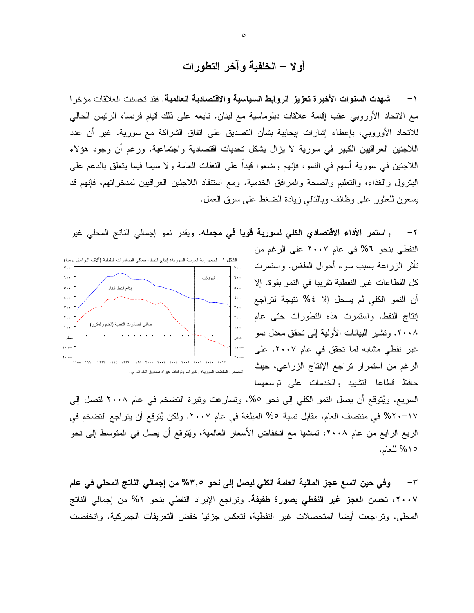أولا – الخلفية وآخر التطورات

١ – شهدت السنوات الأخير ة تعزيز الروابط السياسية والاقتصادية العالمية. فقد تحسنت العلاقات مؤخر ا مع الاتحاد الأوروبي عقب إقامة علاقات دبلوماسية مع لبنان. تابعه على ذلك قيام فرنسا، الرئيس الحالي للاتحاد الأوروبي، بإعطاء إشارات إيجابية بشأن التصديق على انفاق الشراكة مع سورية. غير أن عدد اللاجئين العراقيين الكبير في سورية لا يزال يشكل نحديات اقتصادية واجتماعية. ورغم أن وجود هؤلاء اللاجئين في سورية أسهم في النمو، فإنهم وضعوا قيدا على النفقات العامة ولا سيما فيما يتعلق بالدعم على البترول والغذاء، والتعليم والصحة والمرافق الخدمية. ومع استنفاد اللاجئين العراقيين لمدخراتهم، فإنهم قد يسعون للعثور على وظائف وبالنالبي زيادة الضغط على سوق العمل.

٢– وا**ستمر الأداء الاقتصادي الكلي لسورية قويا في مجمله. ويقدر نمو إجمالي الناتج المحلي غير** 



النفطي بنحو ٢% في عام ٢٠٠٧ على الرغم من نَأْثَرِ الزِّرِاعَةِ بِسِبِبِ سوءٍ أَحوِالِ الطَّقْسِ. واستَمرت كل القطاعات غير النفطية تقريبا في النمو بقوة. إلا أن النمو الكلي لم يسجل إلا ٤% نتيجة لتراجع إنتاج النفط. واستمرت هذه التطورات حتى عام ٢٠٠٨. وتشير البيانات الأولية إلى تحقق معدل نمو غیر نفطی مشابه لما تحقق فی عام ۲۰۰۷، علی الرغم من استمرار تراجع الإنتاج الزراعي، حيث حافظ فطاعا التشييد والخدمات على نوسعهما

السريع. ويُتوقع أن يصل النمو الكلَّى إلى نحو ٥%. وتسارعت ونيرة النضخم في عام ٢٠٠٨ لنصل إلى ١٧-٢٠ك% في منتصف العام، مقابل نسبة ٥% المبلغة في عام ٢٠٠٧. ولكن يُتوقع أن يتراجع التضخم في الربع الرابع من عام ٢٠٠٨، تماشيا مع انخفاض الأسعار العالمية، ويُتوقع أن يصل في المتوسط إلى نحو ١٥٪ للعام.

وفي حين اتسع عجز المالية العامة الكلي ليصل إلى نحو ٣,٥% من إجمالي الناتج المحلي في عام  $-{\bf r}$ ٢٠٠٧، تحسن العجز غير النفطي بصورة طفيفة. وتراجع الإيراد النفطي بنحو ٢% من إجمالي الناتج المحلَّى. وتراجعت أيضا المتحصلات غير النفطية، لتعكس جزئيا خفض التعريفات الجمركية. وانخفضت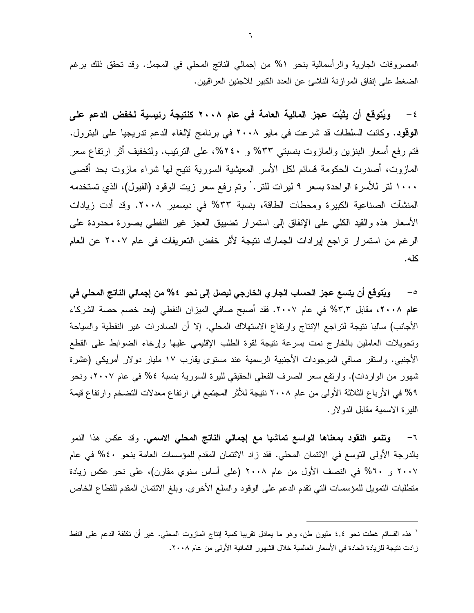المصروفات الجارية والرأسمالية بنحو ٥% من إجمالي الناتج المحلي في المجمل. وقد تحقق ذلك برغم الضغط على إنفاق الموازنة الناشئ عن العدد الكبير للاجئين العراقيين.

٤ – ويُتوقع أن يثبُت عجز المالية العامة في عام ٢٠٠٨ كنتيجة رئيسية لخفض الدعم على الوقود. وكانت السلطات قد شرعت في مايو ٢٠٠٨ في برنامج لإلغاء الدعم تدريجيا على البترول. فتم رفع أسعار البنزين والمازوت بنسبتي ٣٣% و ٢٤٠%، على الترتيب. ولتخفيف أثر ارتفاع سعر المازوت، أصدرت الحكومة قسائم لكل الأسر المعيشية السورية نتيح لمها شراء مازوت بحد أقصبي ١٠٠٠ لتر للأسرة الواحدة بسعر ٩ ليرات للنر. ' وتم رفع سعر زيت الوقود (الفيول)، الذي تستخدمه المنشآت الصناعية الكبيرة ومحطات الطاقة، بنسبة ٣٣% في ديسمبر ٢٠٠٨. وقد أدت زيادات الأسعار هذه والقيد الكلبي على الإنفاق إلى استمرار تضبيق العجز غير النفطي بصورة محدودة على الرغم من استمرار تراجع إيرادات الجمارك نتيجة لأثر خفض التعريفات في عام ٢٠٠٧ عن العام كله.

ويُتوقع أن يتسع عجز الحساب الجار ٍ الخارجي ليصل إلى نحو ٤ % من إجمالي الناتج المحلي في  $-$ 0 عام ٢٠٠٨، مقابل ٣,٣% في عام ٢٠٠٧. فقد أصبح صافي الميزان النفطي (بعد خصم حصة الشركاء الأجانب) سالبا نتيجة لتراجع الإنتاج وارتفاع الاستهلاك المحلي. إلا أن الصادرات غير النفطية والسياحة وتحويلات العاملين بالخارج نمت بسرعة نتيجة لقوة الطلب الإقليمي عليها وإرخاء الضوابط على القطع الأجنبي. واستقر صافي الموجودات الأجنبية الرسمية عند مستوى يقارب ١٧ مليار دولار أمريكي (عشرة شهور من الواردات). وارتفع سعر الصرف الفعلي الحقيقي لليرة السورية بنسبة ٤% في عام ٢٠٠٧، ونحو ٩% في الأرباع الثلاثة الأولى من عام ٢٠٠٨ نتيجة للأثر المجتمِع في ارتفاع معدلات التضخم وارتفاع قيمة الليرة الاسمية مقابل الدولار.

**وتنمو النقود بمعناها الواسع تماشيا مع إجمالي الناتج المحلي الاسمي.** وقد عكس هذا النمو  $-7$ بالدرجة الأولى النوسع في الائتمان المحلي. فقد زاد الائتمان المقدم للمؤسسات العامة بنحو ٤٠% في عام ٢٠٠٧ و ٢٠% في النصف الأول من عام ٢٠٠٨ (على أساس سنوي مقارن)، على نحو عكس زيادة منطلبات النمويل للمؤسسات التي نقدم الدعم على الوقود والسلع الأخرى. وبلغ الائتمان المقدم للقطاع الخاص

<sup>&#</sup>x27; هذه القسائع غطت نحو ٤,٤ مليون طن، وهو ما يعادل نقريبا كمية إنتاج المازوت المحلي. غير أن نكلفة الدعم على النفط زادت نتيجة للزيادة الحادة في الأسعار العالمية خلال الشهور الثمانية الأولى من عام ٢٠٠٨.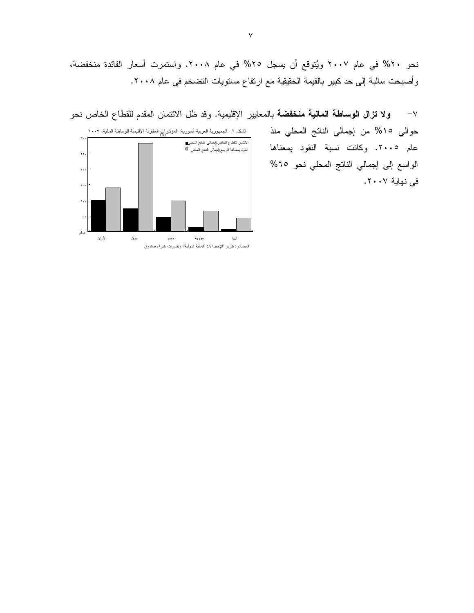نحو ٢٠% في عام ٢٠٠٧ ويُتوقع أن يسجل ٢٥% في عام ٢٠٠٨. واستمرت أسعار الفائدة منخفضة، وأصبحت سالبة إلى حد كبير بالقيمة الحقيقية مع ارتفاع مستويات التضخم في عام ٢٠٠٨.

ولا تزال الوساطة المالية منخفضة بالمعايير الإقليمية. وقد ظل الائتمان المقدم للقطاع الخاص نحو  $-\vee$ حوالي ١٥% من إجمالي الناتج المحلي منذ الشكل ٢- الجمهورية العربية السورية: المؤشرات المقارنة الإقليمية للوساطة المالية، ٢٠٠٧ الانتمان للقطاع الخاص/إجمالي النانتج المحلي■<br>النقود بمعناها الواسع/إجمالي النانتج المحلي عام ٢٠٠٥. وكانت نسبة النقود بمعناها  $\mathbf{y}$ . الواسع إلى إجمالي الناتج المحلي نحو ٦٥%  $\mathbf{r}$ . في نهاية ٢٠٠٧. ١ö

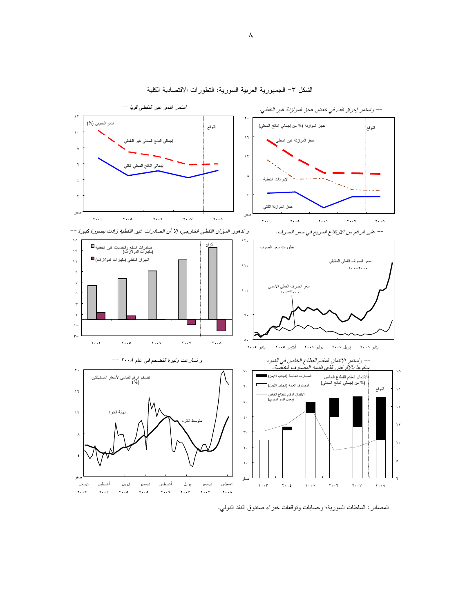

الشكل ٣– الجمهورية العربية السورية: النطورات الاقتصادية الكلية

المصادر : السلطات السورية؛ وحسابات ونوقعات خبر اء صندوق النقد الدولمي.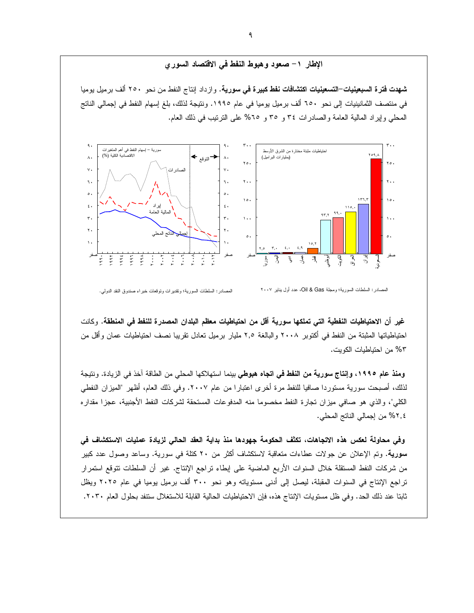#### الإطار ١– صعود وهبوط النفط في الاقتصاد السوري

**شهدت فترة السبعينيات–التسعينيات اكتشافات نفط كبيرة في سورية.** وازداد إنتاج النفط من نحو ٢٥٠ ألف برميل يوميا في منتصف الثمانينيات إلى نحو ٦٥٠ ألف برميل يوميا في عام ١٩٩٥. ونتيجة لذلك، بلغ إسهام النفط في إجمالي الناتج المُعطى وإيراد المالية العامة والصادرات ٣٤ و ٣٥ و ٢٥% على الترتيب في ذلك العام.



المصادر : السلطات السورية؛ وتقديرات وتوقعات خبراء صندوق النقد الدولي.

غير أن الاحتياطيات النفطية التي تملكها سورية أقل من احتياطيات معظم البلدان المصدرة للنفط في المنطقة. وكانت احتياطياتها المثبتة من النفط في أكتوبر ٢٠٠٨ والبالغة ٢,٥ مليار برميل تعادل تقريبا نصف احتياطيات عمان وأقل من 6٣ من احتياطيات الكويت.

ومنذ عام ١٩٩٥، وإنتاج سورية من النفط في اتجاه هبوطي بينما استهلاكها المحلي من الطاقة آخذ في الزيادة. ونتيجة لذلك، أصبحت سورية مستوردا صافيا للنفط مرة أخرى اعتبارا من عام ٢٠٠٧. وفي ذلك العام، أظهر "المبزان النفطي الكلي"، والذي هو صافي ميزان تجارة النفط مخصوما منه المدفوعات المستحقة لشركات النفط الأجنبية، عجزا مقداره ٢,٤% من إجمالي الناتج المحلي.

وفي محاولة لعكس هذه الاتجاهات، تكثَّف الحكومة جهودها منذ بداية العقد الحالي لزيادة عمليات الاستكشاف في سورية. وتم الإعلان عن جولات عطاءات متعاقبة لاستكشاف أكثر من ٢٠ كتلة في سورية. وساعد وصول عدد كبير من شركات النفط المستقلة خلال السنوات الأربع الماضية على إبطاء نراجع الإنتاج. غير أن السلطات نتوقع استمرار تراجع الإنتاج في السنوات المقبلة، ليصل إلى أدنى مستوياته وهو نحو ٣٠٠ ألف برميل يوميا في عام ٢٠٢٥ ويظل ثابتا عند ذلك الحد. وفي ظل مستويات الإنتاج هذه، فإن الاحتياطيات الحالية القابلة للاستغلال ستنفد بحلول العام ٢٠٣٠.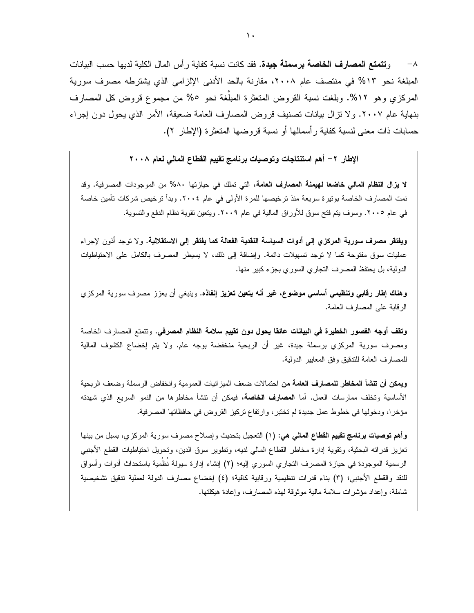٨− و **تتمتع المصار ف الخاصة بر سملة جيدة.** فقد كانت نسبة كفابة ر أس المال الكلبة لدبها حسب الببانات المبلغة نحو ١٣% في منتصف عام ٢٠٠٨، مقارنة بالحد الأدنى الإلزامي الذي يشترطه مصرف سورية المركزي وهو ١٢%. وبلغت نسبة القروض المتعثرة المبلَّغة نحو ٥% من مجموع قروض كل المصارف بنهاية عام ٢٠٠٧. ولا نزال بيانات تصنيف قروض المصارف العامة ضعيفة، الأمر الذي يحول دون إجراء حسابات ذات معنى لنسبة كفاية ر أسمالها أو نسبة قر و ضبها المتعثر ة (الإطار ٢).

الإطار ٢– أهم استنتاجات وتوصيات برنامج تقييم القطاع المالي لعام ٢٠٠٨

لا يزال النظام المالي خاضعا لهيمنة المصارف العامة، التي تملك في حيازتها ٨٠% من الموجودات المصرفية. وقد نمت المصارف الخاصة بونيرة سريعة منذ ترخيصها للمرة الأولى في عام ٢٠٠٤. وبدأ ترخيص شركات تأمين خاصة في عام ٢٠٠٥. وسوف بنم فتح سوق للأوراق المالية في عام ٢٠٠٩. ويتعين نقوية نظام الدفع والنسوية.

**ويفتقر مصرف سورية المركزي إلى أدوات السياسة النقدية الفعالة كما يفتقر إلى الاستقلالية.** ولا توجد أذون لإجراء عمليات سوق مفتوحة كما لا نوجد تسهيلات دائمة. وإضافة إلى ذلك، لا يسيطر المصرف بالكامل على الاحتياطيات الدولية، بل يحتفظ المصرف التجاري السوري بجزء كبير منها.

**وهناك إطار رقابي وتنظيمي أساسي موضوع، غير أنه يتعين تعزيز إنفاذه.** وينبغي أن يعزز مصرف سورية المركزي الرقابة على المصارف العامة.

وتقف أوجه القصور الخطيرة في البيانات عائقا يحول دون تقييم سلامة النظام المصرفي. وتتمتع المصارف الخاصة ومصرف سورية المركزي برسملة جيدة، غير أن الربحية منخفضة بوجه عام. ولا يتم إخضاع الكشوف المالية للمصارف العامة للندقيق وفق المعابير الدولية.

ويعكن أن تنشأ المخاطر للمصارف العامة من احتمالات ضعف الميز انيات العمومية وانخفاض الرسملة وضعف الربحية الأساسية وتخلف ممارسات العمل. أما ا**لمصارف الخاصة**، فيمكن أن تتشأ مخاطرها من النمو السريع الذي شهدته مؤخرا، ودخولها في خطوط عمل جديدة لم تختبر ، وارتفاع تركيز القروض في حافظاتها المصرفية.

**وأهم توصيات برنامج تقييم القطاع المالمي هي: (١) النَعجيل بنَحديث** وإصلاح مصرف سورية المركزي، بسبل من بينها تعزيز قدراته البحثية، وتقوية إدارة مخاطر القطاع المالي لديه، وتطوير سوق الدين، وتحويل احتياطيات القطع الأجنبي الرسمية الموجودة في حيازة المصرف النجاري السوري إليه؛ (٢) إنشاء إدارة سيولة نُظْمَية باستحداث أدوات وأسواق للنقد والقطع الأجنبي؛ (٣) بناء قدرات نتظيمية ورقابية كافية؛ (٤) إخضاع مصارف الدولة لعملية ندقيق تشخيصية شاملة، وإعداد مؤشرات سلامة مالية موثوقة لهذه المصارف، وإعادة هيكلتها.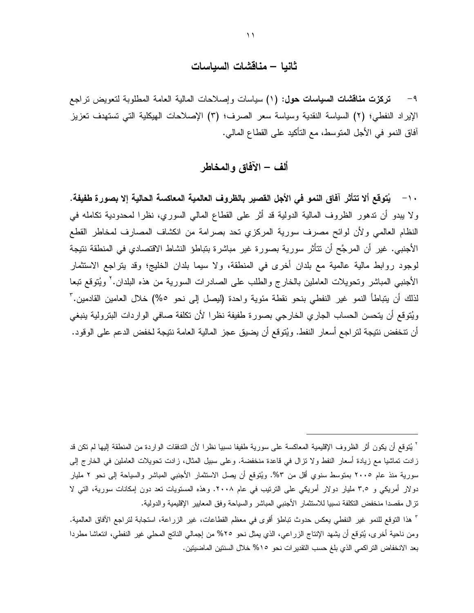### ثانيا – مناقشات السياسات

تركزت مناقشات السياسات حول: (١) سياسات وإصلاحات المالية العامة المطلوبة لتعويض تراجع  $-9$ الإيراد النفطي؛ (٢) السياسة النقدية وسياسة سعر الصرف؛ (٣) الإصلاحات الهيكلية التي تستهدف تعزيز أفاق النمو في الأجل المنوسط، مع النأكيد على القطاع المالي.

### ألف – الآفاق والمخاطر

١٠– يُتوقع ألا تتأثَّر آفاق النمو في الأجل القصير بالظروف العالمية المعاكسة الحالية إلا بصورة طفيفة. ولا يبدو أن ندهور الظروف المالية الدولية قد أثر على القطاع المالي السوري، نظرا لمحدودية نكامله في النظام العالمي ولأن لوائح مصرف سورية المركزي نحد بصرامة من انكشاف المصارف لمخاطر القطع الأجنبي. غير أن المرجَّح أن نتأثَّر سورية بصورة غير مباشرة بتباطؤ النشاط الاقتصادي في المنطقة نتيجة لوجود روابط مالية عالمية مع بلدان أخرى في المنطقة، ولا سيما بلدان الخليج؛ وقد يتراجع الاستثمار الأجنبي المباشر وتحويلات العاملين بالخارج والطلب على الصادرات السورية من هذه البلدان.<sup>7</sup> ويُتوقع تبعا لذلك أن يتباطأ النمو غير النفطي بنحو نقطة مئوية واحدة (ليصل إلى نحو ٥%) خلال العامين القادمين." ويُتوقع أن يتحسن الحساب الجاري الخارجي بصورة طفيفة نظرا لأن تكلفة صافى الواردات البترولية ينبغي أن نتخفض نتيجة لتراجع أسعار النفط. ويُتوقع أن يضيق عجز المالية العامة نتيجة لخفض الدعم على الوقود.

<sup>`</sup> يُتوقع أن يكون أثر الظروف الإقليمية المعاكسة على سورية طفيفا نسبيا نظرا لأن التدفقات الواردة من المنطقة إليها لم تكن قد زادت تماشيا مع زيادة أسعار النفط ولا نزال في قاعدة منخفضة. وعلى سبيل المثال، زادت نحويلات العاملين في الخارج إلى سورية منذ عام ٢٠٠٥ بمتوسط سنوي أقل من ٣%. ويُتوقع أن يصل الاستثمار الأجنبي المباشر والسياحة إلى نحو ٢ مليار دولار أمريكي و ٣٫٥ مليار دولار أمريكي على الترتيب في عام ٢٠٠٨. وهذه المستويات تعد دون إمكانات سورية، التي لا نزال مقصدا منخفض النكلفة نسبيا للاستثمار الأجنبي المباشر والسياحة وفق المعايير الإقليمية والدولية.

<sup>&</sup>lt;sup>7</sup> هذا التوقع للنمو غير النفطي يعكس حدوث تباطؤ أقوى في معظم القطاعات، غير الزراعة، استجابة لتراجع الآفاق العالمية. ومن ناحية أخرى، يُتوقع أن يشهد الإنتاج الزراعي، الذي يمثل نحو ٢٥% من إجمالي الناتج المحلي غير النفطي، انتعاشا مطردا بعد الانخفاض التراكمي الذي بلغ حسب التقدير ات نحو 10% خلال السنتين الماضيتين.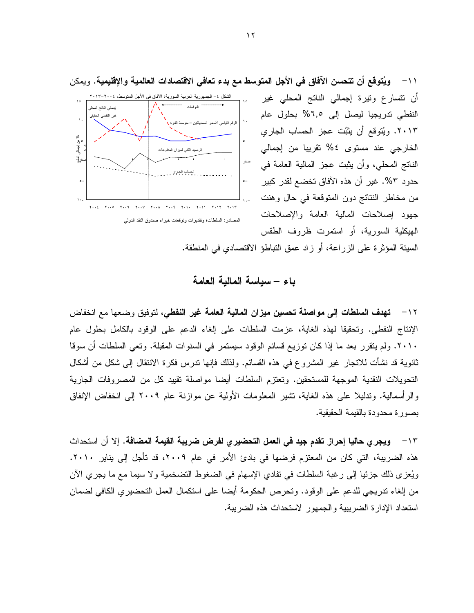

أن نتسارع ونيرة إجمالي الناتج المحلي غير النفطي تدريجيا ليصل إلى ٦,٥% بحلول عام ٢٠١٣. ويُتوقع أن يثبُت عجز الحساب الجاري الخارجي عند مستوى ٤% تقريبا من إجمالي الناتج المحلي، وأن يثبت عجز المالية العامة في حدود ٥٣. غير أن هذه الآفاق تخضع لقدر كبير من مخاطر النتائج دون المتوقعة في حال وهنت جهود إصلاحات المالية العامة والإصلاحات الهيكلية السورية، أو استمرت ظروف الطقس

السيئة المؤثِّرة على الزراعة، أو زاد عمق التباطؤ الاقتصادي في المنطقة.

باء – سباسة المالية العامة

١٢ – تهدف السلطات إلى مواصلة تحسين ميزان المالية العامة غير النفطي، لتوفيق وضعها مع انخفاض الإنتاج النفطي. وتحقيقا لهذه الغاية، عزمت السلطات على إلغاء الدعم على الوقود بالكامل بحلول عام ٢٠١٠. ولم يتقرر بعد ما إذا كان توزيع قسائم الوقود سيستمر في السنوات المقبلة. وتعي السلطات أن سوقا ثانوية قد نشأت للاتجار غير المشروع في هذه القسائم. ولذلك فإنها ندرس فكرة الانتقال إلى شكل من أشكال التحويلات النقدية الموجهة للمستحقين. وتعتزم السلطات أيضا مواصلة نقييد كل من المصروفات الجارية والرأسمالية. وتدليلا على هذه الغاية، تشير المعلومات الأولية عن موازنة عام ٢٠٠٩ إلى انخفاض الإنفاق بصور ة محدودة بالقيمة الحقيقية.

١٣ - ويجر ى حاليا إحراز تقدم جيد في العمل التحضير ى لفرض ضريبة القيمة المضافة. إلا أن استحداث هذه الضريبة، التي كان من المعتزم فرضها في بادئ الأمر في عام ٢٠٠٩، قد تأجل إلى يناير ٢٠١٠. ويُعزى ذلك جزئيا إلى رغبة السلطات في نفادي الإسهام في الضغوط التضخمية ولا سيما مع ما يجري الآن من إلغاء تدريجي للدعم على الوقود. وتحرص الحكومة أيضا على استكمال العمل التحضيري الكافي لضمان استعداد الإدارة الضريبية والجمهور لاستحداث هذه الضريبة.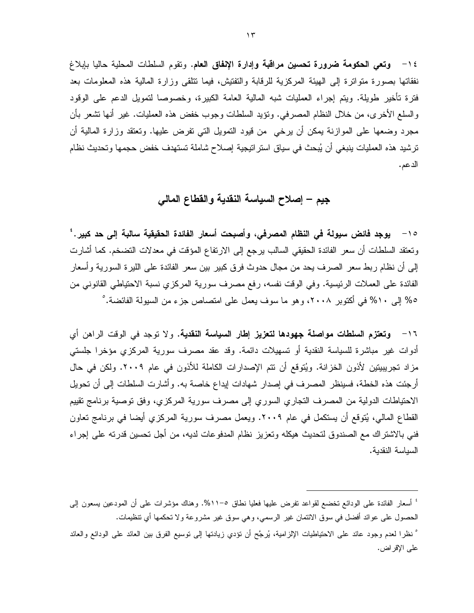١٤ - وتعى الحكومة ضرورة تحسين مراقبة وإدارة الإنفاق العام. وتقوم السلطات المحلية حاليا بإبلاغ نفقاتها بصورة منواترة إلى الهيئة المركزية للرقابة والتفتيش، فيما نتلقى وزارة المالية هذه المعلومات بعد فترة تأخير طويلة. ويتم إجراء العمليات شبه المالية العامة الكبيرة، وخصوصا لتمويل الدعم على الوقود والسلع الأخرى، من خلال النظام المصرفي. ونؤيد السلطات وجوب خفض هذه العمليات. غير أنها نشعر بأن مجرد وضعها على الموازنة بمكن أن برخي ٍ من قيود النمويل التي تفرض عليها. وتعتقد وزارة المالية أن ترشيد هذه العمليات بنبغي أن يُبحث في سياق استراتيجية إصلاح شاملة تستهدف خفض حجمها وتحديث نظام الدعم.

جيم – إصلاح السياسة النقدية والقطاع المالي

١٥ - يوجد فائض سيولة في النظام المصرفي، وأصبحت أسعار الفائدة الحقيقية سالبة إلى حد كبير .' وتعتقد السلطات أن سعر الفائدة الحقيقي السالب يرجع إلى الارتفاع المؤقت في معدلات التضخم. كما أشارت إلى أن نظام ربط سعر الصرف يحد من مجال حدوث فرق كبير بين سعر الفائدة على الليرة السورية وأسعار الفائدة على العملات الرئيسية. وفي الوقت نفسه، رفع مصرف سورية المركزي نسبة الاحتياطي القانوني من ٥% إلى ١٠% في أكتوبر ٢٠٠٨، وهو ما سوف يعمل على امتصاص جزء من السيولة الفائضة. ْ

١٦ - وتعتزم السلطات مواصلة جهودها لتعزيز إطار السياسة النقدية. ولا توجد في الوقت الراهن أي أدوات غير مباشرة للسياسة النقدية أو تسهيلات دائمة. وقد عقد مصرف سورية المركزي مؤخرا جلستـي مزاد تجريبيتين لأذون الخزانة. ويُتوقع أن تتم الإصدارات الكاملة للأذون في عام ٢٠٠٩. ولكن في حال أرجئت هذه الخطة، فسينظر المصرف في إصدار شهادات إيداع خاصة به. وأشارت السلطات إلى أن تحويل الاحتياطات الدولية من المصرف النجاري السوري إلى مصرف سورية المركزي، وفق نوصية برنامج نقييم القطاع المالي، يُتوقع أن يستكمل في عام ٢٠٠٩. ويعمل مصرف سورية المركزي أيضا في برنامج تعاون فني بالاشتر اك مع الصندوق لتحديث هيكله وتعزيز نظام المدفوعات لديه، من أجل تحسين قدرته على إجراء السياسة النقدية.

° نظرا لعدم وجود عائد على الاحتياطيات الإلزامية، بُرجَّح أن نؤدي زيادتها إلى نوسيع الفرق بين العائد على الودائع والعائد على الإقراض.

<sup>&#</sup>x27; أسعار الفائدة على الودائع تخضع لقواعد تفرض عليها فعليا نطاق ٥-٥١١%. وهناك مؤشرات على أن المودعين يسعون إلى الحصول على عوائد أفضل في سوق الائتمان غير الرسمي، وهي سوق غير مشروعة ولا نحكمها أي نتظيمات.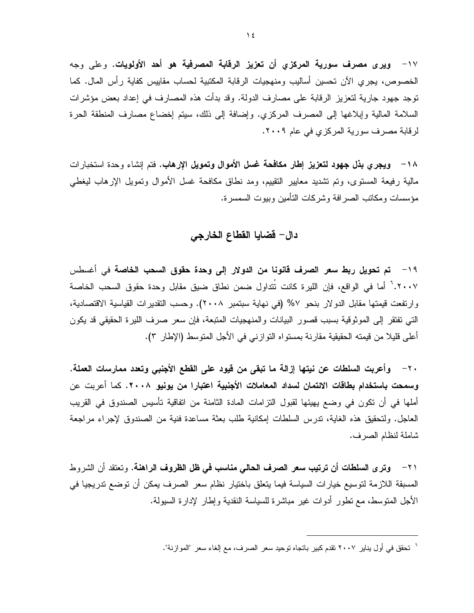١٧ - ويرى مصرف سورية المركزى أن تعزيز الرقابة المصرفية هو أحد الأولويات. وعلى وجه الخصوص، يجرى الآن تحسين أساليب ومنهجيات الرقابة المكتبية لحساب مقاييس كفاية رأس المال. كما توجد جهود جارية لتعزيز الرقابة على مصارف الدولة. وقد بدأت هذه المصارف في إعداد بعض مؤشرات السلامة المالية وإبلاغها إلى المصرف المركزي. وإضافة إلى ذلك، سيتم إخضاع مصارف المنطقة الحرة لرقابة مصرف سورية المركزي في عام ٢٠٠٩.

١٨− ويجري بذل جهود لتعزيز إطار مكافحة غسل الأموال وتمويل الإرهاب. فتم إنشاء وحدة استخبارات مالية رفيعة المستوى، وتم تشديد معايير النقييم، ومد نطاق مكافحة غسل الأموال وتمويل الإرهاب ليغطى مؤسسات ومكاتب الصر افة وشركات التأمين وبيوت السمسر ة.

## دال– فضايا الفطاع الخارجي

19 − تم تحويل ربط سعر الصرف قانونا من الدولار إلى وحدة حقوق السحب الخاصة في أغسطس ٢٠٠٧.<sup>٦</sup> أما في الواقع، فإن الليرة كانت نَتداول ضمن نطاق ضيق مقابل وحدة حقوق السحب الخاصة وارتفعت فيمتها مقابل الدولار بنحو ٧% (في نهاية سبتمبر ٢٠٠٨). وحسب التقديرات القياسية الاقتصادية، التي تفتقر إلى الموثوقية بسبب قصور البيانات والمنهجيات المتبعة، فإن سعر صرف الليرة الحقيقي قد يكون أعلى قليلا من قيمته الحقيقية مقارنة بمستواه التوازني في الأجل المتوسط (الإطار ٣).

٢٠ – وأعربت السلطات عن نيتها إزالة ما تبقى من قيود على القطع الأجنبي وتعدد ممارسات العملة. وسمحت باستخدام بطاقات الائتمان لسداد المعاملات الأجنبية اعتبارا من يونيو ٢٠٠٨. كما أعربت عن أملها في أن تكون في وضع يهيئها لقبول التزامات المادة الثامنة من اتفاقية تأسيس الصندوق في القريب العاجل. ولتحقيق هذه الغاية، تدرس السلطات اِمكانية طلب بعثة مساعدة فنية من الصندوق لإجراء مراجعة شاملة لنظام الصرف.

٢١ – وترى السلطات أن ترتيب سعر الصرف الحالي مناسب في ظل الظروف الراهنة. وتعتقد أن الشروط المسبقة اللازمة لتوسيع خيارات السياسة فيما يتعلق باختيار نظام سعر الصرف يمكن أن توضع تدريجيا في الأجل المنوسط، مع نطور أدوات غير مباشرة للسياسة النقدية وإطار لإدارة السيولة.

<sup>`</sup> تحقق في أول يناير ٢٠٠٧ تقدم كبير باتجاه توحيد سعر الصرف، مع إلغاء سعر "الموازنة".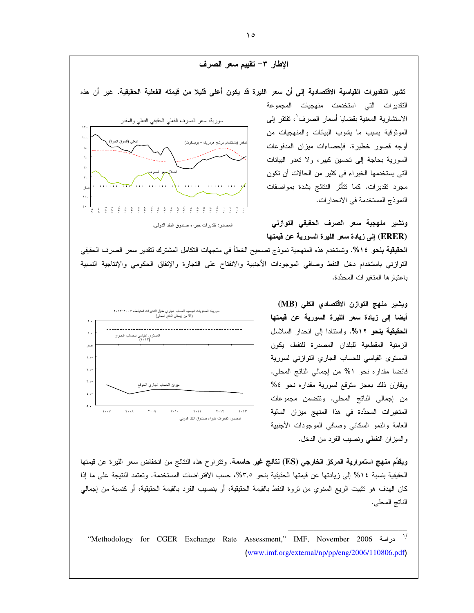

التوازني باستخدام دخل النفط وصافى الموجودات الأجنبية والانفتاح على التجارة والإنفاق الحكومي والإنتاجية النسبية باعتبار ها المتغير ات المحدِّدة.



ويشير منهج التوازن الاقتصادي الكلي (MB) أيضا إلى زيادة سعر الليرة السورية عن قيمتها الحقيقية بنحو ٥١٢%. واستنادا إلى انحدار السلاسل الزمنية المقطعية للبلدان المصدرة للنفط، يكون المستوى القياسي للحساب الجاري النوازني لسورية فائضا مقداره نحو ٥% من إجمالي الناتج المحلي. ويقارن ذلك بعجز متوقع لسورية مقداره نحو ٤% من إجمالي النانج المحلي. ونتضمن مجموعات المتغيرات المحدِّدة في هذا المنهج ميزان المالية العامة والنمو السكانى وصافى الموجودات الأجنبية والمبزان النفطي ونصيب الفرد من الدخل.

ويقدِّم منهج استمرارية المركز الخارجي (ES) نتائج غير حاسمة. ونتراوح هذه النتائج من انخفاض سعر الليرة عن قيمتها الحقيقية بنسبة ١٤% إلى زيادتها عن قيمتها الحقيقية بنحو ٣,٥%، حسب الافتراضات المستخدمة. وتعتمد النتيجة على ما إذا كان الهدف هو تثبيت الريع السنوي من ثروة النفط بالقيمة الحقيقية، أو بنصيب الفرد بالقيمة الحقيقية، أو كنسبة من إجمالي الناتج المحلي.

 $\rightarrow$ "Methodology for CGER Exchange Rate Assessment," IMF, November 2006 www.imf.org/external/np/pp/eng/2006/110806.pdf)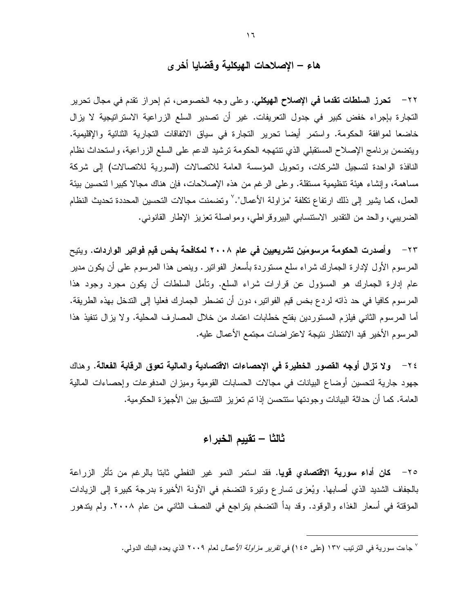### هاء – الإصلاحات الهيكلية وقضايا أخر ي

٢٢ – تحرز السلطات تقدما في الإصلاح الهيكلي. وعلى وجه الخصوص، تم إحراز تقدم في مجال تحرير التجارة بإجراء خفض كبير في جدول التعريفات. غير أن تصدير السلع الزراعية الاستراتيجية لا يزال خاضعا لموافقة الحكومة. واستمر أيضا تحرير التجارة في سياق الاتفاقات التجارية الثنائية والإقليمية. ويتضمن برنامج الإصلاح المستقبلي الذي نتنهجه الحكومة نرشيد الدعم على السلع الزراعية، واستحداث نظام النافذة الواحدة لتسجيل الشركات، وتحويل المؤسسة العامة للاتصالات (السورية للاتصالات) إلى شركة مساهمة، وإنشاء هيئة نتظيمية مستقلة. وعلى الرغم من هذه الإصلاحات، فإن هناك مجالا كبيرا لتحسين بيئة العمل، كما يشير إلى ذلك ارتفاع تكلفة "مزاولة الأعمال".'' وتضمنت مجالات التحسين المحددة تحديث النظام الضريبي، والحد من النقدير الاستنسابي البيروقراطي، ومواصلة نعزيز الإطار القانوني.

٢٣ – وأصدرت الحكومة مرسومَين تشريعيين في عام ٢٠٠٨ لمكافحة بخس قيم فواتير الواردات. ويتبح المرسوم الأول لإدارة الجمارك شراء سلع مستوردة بأسعار الفواتير . وينص هذا المرسوم على أن يكون مدير عام إدارة الجمارك هو المسؤول عن قرارات شراء السلع. وتأمل السلطات أن يكون مجرد وجود هذا المرسوم كافيا في حد ذاته لردع بخس قيم الفوانير ، دون أن تضطر الجمارك فعليا إلى التدخل بهذه الطريقة. أما المرسوم الثاني فيلزم المستوردين بفتح خطابات اعتماد من خلال المصارف المحلية. ولا يزال نتفيذ هذا المرسوم الأخير قيد الانتظار نتيجة لاعتراضات مجتمع الأعمال عليه.

٢٤ – ولا تزال أوجه القصور الخطيرة في الإحصاءات الاقتصادية والمالية تعوق الرقابة الفعالة. وهناك جهود جارية لتحسين أوضاع البيانات في مجالات الحسابات القومية وميزان المدفوعات وإحصاءات المالية العامة. كما أن حداثة البيانات وجودتها ستتحسن إذا تم تعزيز التتسيق بين الأجهزة الحكومية.

### ثالثا – تقييم الخبراء

٢٥– كان أداء سورية الاقتصادي قويا. فقد استمر النمو غير النفطي ثابتا بالرغم من تأثر الزراعة بالجفاف الشديد الذي أصابها. ويُعزى تسارع ونيرة التضخم في الأونة الأخيرة بدرجة كبيرة إلى الزيادات المؤقتة في أسعار الغذاء والوقود. وقد بدأ التضخم يتراجع في النصف الثاني من عام ٢٠٠٨. ولم يتدهور

<sup>&</sup>lt;sup>√</sup> جاءت سورية في الترتيب ١٣٧ (على ١٤٥) في *تقرير مزاولة الأعمال* لعام ٢٠٠٩ الذي يعده البنك الدولي.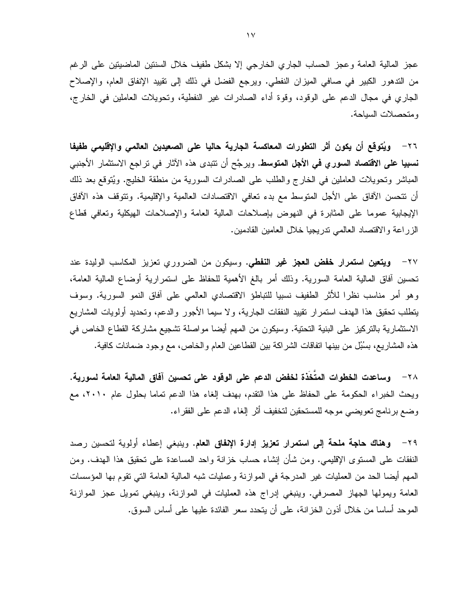عجز المالية العامة وعجز الحساب الجاري الخارجي إلا بشكل طفيف خلال السنتين الماضيتين على الرغم من التدهور الكبير في صافي الميزان النفطي. ويرجع الفضل في ذلك إلى نقييد الإنفاق العام، والإصلاح الجاري في مجال الدعم على الوقود، وقوة أداء الصادرات غير النفطية، وتحويلات العاملين في الخارج، ومتحصلات السياحة.

٢٦– ويُتوقع أن يكون أثر التطورات المعاكسة الجارية حاليا على الصعيدين العالمي والإقليمي طفيفا **نسبيا على الاقتصاد السوري في الأجل المتوسط**. ويرجَّح أن نتبدى هذه الآثار في تراجع الاستثمار الأجنبي المباشر وتحويلات العاملين في الخارج والطلب على الصادرات السورية من منطقة الخليج. ويُتوقع بعد ذلك أن نتحسن الأفاق على الأجل المتوسط مع بدء تعافى الاقتصادات العالمية والإقليمية. ونتوقف هذه الأفاق الإيجابية عموما على المثابرة في النهوض بإصلاحات المالية العامة والإصلاحات الهيكلية وتعافى قطاع الزراعة والاقتصاد العالمي ندريجيا خلال العامين القادمين.

٢٧– **ويتعين استمرار خفض العجز غير النفطى.** وسيكون من الضروري تعزيز المكاسب الوليدة عند تحسين أفاق المالية العامة السورية. وذلك أمر بالغ الأهمية للحفاظ على استمرارية أوضاع المالية العامة، وهو أمر مناسب نظرا للأثر الطفيف نسبيا للتباطؤ الاقتصادي العالمي على أفاق النمو السورية. وسوف يتطلب تحقيق هذا الهدف استمرار تقييد النفقات الجارية، ولا سيما الأجور والدعم، وتحديد أولويات المشاريع الاستثمارية بالتركيز على البنية التحتية. وسيكون من المهم أيضا مواصلة تشجيع مشاركة القطاع الخاص في هذه المشاريع، بسُبُلٍ من بينها اتفاقات الشراكة بين القطاعين العام والخاص، مع وجود ضمانات كافية.

٢٨ وساعدت الخطوات المتَخَذة لخفض الدعم على الوقود على تحسين آفاق المالية العامة لسورية. ويحث الخبراء الحكومة على الحفاظ على هذا النقدم، بهدف إلغاء هذا الدعم نماما بحلول عام ٢٠١٠، مع وضع برنامج نعويضي موجه للمستحقين لنخفيف أثر إلغاء الدعم على الفقراء.

٢٩ - وهناك حاجة ملحة إلى استمرار تعزيز إدارة الإنفاق العام. وينبغي إعطاء أولوية لتحسين رصد النفقات على المستوى الإقليمي. ومن شأن إنشاء حساب خزانة واحد المساعدة على تحقيق هذا الهدف. ومن المهم أيضـا الـحد من الـعمليات غير المدرجة في الموازنـة وعمليات شبه الماليـة الـعامـة النـّي نقوم بـها المؤسسات العامة ويمولها الجهاز المصرفي. وينبغي إدراج هذه العمليات في الموازنة، وينبغي تمويل عجز الموازنة الموحد أساسا من خلال أذون الخزانـة، علـى أن يتحدد سعر الفائدة عليها علـى أساس السوق.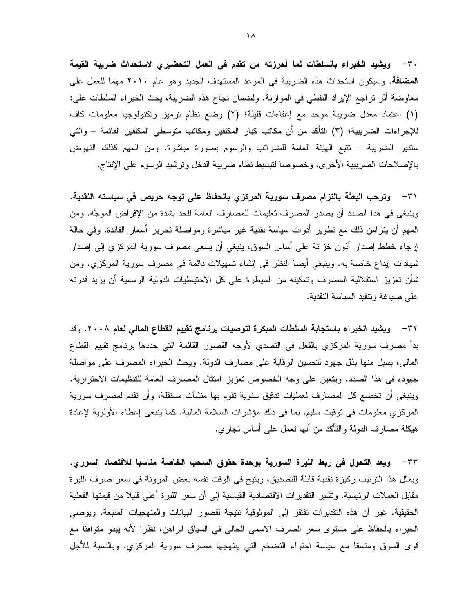٣٠ – ويشيد الخبراء بالسلطات لما أحرزته من تقدم في العمل التحضيري لاستحداث ضريبة القيمة المضافة. وسيكون استحداث هذه الضريبة في الموعد المستهدف الجديد وهو عام ٢٠١٠ مهما للعمل على معاوضة أثر نراجع الإيراد النفطي في الموازنة. ولضمان نجاح هذه الضريبة، يحث الخبراء السلطات علي: (١) اعتماد معدل ضريبة موحد مع إعفاءات قليلة؛ (٢) وضع نظام نرميز ونكنولوجيا معلومات كاف للإجراءات الضريبية؛ (٣) التأكد من أن مكاتب كبار المكلفين ومكاتب متوسطى المكلفين القائمة – والتي سندير الضريبة – نتبع الهيئة العامة للضرائب والرسوم بصورة مباشرة. ومن المهم كذلك النهوض بالإصلاحات الضريبية الأخرى، وخصوصا لتبسيط نظام ضريبة الدخل ونرشيد الرسوم على الإنتاج.

٣١ – وترحب البعثة بالتزام مصرف سورية المركزي بالحفاظ على توجه حريص في سياسته النقدية. وينبغي في هذا الصدد أن يصدر المصرف تعليمات للمصارف العامة للحد بشدة من الإقراض الموجَّه. ومن المهم أن ينز امن ذلك مع نطوير أدوات سياسة نقدية غير مباشرة ومواصلة نحرير أسعار الفائدة. وفي حالة إرجاء خطط إصدار أذون خزانة على أساس السوق، بنبغي أن يسعى مصرف سورية المركزي إلى إصدار شهادات ايداع خاصة به. وينبغي أيضا النظر في إنشاء تسهيلات دائمة في مصرف سورية المركزي. ومن شأن نعزيز استقلالية المصرف ونمكينه من السيطرة على كل الاحتياطيات الدولية الرسمية أن يزيد قدرنه على صياغة ونتفيذ السياسة النقدية.

٣٢ – ويشيد الخبراء باستجابة السلطات المبكرة لتوصيات برنامج تقييم القطاع المالي لعام ٢٠٠٨. وقد بدأ مصرف سورية المركزي بالفعل في التصدي لأوجه القصور القائمة التي حددها برنامج تقييم القطاع المالي، بسبل منها بذل جهود لتحسين الرقابة على مصارف الدولة. ويحث الخبراء المصرف على مواصلة جهوده في هذا الصدد. ويتعين على وجه الخصوص تعزيز امتثال المصارف العامة للتنظيمات الاحترازية. وينبغي أن تخضع كل المصارف لعمليات تدقيق سنوية تقوم بها منشآت مستقلة، وأن تقدم لمصرف سورية المركزي معلومات في نوقيت سليم، بما في ذلك مؤشرات السلامة المالية. كما ينبغي إعطاء الأولوية لإعادة هيكلة مصـارف الدولـة والتأكد من أنـها نـعمل علـى أساس نـجاري.

٣٣– ويعد التحول في ربط الليرة السورية بوحدة حقوق السحب الخاصة مناسبا للاقتصاد السوري. ويمثل هذا الترتيب ركيزة نقدية قابلة للتصديق، ويتيح في الوقت نفسه بعض المرونة في سعر صرف الليرة مقابل العملات الرئيسية. وتشير التقديرات الاقتصادية القياسية إلى أن سعر الليرة أعلى قليلا من قيمتها الفعلية الحقيقية. غير أن هذه النقديرات نفتقر إلى الموثوقية نتيجة لقصور البيانات والمنهجيات المتبعة. ويوصىي الخبراء بالحفاظ على مستوى سعر الصرف الاسمى الحالي في السياق الراهن، نظرا لأنه يبدو متوافقا مع قوى السوق ومتسقا مع سياسة احتواء التضخم التي بنتهجها مصرف سورية المركزي. وبالنسبة للأجل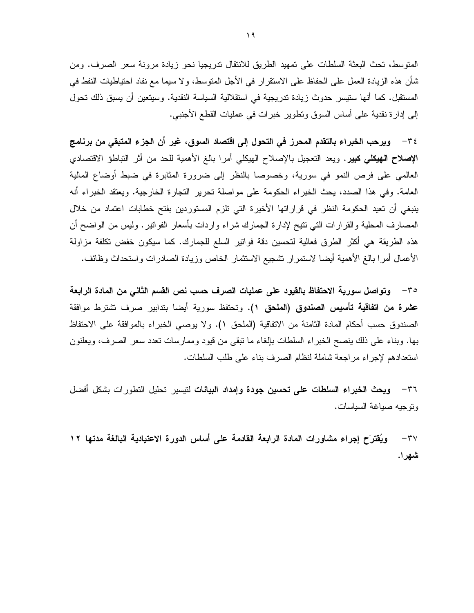المتوسط، تحث البعثة السلطات على تمهيد الطريق للانتقال تدريجيا نحو زيادة مرونة سعر الصرف. ومن شأن هذه الزيادة العمل على الحفاظ على الاستقرار في الأجل المتوسط، ولا سيما مع نفاد احتياطيات النفط في المستقبل. كما أنها ستيسر حدوث زيادة تدريجية في استقلالية السياسة النقدية. وسيتعين أن يسبق ذلك تحول إلى إدارة نقدية على أساس السوق ونطوير خبرات في عمليات القطع الأجنبي.

٣٤ – ويرحب الخبراء بالتقدم المحرز في التحول إلى اقتصاد السوق، غير أن الجزء المتبقى من برنامج **الإصلاح الـهيكلي كبير.** ويعد النعجيل بالإصلاح الـهيكلـي أمرا بالـغ الأهمية للـحد من أثر النباطؤ الاقتصادي العالمي على فرص النمو في سورية، وخصوصا بالنظر إلى ضرورة المثابرة في ضبط أوضاع المالية العامة. وفي هذا الصدد، يحث الخبراء الحكومة على مواصلة تحرير التجارة الخارجية. ويعتقد الخبراء أنه ينبغي أن تعيد الحكومة النظر في قراراتها الأخيرة التي تلزم المستوردين بفتح خطابات اعتماد من خلال المصارف المحلية والقرارات التي نتيح لإدارة الجمارك شراء واردات بأسعار الفوانير . وليس من الواضح أن هذه الطريقة هي أكثر الطرق فعالية لتحسين دقة فواتير السلع للجمارك. كما سيكون خفض تكلفة مزاولة الأعمال أمرا بالغ الأهمية أيضا لاستمرار نشجيع الاستثمار الخاص وزيادة الصادرات واستحداث وظائف.

٣٥ – وتواصل سورية الاحتفاظ بالقيود على عمليات الصرف حسب نص القسم الثاني من المادة الرابعة **عشرة من اتفاقية تأسيس الصندوق (الملحق ١).** وتحتفظ سورية أيضا بتدابير صرف تشترط موافقة الصندوق حسب أحكام المادة الثامنة من الاتفاقية (الملحق ١). ولا يوصبي الخبراء بالموافقة على الاحتفاظ بها. وبناء على ذلك ينصح الخبراء السلطات بإلغاء ما نبقى من قيود وممارسات نعدد سعر الصرف، ويعلنون استعدادهم لإجراء مر اجعة شاملة لنظام الصرف بناء على طلب السلطات.

٣٦ – و**يحث الخبراء السلطات على تحسين جودة وإمداد البيانات** لتيسير تحليل التطورات بشكل أفضل وتوجيه صياغة السياسات.

ويُقترَح إجراء مشاورات المادة الرابعة القادمة على أساس الدورة الاعتيادية البالغة مدتها ١٢  $-\tau v$ شهرا.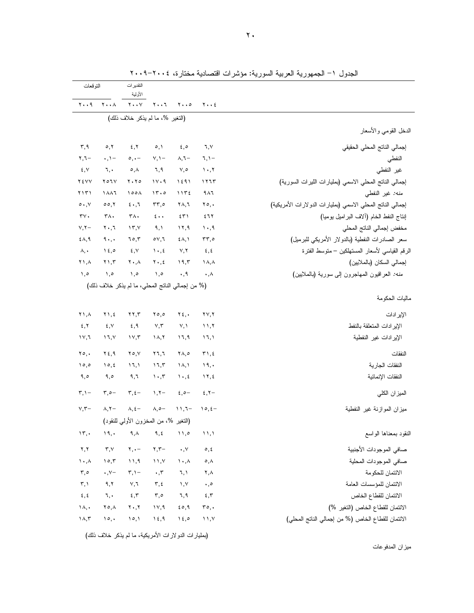|                                                            |                                     |                                 | التقدير ات<br>الأولية           |                                                  | التوقعات                      |                                 |
|------------------------------------------------------------|-------------------------------------|---------------------------------|---------------------------------|--------------------------------------------------|-------------------------------|---------------------------------|
|                                                            | $y \cdot z$                         | $\mathbf{y} \cdot \mathbf{z}$   | $Y \cdot \cdot 7$               | $Y \cdot Y$                                      | $Y \cdot A$                   | ۲۰۰۹                            |
|                                                            |                                     |                                 |                                 | (التغير %، ما لم يذكر خلاف ذلك)                  |                               |                                 |
| الدخل القومي والأسعار                                      |                                     |                                 |                                 |                                                  |                               |                                 |
| إجمالي الناتج المحلي الحقيقي                               | ٦,٧                                 | $\epsilon, \circ$               | $\circ, \circ$                  | 5, 7                                             | $\circ, \circ$                | $\mathbf{r}, \mathbf{q}$        |
| النفطي                                                     | $7, 1 -$                            | $\lambda, \lambda -$            | $V, \mathcal{V}$                | $\circ, \cdot -$                                 | $\cdot$ , $\cdot$ –           | $\mathbf{y}, \mathbf{y}$ -      |
| غير النفطي                                                 | $\mathcal{N} \cdot \mathcal{N}$     | $V, \circ$                      | ٦,٩                             | $\circ, \wedge$                                  | ٦,٠                           | $\xi, V$                        |
| إجمالي الناتج المحلي الاسمى (بمليارات الليرات السورية)     | ۱۲٦٣                                | 1591                            | 11.9                            | $Y \cdot Y \circ$                                | Y O I V                       | Y EVV                           |
| منه: غير النفطي                                            | 911                                 | 1172                            | 15.0                            | ۱۰۰۸                                             | 1887                          | ۲۱۳۱                            |
| إجمالي الناتج المحلي الاسمى (بمليارات الدولارات الأمريكية) | $\mathbf{y} \circ \mathbf{y}$       | ۲۸,٦                            | $rr, \circ$                     | $\epsilon \cdot 7$                               | 00,7                          | $\circ \cdot \cdot \vee$        |
| إنتاج النفط الخام (ألاف البر اميل يوميا)                   | ٤٦٢                                 | ٤٣١                             | $\epsilon \cdot \cdot$          | ۳۸.                                              | ۳٨.                           | $\mathbf{r} \mathbf{v}$ .       |
| مخفض إجمالي الناتج المحلي                                  | $\cdot$ ,9                          | 11,9                            | 9, 1                            | $\gamma$                                         | $\mathbf{y} \cdot \mathbf{y}$ | $V, Y -$                        |
| سعر الصادرات النفطية (بالدولار الأمريكي للبرميل)           | ۳۳,٥                                | $\S$ $\wedge$ , $\wedge$        | $\circ \vee, \vee$              | 70,7                                             | 9.                            | $\xi \wedge, \xi$               |
| الرقم القياسي لأسعار المستهلكين – منوسط الفنرة             | $\epsilon, \epsilon$                | V, Y                            | $\lambda \cdot 25$              | $\epsilon, v$                                    | 15,0                          | $\lambda, \cdot$                |
| إجمالي السكان (بالملايين)                                  | $\lambda, \lambda$                  | ۱۹,۳                            | $Y \cdot 5$                     | $\mathbf{Y} \boldsymbol{\cdot}, \mathbf{A}$      | $Y \cup Y$                    | ۲۱,۸                            |
| <i>منه:</i> العراقيون المهاجرون إلى سورية (بالملايين)      | $\cdot, \wedge$                     | $\cdot$ , ٩                     | ۰,۰                             | ۰,٥                                              | $\lambda, \circ$              | $\lambda, \circ$                |
|                                                            |                                     |                                 |                                 | (% من إجمالي الناتج المحلي، ما لم يذكر خلاف ذلك) |                               |                                 |
| ماليات الحكومة                                             |                                     |                                 |                                 |                                                  |                               |                                 |
| الإير ادات                                                 | $\mathbf{Y} \mathbf{Y}, \mathbf{Y}$ | $Y_{\xi}$ .                     | 50,0                            | $\mathbf{y}$                                     | $Y \setminus f$               | ۲۱,۸                            |
| الإير ادات المتعلقة بالنفط                                 | $\lambda$                           | Y, Y                            | $V, \tilde{V}$                  | ٤,٩                                              | ٤,٧                           | 5, 7                            |
| الإير ادات غير النفطية                                     | ۱٦,۱                                | ۱٦,٩                            | ۱۸,۲                            | $\gamma \vee \gamma$                             | ۱٦,۷                          | ۱۷,٦                            |
| النفقات                                                    | $\mathbf{y} \wedge \mathbf{z}$      | $\mathsf{Y}\wedge,\circ$        | ۲٦,٦                            | $Y \circ Y$                                      | ۲٤,۹                          | $\mathbf{y} \circ \cdot$        |
| النفقات الجارية                                            | 19,                                 | ۱۸,۱                            | 17,7                            | 17,1                                             | 10, 2                         | 10,0                            |
|                                                            | $\gamma$ , $\zeta$                  | $\mathcal{N} \cdot \mathcal{N}$ | $\mathcal{N} \cdot \mathcal{N}$ | ۹,٦                                              | 9,0                           | ۹,٥                             |
| النفقات الإنمائية                                          |                                     |                                 |                                 |                                                  | $\mathbf{r}, \mathbf{c}$      | $\mathbf{r}, \mathbf{v}$        |
| الميز ان الكلي                                             | 2, 7                                | $2,0-$                          | $1, 7-$                         | $\mathbf{r}, \mathbf{t}$ -                       |                               |                                 |
| ميزان الموازنة غير النفطية                                 | $\partial$ , $\epsilon$ -           | $11,7-$                         | $\wedge,\circ-$                 | $\lambda, \xi-$                                  | $\lambda, \zeta$              | $V, \tau-$                      |
|                                                            |                                     |                                 |                                 | (التغير %، من المخزون الأولى للنقود)             |                               |                                 |
| النقود بمعناها الواسع                                      | $\mathcal{N}$                       | ۱۱,۰                            | ٩,٤                             | $\mathsf{q}\,,\mathsf{\Lambda}$                  | ١٩,٠                          | $\mathcal{N}, \mathcal{N}$      |
| صافي الموجودات الأجنبية                                    | $\circ$ , $\circ$                   | $\boldsymbol{\cdot}$ , $\vee$   | $\mathbf{r}, \mathbf{r}$ -      | $\mathbf{Y}, \bullet$                            | $\mathbf{r},\mathbf{v}$       | $\mathbf{y}, \mathbf{y}$        |
| صافي الموجودات المحلية                                     | $\circ$ , $\wedge$                  | $\mathcal{N} \cdot \mathcal{N}$ | 11, 1                           | $\cup$ ۹                                         | 10,7                          | $\mathcal{N} \cdot \mathcal{N}$ |
| الائتمان للحكومة                                           | ۲,۸                                 | ٦,١                             | $\cdot$ , $\mathsf{r}$          | $\mathbf{r},\mathbf{v}$                          | $\cdot$ , Y-                  | $\mathbf{r}, \mathbf{0}$        |
| الائتمان للمؤسسات العامة                                   | $\boldsymbol{\cdot}$ , $\circ$      | $\mathcal{N},\mathcal{N}$       | $\mathbf{r}, \mathbf{t}$        | $\vee, \urcorner$                                | ۹,۲                           | $\mathbf{r}, \mathbf{v}$        |
| الائتمان للقطاع الخاص                                      | 5,5                                 | ٦,٩                             | $\mathbf{r}, \mathbf{0}$        | $\mathbf{x},\mathbf{y}$                          | ٦,٠                           | $\xi, \xi$                      |
| الائتمان للقطاع الخاص (التغير %)                           | ro,                                 | 50,9                            | $\vee$ , ۹                      | $\mathbf{Y} \bullet, \mathbf{Y}$                 | ۲٥,٨                          | $\Lambda$ ,                     |

الجدول ١– الجمهورية العربية السورية: مؤشرات اقتصادية مختارة، ٢٠٠٤–٢٠٠٩

(بمليارات الدولارات الأمريكية، ما لم يذكر خلاف ذلك)

ميزان المدفوعات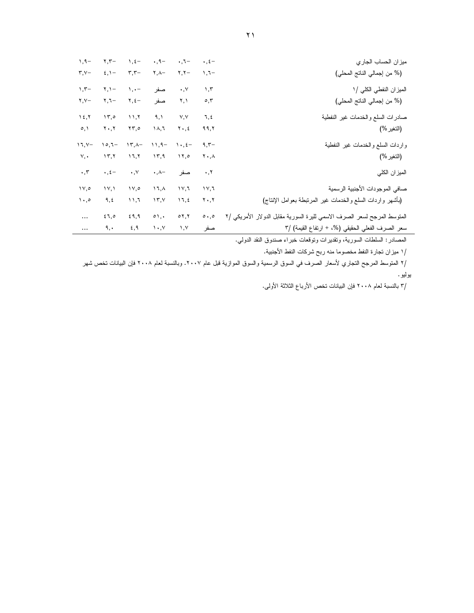| ميزان الحساب الجاري                                                      | $\cdot$ , $\xi$ –             | $\cdot$ , $\cdot$                | $\cdot$ , 9 -              | $\lambda$ , $\xi$ –               | $\mathbf{y}$ , $\mathbf{y}$ | $1, 9-$                       |
|--------------------------------------------------------------------------|-------------------------------|----------------------------------|----------------------------|-----------------------------------|-----------------------------|-------------------------------|
| (% من إجمالي الناتج المحلي)                                              | $1,7-$                        | $\mathbf{y}$ , $\mathbf{y}$      | $\mathsf{Y}, \mathsf{A}$   | $\mathbf{r}$ , $\mathbf{r}$ -     | $\epsilon, \lambda -$       | $\mathbf{r} \cdot \mathbf{v}$ |
| الميزان النفطي الكلي /١                                                  | 1,7                           | $\cdot$ , $\vee$                 | صفر                        | $\lambda, \cdot -$                | $Y, Y -$                    | $\mathcal{L}$ , $\mathcal{L}$ |
| (% من إجمالي الناتج المحلي)                                              | $\circ$ , $\mathsf{r}$        | ۲,۱                              | صفر                        | $\Upsilon, \Sigma$                | −۲,۲                        | $Y, Y-$                       |
| صادرات السلع والخدمات غير النفطية                                        | ٦,٤                           | V, V                             | 9, 1                       | 11,7                              | 15.0                        | 15.7                          |
| (النغير %)                                                               | ۹۹,۲                          | $Y \cdot 5$                      | ۱۸,٦                       | $\mathbf{Y}\mathbf{y},\mathbf{0}$ | ۲۰,۲                        | $\circ, \circ$                |
| واردات السلع والخدمات غير النفطية                                        | $9,7-$                        | $\lambda \cdot 2$                | $11,9-$                    | $15.1 -$                          | $10,1-$                     | $17, Y-$                      |
| (النغير %)                                                               | ۲۰,۸                          | 11,0                             | ۱۳,۹                       | ۱٦,۲                              | $\mathcal{N}, \mathcal{N}$  | ٧,٠                           |
| الميزان الكلى                                                            | $\cdot$ , $\cdot$             | صفر                              | $\cdot$ , $\wedge$ -       | $\cdot$ , $\vee$                  | $\cdot$ , $\xi-$            | $\cdot$ , $\mathsf{r}$        |
| صافي الموجودات الأجنبية الرسمية                                          | ۱۷,٦                          | ۲,۷۱                             | ۱٦,٨                       | $\sqrt{6}$                        | 1Y,1                        | $\vee$ ,0                     |
| (بأشهر واردات السلع والخدمات غير المرتبطة بعوامل الإنتاج)                | $\mathbf{Y} \cdot \mathbf{Y}$ | ۱٦,٤                             | $\Upsilon$ , $\Upsilon$    | 11,7                              | ٩,٤                         | $\cdot$ ,0                    |
| المنوسط المرجح لسعر الصرف الاسمي لليرة السورية مقابل الدولار الأمريكي /٢ | $\circ \cdot \circ$           | $\circ$ $\mathbf{y}, \mathbf{y}$ | $\circ$ \, \,              | 29,9                              | 27,0                        | $\cdots$                      |
| سعر الصرف الفعلي الحقيقي (%، + ارتفاع القيمة) /٣                         | صفر                           | ۱,۷                              | $\mathcal{N}, \mathcal{N}$ | ٤,٩                               | ٩,٠                         | $\cdots$                      |

المصادر : السلطات السورية، وتقديرات وتوقعات خبراء صندوق النقد الدولي.

/١ ميزان تجارة النفط مخصوما منه ربح شركات النفط الأجنبية.

/٢ المتوسط المرجح التجاري لأسعار الصرف في السوق الرسمية والسوق الموازية قبل عام ٢٠٠٧. وبالنسبة لعام ٢٠٠٨ فإن البيانات تخص شهر بوليو .

/٣ بالنسبة لعام ٢٠٠٨ فإن البيانات تخص الأرباع الثلاثة الأولى.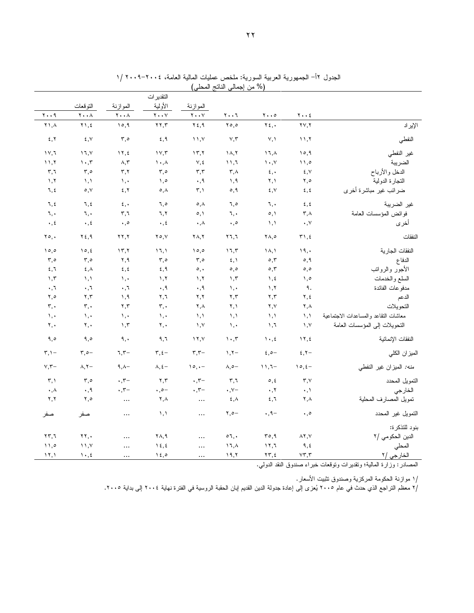|                                      |                                     |                                 |                                                         |                                         | النقدير ات                              |                                     |                                                 |                                    |  |  |  |  |  |
|--------------------------------------|-------------------------------------|---------------------------------|---------------------------------------------------------|-----------------------------------------|-----------------------------------------|-------------------------------------|-------------------------------------------------|------------------------------------|--|--|--|--|--|
|                                      |                                     |                                 |                                                         | الموازنة                                | الأولية                                 | الموازنة                            | النوقعات                                        |                                    |  |  |  |  |  |
|                                      | $\mathbf{Y} \cdot \cdot \mathbf{E}$ | $\mathbf{y} \cdot \mathbf{z}$   | $\mathbf{Y} \cdot \cdot \mathbf{I}$                     | $\mathbf{Y} \bullet \bullet \mathbf{Y}$ | $\mathbf{Y} \bullet \bullet \mathbf{V}$ | $\mathbf{Y} \cdot \cdot \mathbf{A}$ | $Y \cdot \cdot \wedge$                          | $\mathbf{y} \cdot \mathbf{y}$      |  |  |  |  |  |
| الإيراد                              | $\mathbf{Y} \mathbf{Y}, \mathbf{Y}$ | $\mathbf{Y}$ $\mathbf{\xi}$ ,   | 0,0                                                     | $Y \xi, \eta$                           | $\mathbf{y}$                            | 10,9                                | $\Upsilon$ ), $\zeta$                           | ۲١, $\wedge$                       |  |  |  |  |  |
| النفطي                               | 11,7                                | Y, Y                            | $\vee, \vee$                                            | $\binom{1}{1}$                          | 5,9                                     | $\mathfrak{r}, \circ$               | $\mathbf{\mathfrak{c}}$ , $\mathbf{\mathsf{v}}$ | 5, 7                               |  |  |  |  |  |
| غير النفطي                           | 10,9                                | $17, \lambda$                   | $\Lambda, \overline{\Lambda}$                           | 15, 7                                   | $\gamma \gamma, \tau$                   | $\gamma$ , $\zeta$                  | $\upgamma$ , $\upgamma$                         | $\gamma \gamma$                    |  |  |  |  |  |
| الضريبة                              | $\wedge$ ,0                         | $\mathcal{N}, \mathcal{N}$      | $\mathcal{N},\mathcal{N}$                               | $\vee, \operatorname{\mathsf{t}}$       | $\lambda$ , $\lambda$                   | $\wedge,\curlyvee$                  | $\cdot$ , ۳                                     | 11,7                               |  |  |  |  |  |
| الدخل والأرباح                       | ٤,٧                                 | $\epsilon, \cdot$               | $\mathbf{r}$ , $\wedge$                                 | $\mathbf{r},\mathbf{r}$                 | $\mathbf{r}, \mathbf{0}$                | ۳,۲                                 | $\mathbf{r}, \mathbf{0}$                        | ٣,٦                                |  |  |  |  |  |
| النجارة الدولية                      | ٥, ٢                                | ۲,۱                             | ۱,۹                                                     | ٠,٩                                     | ۰,٥                                     | $\lambda, \cdot$                    | $\lambda$ , $\lambda$                           | 1, 7                               |  |  |  |  |  |
| ضرائب غير مباشرة أخرى                | $\xi, \xi$                          | $\S$ , $V$                      | 0,9                                                     | ۳,١                                     | $\circ$ , $\wedge$                      | 5, 7                                | $\circ, \vee$                                   | ٦,٤                                |  |  |  |  |  |
| غير الضريبة                          | $\xi, \xi$                          | ٦,٠                             | ٥,٦                                                     | $\circ, \wedge$                         | ٦,٥                                     | $\epsilon, \cdot$                   | ٦,٤                                             | ٦,٤                                |  |  |  |  |  |
| فوائض المؤسسات العامة                | ۳,۸                                 | $\circ, \circ$                  | ٦,٠                                                     | $\circ, \circ$                          | ٦,٢                                     | ٣,٦                                 | ٦,٠                                             | ٦,٠                                |  |  |  |  |  |
| أخرى                                 | $\cdot$ , $\vee$                    | $\lambda, \lambda$              | $\cdot$ , $\circ$                                       | $\cdot, \wedge$                         | $\cdot$ , $\epsilon$                    | $\cdot$ ,0                          | $\cdot$ , $\epsilon$                            | $\cdot$ , $\epsilon$               |  |  |  |  |  |
| النفقات                              | $\mathbf{r}$ , $\epsilon$           | $\forall \lambda, \circ$        | ۲٦,٦                                                    | $\mathbf{Y} \wedge, \mathbf{Y}$         | $Y \circ Y$                             | $\mathbf{y}$                        | ۲٤,۹                                            | $\mathbf{y} \circ \mathbf{y}$      |  |  |  |  |  |
| النفقات الجارية                      | ١٩,٠                                | $\Lambda, \Lambda$              | 17,7                                                    | 10,0                                    | 17,1                                    | $\gamma$ , $\gamma$                 | 10, 2                                           | 10,0                               |  |  |  |  |  |
| الدفاع                               | 0,9                                 | $\circ$ , $\mathsf{r}$          | $\xi, \lambda$                                          | 5,0                                     | 5,0                                     | ۲,۹                                 | $\mathbf{r}, \mathbf{0}$                        | $\mathbf{r}, \mathbf{0}$           |  |  |  |  |  |
| الأجور والرواتب                      | $\circ, \circ$                      | $\circ$ , $\mathsf{r}$          | $\circ, \circ$                                          | $\circ, \cdot$                          | 5,9                                     | $\xi, \xi$                          | $\epsilon, \lambda$                             | 5,7                                |  |  |  |  |  |
| السلع والخدمات                       | ۰,٥                                 | $\lambda, \xi$                  | 1,7                                                     | ١,٢                                     | 1, 7                                    | $\mathcal{N}, \mathcal{N}$          | ۱,۱                                             | 1,7                                |  |  |  |  |  |
| مدفو عات الفائدة                     | ٩.                                  | 1, 7                            | $\mathcal{N}, \mathcal{N}$                              | $\cdot$ , 9                             | $\cdot$ , 9                             | $\cdot$ , $\overline{\cdot}$        | $\cdot$ , $\cdot$                               | ٦,٠                                |  |  |  |  |  |
| الدعم                                | $\mathbf{Y}, \mathbf{t}$            | 7,7                             | ۲.۳                                                     | ۲,۲                                     | ۲,٦                                     | 1,9                                 | $\mathbf{y}, \mathbf{y}$                        | ۲,٥                                |  |  |  |  |  |
| التحويلات                            | ۲,۸                                 | ۲,۷                             | ۲,۱                                                     | $\mathsf{Y}, \mathsf{A}$                | ٣,٠                                     | $\mathbf{r},\mathbf{r}$             | $\mathbf{r},\cdot$                              | ٣,٠                                |  |  |  |  |  |
| معاشات النقاعد والمساعدات الاجتماعية | $\lambda$ , $\lambda$               | ۱,۱                             | ۱,۱                                                     | $\lambda, \lambda$                      | ۱,۰                                     | ١,٠                                 | ۱,۰                                             | ١,٠                                |  |  |  |  |  |
| التحويلات إلى المؤسسات العامة        | $\lambda, \lambda$                  | $\lambda, \lambda$              | $\mathcal{N}, \mathcal{N}$                              | $\lambda, \lambda$                      | ۲,٠                                     | 1,7                                 | ۲,٠                                             | ۲,۰                                |  |  |  |  |  |
| النفقات الإنمائية                    | $\gamma$ , $\zeta$                  | $\mathcal{N} \cdot \mathcal{A}$ | $\mathcal{N} \cdot \mathcal{N}$                         | Y, Y                                    | ۹,٦                                     | ٩,٠                                 | 9,0                                             | ۹,٥                                |  |  |  |  |  |
| الميزان الكلي                        | 2, 7                                | $2.0 -$                         | $1.7-$                                                  | $\mathbf{r}, \mathbf{r}$ -              | $\mathbf{r}, \mathbf{t}$                | $7,7-$                              | $\mathfrak{r}, \circ -$                         | $\mathbf{r}, \mathbf{v}$           |  |  |  |  |  |
| منه: الميزان غير النفطي              | $10, 2 -$                           | $11,7-$                         | $\wedge, \circ -$                                       | $\partial$ , $\cdot$ -                  | $\lambda, \xi -$                        | $9, \wedge -$                       | $\lambda, \Upsilon$                             | $V, \mathcal{F}$ -                 |  |  |  |  |  |
| التمويل المحدد                       | $\mathbf{r},\mathbf{v}$             | $\circ$ , $\circ$               | $\mathbf{r}, \mathbf{t}$                                | $\cdot$ , $\tau-$                       | ۲,۳                                     | $\cdot$ , $\tau-$                   | $\mathbf{r}, \mathbf{0}$                        | $\mathbf{r}, \mathbf{v}$           |  |  |  |  |  |
| الخارجي                              | $\cdot$ , $\lambda$                 | $\cdot$ , $\tau$                | $\cdot$ , $\vee$ -                                      | $\cdot$ , $\tau-$                       | $\cdot$ , $\circ$ -                     | $\cdot$ , $\tau-$                   | ۰,۹                                             | $\cdot, \wedge$                    |  |  |  |  |  |
| نمويل المصارف المحلية                | ۲,۸                                 | 2,7                             | $\mathbf{\mathfrak{c}}$ , $\mathbf{\mathfrak{\lambda}}$ | $\cdots$                                | ۲,۸                                     | $\cdots$                            | ٥,٢                                             | ۲,۲                                |  |  |  |  |  |
| التمويل غير المحدد                   | $\cdot$ , $\circ$                   | $\cdot$ , 9 -                   | $Y, 0 -$                                                | $\ldots$                                | $\lambda$ , $\lambda$                   | $\cdots$                            | صفر                                             | صفر                                |  |  |  |  |  |
| بنود للتذكرة:                        |                                     |                                 |                                                         |                                         |                                         |                                     |                                                 |                                    |  |  |  |  |  |
| الدين الحكومي /٢                     | $\lambda$ $\lambda$ , $\lambda$     | ۳٥,٩                            | $\circ$ 1, .                                            |                                         | ۲۸,۹                                    |                                     | ۲۲,٠                                            | $\mathbf{Y}\mathbf{Y}, \mathbf{I}$ |  |  |  |  |  |
| المحلي                               | ٩,٤                                 | 17,7                            | 17,                                                     |                                         | $\lambda \xi, \xi$                      |                                     | $\rightarrow$ $\rightarrow$                     | 11,0                               |  |  |  |  |  |
| الخارجي /٢                           | $\vee\mathbf{r},\mathbf{r}$         | $\tau\tau, \epsilon$            | 19,7                                                    | $\ldots$                                | 15,0                                    | $\cdots$                            | $\mathcal{N} \cdot \mathcal{K}$                 | $\lambda$                          |  |  |  |  |  |

الجدول ١٢– الجمهورية العربية السورية: ملخص عمليات المالية العامة، ٢٠٠٤–٢٠٠٩ /١<br>(% من اجمالي الناتج المحلي)

المصادر: وزارة المالية؛ ونقديرات ونوقعات خبراء صندوق النقد الدولي.

/١ موازنة الحكومة المركزية وصندوق تثبيت الأسعار .

/٢ معظم النراجع الذي حدث في عام ٢٠٠٥ يُعزى إلى إعادة جدولة الدين القديم اِبان الحقبة الروسية في الفترة نهاية ٢٠٠٤ إلى بداية ٢٠٠٥.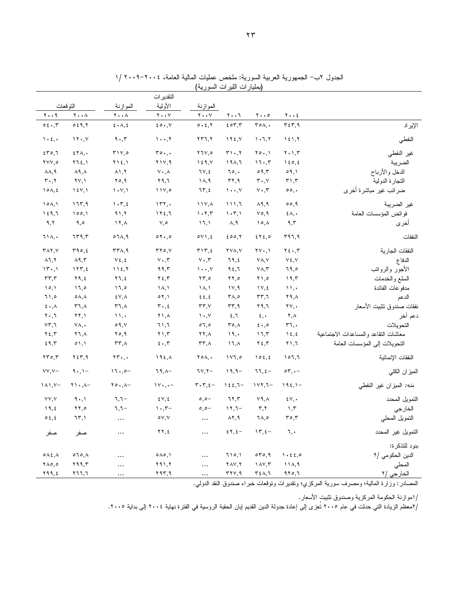|                                          |                                     |                                          | التقدير ات                      |                                                       |                                                |                                          |                                           |                                      |
|------------------------------------------|-------------------------------------|------------------------------------------|---------------------------------|-------------------------------------------------------|------------------------------------------------|------------------------------------------|-------------------------------------------|--------------------------------------|
|                                          | النو قعات                           | المو از نـة                              | الأولية                         | الموازنة                                              |                                                |                                          |                                           |                                      |
| ۲۰۰۹                                     | $\mathbf{Y} \cdot \cdot \mathbf{A}$ | $\mathbf{Y} \cdot \cdot \mathbf{A}$      | $\mathbf{y} \cdot \mathbf{y}$   | $\mathbf{y} \cdot \mathbf{y}$                         | ۲۰۰٦                                           | $\mathbf{y} \cdot \mathbf{y}$            | $Y \cdot \cdot 2$                         |                                      |
| 0.5.7                                    | 0.59, 7                             | 5.1.5                                    | 20.7                            | 0.5.7                                                 | 207.7                                          | $\mathsf{r}\circ\wedge\ldots$            | 557.9                                     | الإيراد                              |
| $\mathcal{L} \cdot \mathcal{L}$ .        | 11.7                                | 9.7                                      | $1 \cdot \cdot 7$               | $\mathbf{Y}$ $\mathbf{Y}$ $\mathbf{Z}$ , $\mathbf{Y}$ | $\gamma$                                       | 1.7, 7                                   | $\lambda \xi \lambda, \overline{\lambda}$ | النفطي                               |
| 570,7                                    | $251$ ,                             | $\mathbf{y} \wedge \mathbf{y}$           | $r \circ \cdot$ ,               | 77V,0                                                 | $\mathbf{r}\cdot\mathbf{,}\mathbf{r}$          | $Y \circ \cdot, Y$                       | $Y \cdot Y, T$                            | غير النفطي                           |
| <b>٢٧٧,٥</b>                             | Y15,1                               | $Y \setminus \xi, Y$                     | ۲۱۷,۹                           | 159, V                                                | ۱۹۸,٦                                          | 17.7                                     | 150,5                                     | الضريبة                              |
| $\lambda \lambda, 9$                     | $\lambda$ ٩, $\lambda$              | $\lambda$ 1, $\lambda$                   | $Y \cdot A$                     | 7V, 2                                                 | ٦٥,٠                                           | 09,7                                     | 09,1                                      | الدخل والأرباح                       |
| ۳۰,۲                                     | $\Upsilon V, \Upsilon$              | ۲٥,۹                                     | ۲۹,٦                            | ۱۸,۹                                                  | $\mathbf{r}$                                   | $\mathbf{r} \cdot \mathbf{,} \mathbf{v}$ | $\mathbf{r}$ , $\mathbf{r}$               | التجارة الدولية                      |
| $10\lambda, \xi$                         | 15Y,1                               | $\langle \cdot, \cdot \rangle$           | 11Y,0                           | ٦٣,٤                                                  | $\mathcal{N}, \ldots, \mathcal{N}$             | $Y \cdot Y$                              | $\circ \circ$ ,                           | ضرائب غير مباشرة أخرى                |
| 10A,1                                    | ۱٦٣,٩                               | $\mathcal{N} \cdot \mathcal{L}$          | 157.                            | $\mathcal{N} \setminus \mathcal{N}$                   | ۶۱۱,٦                                          | $\lambda$ 9,9                            | 00,9                                      | غير الضريبة                          |
| 159,7                                    | 100,1                               | 91,7                                     | 172,7                           | 1.7.7                                                 | $\langle \cdot, \tau \rangle$                  | $\vee \circ, \wedge$                     | $\S$ $\wedge$ , $\cdot$                   | فو ائض المؤسسات العامة               |
| ۹,۲                                      | ۹,٥                                 | $\lambda, \gamma$                        | ٧,٥                             | 17.1                                                  | ۸,۹                                            | $\lambda$                                | ۹,۳                                       | أخرى                                 |
| ٦١٨,٠                                    | 779,7                               | $07\lambda,9$                            | 01.0                            | oY1, 2                                                | 200,7                                          | $2Y_{\epsilon,0}$                        | ۳۹٦,٩                                     | النفقات                              |
| $\mathsf{r}\wedge\mathsf{r},\vee$        | 190, 2                              | $\mathsf{r}\mathsf{r}\wedge,\mathsf{q}$  | ۳۲٥,۷                           | $\mathbf{r} \setminus \mathbf{r}, \mathbf{r}$         | $\mathsf{Y} \mathsf{V} \mathsf{A}, \mathsf{V}$ | $\mathbf{Y} \cdot \mathbf{A}$            | $Y \xi \cdot T$                           | النفقات الجارية                      |
| $\lambda$ $\lambda$ , $\lambda$          | $\lambda$ 9,٣                       | $Y \xi, \xi$                             | $Y \cdot T$                     | $Y \cdot T$                                           | 79,2                                           | YA, Y                                    | $V \xi, V$                                | الدفاع                               |
| 15.1                                     | 177, 2                              | 115,7                                    | ۹۹٫۳                            | $\mathcal{N}$                                         | ۹٤,٦                                           | $Y\Lambda, \Upsilon$                     | ٦٩,٥                                      | الأجور والرواتب                      |
| $\mathbf{r}\mathbf{r},\mathbf{r}$        | ۲۹,٤                                | Y1, 2                                    | ۲٤,۳                            | $\mathbf{Y}\mathbf{y}, \mathbf{0}$                    | $\mathbf{Y} \mathbf{Y}, \mathbf{0}$            | ۰٫۵ ۲                                    | 19,5                                      | السلع والخدمات                       |
| 10,1                                     | 17,0                                | 17.0                                     | ۱۸,۱                            | ۱۸,۱                                                  | 11, 9                                          | $\gamma \vee \xi$                        | $\mathcal{N}$                             | مدفو عات الفائدة                     |
| ۰۱٫۰                                     | $\circ \wedge, \wedge$              | $E V, \Lambda$                           | 01,1                            | 2.2                                                   | $\mathsf{r}_{\mathsf{A},\mathsf{0}}$           | ۳۳,٦                                     | ۲۹,۸                                      | الدعم                                |
| $\epsilon \cdot \lambda$                 | ۳٦,٨                                | ۳٦,٨                                     | $\mathbf{r} \cdot \mathbf{z}$   | $rr, \vee$                                            | rr, q                                          | ۲۹,٦                                     | $\mathsf{Y}\mathsf{Y},\mathsf{Y}$         | نفقات صندوق تثبيت الأسعار            |
| ۲۰,٦                                     | ۲۲.۱                                | $\mathcal{N}$                            | ۸, ۲                            | $\mathcal{N}, \mathcal{N}$                            | 5.7                                            | $\epsilon, \cdot$                        | ۲.۸                                       | دعم آخر                              |
| VT,7                                     | ٧٨,٠                                | 09, V                                    | ٦١,٦                            | 07,0                                                  | $r \circ \Lambda$                              | $5 \cdot 20$                             | 57.                                       | التحو بلات                           |
| $\mathbf{Y}$ {, $\mathbf{Y}$             | $Y1, \Lambda$                       | ۲٥,۹                                     | ۲۱,۳                            | ۲۲,۸                                                  | ١٩,٠                                           | ۱٦,٣                                     | $\lambda \xi, \xi$                        | معاشات النقاعد والمساعدات الاجتماعبة |
| 29,7                                     | $\circ$ \, \                        | ۳۳,۸                                     | $5 \cdot 7$                     | rr.A                                                  | ۱٦,٨                                           | ۲٤,۳                                     | ۲۱,٦                                      | النحو بلات إلى المؤسسات العامة       |
| $\mathbf{Y} \mathbf{Y} \circ \mathbf{Y}$ | ۲٤٣,٩                               | $\mathbf{Y} \mathbf{Y} \cdot \mathbf{A}$ | $192, \lambda$                  | $Y \circ \Lambda$ ,                                   | 1Y1,0                                          | 105, 2                                   | 107,7                                     | النفقات الانمائبة                    |
| $YY, Y-$                                 | $9 \cdot 1 -$                       | $17.0 -$                                 | $79, \lambda -$                 | $7Y,7-$                                               | $19, 9 -$                                      | $77, 2 -$                                | $\circ \tau, \cdot -$                     | الميزان الكلى                        |
| $\lambda \lambda, \nu-$                  | $Y \cup A$                          | $Y \circ \cdot A -$                      | $1Y, -$                         | $\mathbf{r} \cdot \mathbf{r}, \epsilon -$             | $122,7-$                                       | $1YY,7-$                                 | $192,1-$                                  | منه: الميزان غير النفطي              |
| YY, Y                                    | 9.1                                 | $7,7-$                                   | $\mathcal{E}\vee,\mathcal{E}$   | $\circ, \circ -$                                      | 77,7                                           | Y9, A                                    | $\mathcal{N}, \cdot$                      | النمويل المحدد                       |
| 19, 2                                    | ۲۲,٥                                | −۲, ۳                                    | $\cdot$ , $\tau-$               | $\circ, \circ -$                                      | $17,7-$                                        | $\mathbf{r}, \mathbf{r}$                 | $\mathcal{N}, \mathcal{N}$                | الخارجي                              |
| 0.5, 5                                   | ۱, ۳۲                               | $\cdots$                                 | $\circ \vee, \vee$              | $\ldots$                                              | $\lambda$ $\zeta$ , $\eta$                     | م,∧7                                     | $r \circ r$                               | النمويل المحلمي                      |
| صفر                                      | صفر                                 | $\ldots$                                 | ۲۲,٤                            | $\ldots$                                              | $25, 2 -$                                      | $\mathcal{N}, \mathcal{E}$               | ٦,٠                                       | التمويل غير المحدد                   |
|                                          |                                     |                                          |                                 |                                                       |                                                |                                          |                                           | بنود للتذكرة:                        |
| $0 \wedge 2, \wedge$                     | $070, \Lambda$                      | $\cdots$                                 | $\circ \wedge \circ$ , $\wedge$ | $\cdots$                                              | ۱۱۰,۱                                          | 070,9                                    | 1.22,0                                    | الدين الحكومي /٢                     |
| $Y \wedge \circ, \circ$                  | ۲۹۹,۳                               | $\ddotsc$                                | ۲۹۱,۲                           | $\cdots$                                              | YAY, Y                                         | $\lambda V, \tau$                        | $11\lambda,9$                             | المحلي                               |
| ۲۹۹,٤                                    | ۲٦٦,٦                               | $\ddotsc$                                | ۲۹۳,۹                           | $\cdots$                                              | rrv, q                                         | ٣٤٨,٦                                    | 970,7                                     | الخارجي /٢                           |

الجدول ٢ب– الجمهورية العربية السورية: ملخص عمليات المالية العامة، ٢٠٠٤–٢٠٠٩ /١<br>(بمليارات الليرات السورية)

المصادر : وزارة المالية؛ ومصرف سورية المركزي؛ وتقديرات وتوقعات خبراء صندوق النقد الدولي.

/اموازنة الحكومة المركزية وصندوق تثبيت الأسعار.

/٢معظم الزيادة التي حدثت في عام ٢٠٠٥ تُعزى إلى إعادة جدولة الدين القديم لِبان الحقبة الروسية في الفترة نـهاية ٢٠٠٤ إلى بداية ٢٠٠٥.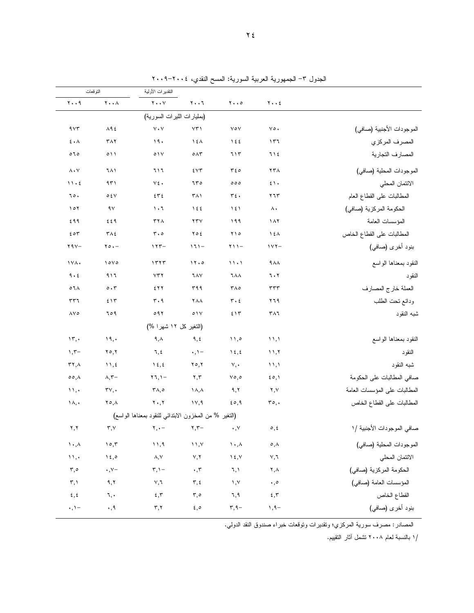| التو قعات                               |                                         | التقدير ات الأولية                                          |                                                |                                     |                                     |                               |
|-----------------------------------------|-----------------------------------------|-------------------------------------------------------------|------------------------------------------------|-------------------------------------|-------------------------------------|-------------------------------|
| $Y \cdot \cdot 9$                       | $\mathbf{Y} \bullet \bullet \mathbf{A}$ | $\mathbf{Y} \cdot \cdot \mathbf{V}$                         | ۲۰۰٦                                           | $\mathbf{y} \cdot \cdot \mathbf{0}$ | $Y \cdot Y$                         |                               |
|                                         |                                         | (بمليارات الليرات السورية)                                  |                                                |                                     |                                     |                               |
| 955                                     | $\Lambda$ ٩٤                            | $V \cdot V$                                                 | $Y\uparrow$                                    | $\vee \circ \vee$                   | $\vee \circ$ .                      | الموجودات الأجنبية (صافي)     |
| $\epsilon \cdot \lambda$                | $\mathsf{r}\wedge\mathsf{r}$            | ۱۹۰                                                         | うえん                                            | 122                                 | ۱۳٦                                 | المصرف المركزي                |
| 070                                     | $\circ$ ) )                             | $\circ \vee$                                                | $\circ \wedge \tau$                            | ٦١٣                                 | てしき                                 | المصارف التجارية              |
| $\Lambda \cdot Y$                       | ٦٨١                                     | 717                                                         | ٤٧٣                                            | ٣٤٥                                 | ۲۳۸                                 | الموجودات المحلية (صافى)      |
| 11.5                                    | ۹۳۱                                     | ٧٤.                                                         | ٦٣٥                                            | 000                                 | $\mathfrak{c}\setminus\mathfrak{c}$ | الائتمان المحلي               |
| ٦٥.                                     | $\circ$ { $\vee$                        | ٤٣٤                                                         | ۳۸۱                                            | ٣٤٠                                 | ۲٦٣                                 | المطالبات على القطاع العام    |
| ۱۰۲                                     | ۹۷                                      | ۶۰٦                                                         | $\big\}$ { {                                   | ۱٤۱                                 | ۸.                                  | الحكومة المركزية (صافي)       |
| ٤٩٩                                     | ٤٤٩                                     | ۳۲۸                                                         | ۲۳۷                                            | ۱۹۹                                 | $\lambda \lambda$                   | المؤسسات العامة               |
| 204                                     | $\mathbf{r} \wedge \mathbf{r}$          | $\mathbf{r} \cdot \mathbf{0}$                               | ۲٥٤                                            | ۲۱۰                                 | ١٤٨                                 | المطالبات على القطاع الخاص    |
| $Y 9V -$                                | $\mathbf{y} \circ \cdot -$              | $155 -$                                                     | $171 -$                                        | <b>۲۱۱</b> –                        | $157 -$                             | بنود أخرى (صافي)              |
| ١٧٨٠                                    | 10V0                                    | 1577                                                        | 11.0                                           | 11.1                                | $4\lambda\lambda$                   | النقود بمعناها الواسع         |
| 9.6                                     | ۹۱٦                                     | $Y\mathbf{Y}$                                               | ٦٨٧                                            | <b>7 A A</b>                        | 7.7                                 | النقود                        |
| $\circ$ 1 $\wedge$                      | $\circ \cdot \tau$                      | ٤٢٢                                                         | ۳۹۹                                            | ۳۸٥                                 | ٣٣٣                                 | العملة خارج المصارف           |
| ٣٣٦                                     | 515                                     | ۳۰۹                                                         | ۲۸۸                                            | ۳۰٤                                 | ۲٦٩                                 | ودائع ننحت الطلب              |
| ۸۷٥                                     | 109                                     | 091                                                         | $\circ \vee$                                   | 515                                 | ۳۸٦                                 | شبه النقود                    |
|                                         |                                         | (التغير كل ١٢ شهرا %)                                       |                                                |                                     |                                     |                               |
| $\mathcal{N}, \cdot$                    | 19,                                     | ۹,۸                                                         | ٩,٤                                            | ۱۱,۰                                | 11,1                                | النقود بمعناها الواسع         |
| $, -$                                   | ۲٥,۲                                    | ٦,٤                                                         | $\cdot$ , $\cdot$ -                            | $\lambda \xi, \xi$                  | 11,7                                | النقود                        |
| $\mathbf{r}$ ٢,٨                        | $\cup$ , {                              | $\lambda \xi, \xi$                                          | $Y \circ Y$                                    | $V, \cdot$                          | $\langle \rangle$                   | شبه النقود                    |
| $\circ \circ, \wedge$                   | $\wedge,\curlyvee-$                     | $\mathbf{Y} \mathbf{1}, \mathbf{1} -$                       | ۲,۳                                            | $\vee \circ, \circ$                 | $\mathfrak{so}, \mathfrak{h}$       | صافى المطالبات على الحكومة    |
| $\mathcal{N}, \cdot$                    | $\mathbf{r} \mathbf{v}, \mathbf{v}$     | ۰۸,۰                                                        | $\lambda, \lambda$                             | ۹,۲                                 | ۲,۷                                 | المطالبات على المؤسسات العامة |
| ۱۸,۰                                    | ۲٥,٨                                    | $\mathbf{y} \cdot \mathbf{y}$                               | ۱۷,۹                                           | 50,9                                | $r \circ$ ,.                        | المطالبات على القطاع الخاص    |
|                                         |                                         | (التغير % من المخزون الابتدائي للنقود بمعناها الواسع)       |                                                |                                     |                                     |                               |
| ۲,۲                                     | $\mathbf{r}, \mathbf{v}$                | $\mathbf{Y}, \bullet$ $\mathbf{Y}, \mathbf{Y}$ $\mathbf{Y}$ |                                                | $\cdot, \vee$                       | ٥,٤                                 | صافي الموجودات الأجنبية /١    |
| $\mathcal{N} \cdot \mathcal{N}$         | $\circ$ ,۳                              | 11,9                                                        | $\rightarrow$ $\rightarrow$                    | $\mathcal{N} \bullet, \mathcal{N}$  | $\circ$ , $\wedge$                  | الموجودات المحلية (صافي)      |
| $\mathcal{W}, \cdot$                    | $\lambda \xi$ ,0                        | ۸,۷                                                         | $\vee, \vee$                                   | $\lambda \xi, \lambda$              | ٧,٦                                 | الائتمان المحلي               |
| $\mathfrak{r}, \circ$                   | $\cdot$ , $\vee$ -                      | $\mathbf{r},\mathbf{v}$ –                                   | $\boldsymbol{\cdot}$ , $\boldsymbol{\uparrow}$ | $\lambda, \lambda$                  | ۲,۸                                 | الحكومة المركزية (صافي)       |
| $\mathbf{r},\mathbf{v}$                 | ۹,۲                                     | $\vee, \urcorner$                                           | $\mathbf{r}, \mathbf{t}$                       | $\lambda, \lambda$                  | $\boldsymbol{\cdot}$ , $\circ$      | المؤسسات العامة (صافي)        |
| $\mathbf{\hat{z}}$ , $\mathbf{\hat{z}}$ | ٦,٠                                     | $\mathbf{\mathbf{f}}$ , $\mathbf{\mathbf{y}}$               | $\mathbf{r}, \mathbf{0}$                       | ٦,٩                                 | 5,7                                 | القطاع الخاص                  |
| $\cdot$ , $\cdot$ -                     | $\cdot$ , q                             | $\mathbf{r},\mathbf{v}$                                     | $\epsilon$ , $\circ$                           | $\mathbf{r}, \mathbf{q} -$          | $1, 9-$                             | بنود أخرى (صافى)              |

الجدول ٣- الجمهورية العربية السورية: المسح النقدي، ٢٠٠٤–٢٠٠٩

المصادر : مصرف سورية المركزي؛ ونقديرات ونوقعات خبراء صندوق النقد الدولي.

/١ بالنسبة لعام ٢٠٠٨ تشمل آثار التقييم.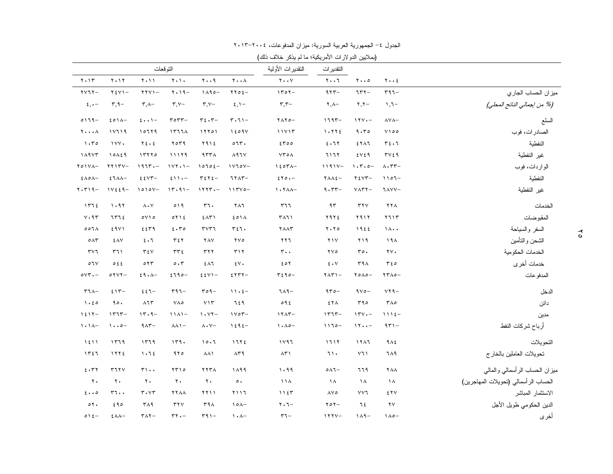|                              |                            |                                          |                          |                                       |                                  | (بملايين الدولارات الأمريكية؛ ما لم يذكر خلاف ذلك) |                                     |                               |                                                |                                      |
|------------------------------|----------------------------|------------------------------------------|--------------------------|---------------------------------------|----------------------------------|----------------------------------------------------|-------------------------------------|-------------------------------|------------------------------------------------|--------------------------------------|
|                              |                            |                                          | النوقعات                 |                                       |                                  | النقديرات الأولية                                  | النقدير ات                          |                               |                                                |                                      |
| $Y \cdot Y$                  | $Y \cdot Y$                | $Y \cdot Y$                              | $Y \cdot Y$              | $\mathbf{y} \cdot \mathbf{y}$         | $Y \cdot \cdot \wedge$           | $Y \cdot Y$                                        | $\mathbf{y} \cdot \mathbf{y}$       | $\mathbf{y} \cdot \mathbf{z}$ | $y \cdot z$                                    |                                      |
| $\gamma \gamma \gamma -$     | $Y \xi Y$ ) -              | $YYYY -$                                 | $Y \cdot 19 -$           | $1190-$                               | $\gamma \gamma \circ \epsilon$ - | $1707-$                                            | $977 -$                             | $757 -$                       | $r97-$                                         | ميزان الحساب الجاري                  |
| $\xi, \cdot -$               | $\mathbf{r}, \mathbf{q}$ - | $\mathsf{r}$ , $\wedge$ -                | $\mathbf{r}, \mathbf{v}$ | $\mathbf{r}$ , Y-                     | $\xi, \lambda -$                 | $\mathbf{r}, \mathbf{r}$                           | $\mathbf{Y}, \mathbf{A}$ -          | $\mathbf{y}, \mathbf{y} -$    | $\lambda, \lambda -$                           | (% من إجمالي الناتج المحلي)          |
| $0119-$                      | 201                        | $\{ \cdot \cdot \}$ -                    | $r$ $\circ$ $r$ $r$ $-$  | $r_{\epsilon}$ . $r-$                 | $\mathbf{r} \cdot \mathbf{v}$    | $YAYO -$                                           | $1797 -$                            | $111 - -$                     | $\lambda$ Y $\lambda-$                         | السلع                                |
| $y \ldots \lambda$           | 11119                      | 10779                                    | 1577A                    | 11101                                 | 1209V                            | 11117                                              | 1.772                               | 9.50                          | $Y \cap \circ \circ$                           | الصادرات، فوب                        |
| 1.50                         | 1YY                        | $Y\xi \cdot \xi$                         | 7079                     | ۲۹۱٤                                  | 077.                             | 5700                                               | 5.77                                | ETAT                          | $r_{\epsilon}$ .                               | النفطية                              |
| 1111                         | 10159                      | 15770                                    | 11179                    | 457A                                  | $\lambda$ 97 $\vee$              | $YY \circ A$                                       | 7177                                | 2V29                          | $\mathbf{r} \vee \mathbf{\epsilon} \mathbf{q}$ | غير النفطية                          |
| $Y \circ Y \wedge -$         | $YYYYY -$                  | $1977 -$                                 | $111 + -$                | $10702 -$                             | $1Y10Y-$                         | $150T_A -$                                         | $1191Y -$                           | $1.7.0 -$                     | $\Lambda \cdot \tau \tau -$                    | الواردات، فوب                        |
| $2 \wedge \circ \wedge -$    | $57AA-$                    | $E$ $V$ ۳ –                              | $511 -$                  | $\tau$ $\epsilon$ $\tau$ $\epsilon$ - | $77AT-$                          | $2Y0 -$                                            | $Y \wedge \wedge 2 -$               | $Y \xi Y Y -$                 | $1107 -$                                       | النفطية                              |
| $Y \cdot Y$ $9 -$            | $1 V & 2 4 -$              | $1010V -$                                | $15.91 -$                | $1117 - -$                            | $117Y0 -$                        | $\lambda$ . $\lambda$                              | $9.57 -$                            | $Y\wedge YY -$                | ٦٨٧٧-                                          | غير النفطية                          |
| 1772                         | 1.91                       | $\lambda \cdot V$                        | 019                      | 57.                                   | ۲۸٦                              | ٣٦٦                                                | ۹۳                                  | $\tau\tau\vee$                | ۲۲۸                                            | الخدمات                              |
| $V \cdot 95$                 | س 7 7 2                    | $0 \vee 10$                              | 0 Y Y E                  | $2\Lambda T$                          | 501A                             | ۳۸٦١                                               | ٢٩٢٤                                | ۲۹۱۲                          | 5115                                           | المقبوضات                            |
| 001A                         | 29Y1                       | 2579                                     | 5.70                     | $r\vee r\vee$                         | $r_{5}$                          | <b>YAAT</b>                                        | $Y \cdot Y \circ$                   | 1922                          | $1 \wedge \cdot \cdot$                         | السفر والسياحة                       |
| $\circ \wedge \tau$          | ٤٨٧                        | $2 \cdot 7$                              | ٣٤٢                      | <b>YAY</b>                            | $\forall \forall \circ$          | ۲۲٦                                                | $Y \wedge Y$                        | ۲۱۹                           | 19 <sub>A</sub>                                | الشحن والنأمين                       |
| $\mathbf{r} \vee \mathbf{r}$ | ۳٦١                        | $\tau \epsilon v$                        | $\tau\tau\epsilon$       | ۳۲۲                                   | $\mathbf{r} \wedge \mathbf{r}$   | $r \cdot \cdot$                                    | $\gamma \vee \circ$                 | ro.                           | $\mathbf{Y} \mathbf{V}$                        | الخدمات الحكومية                     |
| $\circ \mathcal{N}$          | 0.5.5                      | $\circ$ $\uparrow$ $\uparrow$            | $\circ \cdot \tau$       | $2\Lambda$                            | $\mathfrak{z}_v$                 | 20Y                                                | $\mathbf{\hat{z}}\bullet\mathbf{V}$ | ۳۹۸                           | 56                                             | خدمات أخرى                           |
| $oVT$ . -                    | $0 Y YY -$                 | $29.1 -$                                 | $2790 -$                 | $E$ $E$ $V$ $V$ $-$                   | $5577 -$                         | $5590 -$                                           | $Y \wedge Y$ ) –                    | $Y \circ \wedge \circ -$      | $YY \wedge o -$                                | المدفو عات                           |
| $T1\lambda-$                 | $515 -$                    | $22 - 5$                                 | $r97-$                   | $roq-$                                | $11.5 -$                         | $719-$                                             | $970 -$                             | $9V0 -$                       | $YY9-$                                         | الدخل                                |
| 1.50                         | 90.                        | $\lambda$ $\lambda$ $\tau$               | $V \wedge \circ$         | YY                                    | 729                              | 092                                                | ٤٢Λ                                 | ۳۹۰                           | $\mathbf{r} \wedge \mathbf{r}$                 | دائن                                 |
| $1517-$                      | $1577 -$                   | $15.9-$                                  | $11A1-$                  | $\eta \cdot \gamma \gamma -$          | $1 \vee \circ \tau -$            | $17AT -$                                           | $1577 -$                            | $111 -$                       | $1115 -$                                       | مدين                                 |
| $\lambda \cdot \lambda$ -    | $\cdot \cdot \circ -$      | $9\wedge 7$ -                            | $\lambda \lambda$ $-$    | $\Lambda \cdot \mathrm{V}$ -          | $1595-$                          | $\lambda \cdot \lambda$ o-                         | $1170 -$                            | 11                            | $951 -$                                        | أرباح شركات النفط                    |
| 1511                         | 1579                       | 1579                                     | ۱۳۹۰                     | 10.7                                  | 1172                             | ۱۷۹٦                                               | 1717                                | 1111                          | 9 <sub>Λ</sub>                                 | التحويلات                            |
| ۱۳٤٦                         | 1772                       | 1.72                                     | 970                      | <b>AA1</b>                            | $\lambda$ ۳۹                     | $\Lambda \Upsilon$                                 | ٦١.                                 | ۷٦١                           | ٦٨٩                                            | نحويلات العاملين بالخارج             |
| 5.57                         | 5777                       | $\mathbf{r}\cdot\cdot$                   | ۲۳۱۰                     | <b>TYTA</b>                           | 1899                             | 1.99                                               | $0 \wedge 1 -$                      | ٦٦٩                           | <b>YAA</b>                                     | ميزان الحساب الرأسمالي والمالي       |
| $\mathbf{r}$ .               | $\mathbf{v}$ .             | $\mathbf{y}$ .                           | $\mathbf{y}$ .           | $\mathbf{y}$ .                        | $\circ$ .                        | 11 <sub>A</sub>                                    | ١٨                                  | ١٨                            | ١٨                                             | الحساب الرأسمالي (تحويلات المهاجرين) |
| 5.00                         | $rr \cdot \cdot$           | $\mathbf{r} \cdot \mathbf{v} \mathbf{r}$ | <b>XYAA</b>              | ۱ ۱ ۲ ۲                               | ۲۱۱٦                             | 1157                                               | $\Lambda$ Y $\circ$                 | ٧٧٦                           | ٤٢٧                                            | الاستثمار المباشر                    |
| $\circ \gamma$ .             | 290                        | <b>٣٨٩</b>                               | $\tau \tau \vee$         | 44A                                   | $\lambda$                        | $\mathbf{Y} \cdot \mathbf{Y} -$                    | $Y \circ Y -$                       | ٦٤                            | $\mathbf{Y} \mathbf{V}$                        | الدين الحكومي طويل الأجل             |
| $016-$                       | $£AA-$                     | $T\wedge T-$                             | $rr -$                   | $\Gamma$ 91-                          | $\lambda \cdot \lambda -$        | $r -$                                              | $111Y -$                            | $119-$                        | $1\wedge o-$                                   | أخرى                                 |

الجدول ٤– الجمهورية العربية السورية: ميزان المدفوعات، ٢٠٠٤–٢٠١٣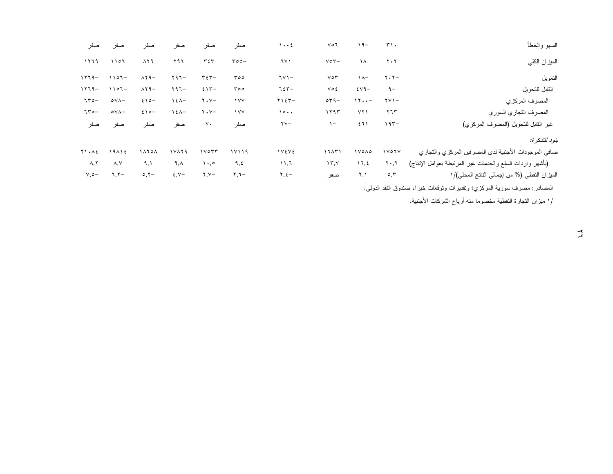| صفر                | صفر             | صفر                              | صفر                     | صفر                                            | صفر        | $\cdots$                | ٧٥٦                  | $19-$     | $T$ .                           | السهو والخطأ                                              |
|--------------------|-----------------|----------------------------------|-------------------------|------------------------------------------------|------------|-------------------------|----------------------|-----------|---------------------------------|-----------------------------------------------------------|
| ۱۲٦۹               | 1107            | $\lambda$ $\zeta$ $\zeta$        | ۲۹٦                     | ٣٤٣                                            | $roo-$     | ٦٧١                     | $\vee \circ \vee$    | $\lambda$ | $\mathbf{y} \cdot \mathbf{y}$   | الميز ان الكلي                                            |
| $1119 -$           | $1107 -$        | $\lambda$ $\gamma$ $-$           | $Y97-$                  | $\mathbf{r} \mathbf{\varepsilon} \mathbf{r}$ - | ۳٥٥        | $TV -$                  | $V \circ Y$          | $\lambda$ | $\mathbf{y} \cdot \mathbf{y} -$ | التمويل                                                   |
| $1119 -$           | $1107 -$        | $\lambda$ $\lambda$ $\theta$ $-$ | $Y97-$                  | $515 -$                                        | roo        | てをザー                    | ٧٥٤                  | $2V9-$    | $9-$                            | القابل للتحويل                                            |
| $150 -$            | $oV\Lambda-$    | $2 \wedge 0 -$                   | $\lambda \xi \lambda -$ | $\mathbf{y} \cdot \mathbf{y} -$                | $\gamma$   | $Y15Y-$                 | $\circ \tau -$       | 11        | $\forall y$ ) –                 | المصرف المركزي                                            |
| $150 -$            | $oV\Lambda-$    | $2 \wedge 0 -$                   | $\lambda \xi \lambda -$ | $\mathbf{y} \cdot \mathbf{y} -$                | $\sqrt{V}$ | 10                      | ۱۲۹۳                 | YY        | ۲٦٣                             | المصرف النجاري السوري                                     |
| صفر                | صفر             | صفر                              | صفر                     | $\vee$ .                                       | صفر        | $\mathsf{Y} \mathsf{V}$ | $\sim$               | ٤٦١       | $195 -$                         | غير القابل للتحويل (المصرف المركزي)                       |
|                    |                 |                                  |                         |                                                |            |                         |                      |           |                                 | بنود للتذكر ة:                                            |
| <b>T1.AE</b>       | 19112           | ۱۸٦٥٨                            | 1 Y A Y 9               | $1 \vee \circ \Upsilon \Upsilon$               | 11119      | <b>IVEVE</b>            | 17AY                 | 1 YO AO   | $1$ $V$ $0$ $1$ $V$             | صافي الموجودات الأجنبية لدى المصرفين المركزي والتجاري     |
| $\lambda, \lambda$ | $\lambda, \vee$ | ۹,۱                              | ۹,۸                     | $\cdot$ ,0                                     | ٩,٤        | $\lambda$               | $\Upsilon, \Upsilon$ | 11, 2     | $\mathbf{Y} \cdot \mathbf{Y}$   | (بأشهر واردات السلع والخدمات غير المرتبطة بعوامل الإنتاج) |
| $V, \circ -$       | $7,7-$          | $\circ, \circ -$                 | $\xi, \forall -$        | $Y, Y-$                                        | −۲,۲       | $\Upsilon, \Sigma$ -    | صفر                  | ۲,۱       | $\circ, \tau$                   | الميزان النفطي (% من إجمالي الناتج المحلي)/١              |

المصادر : مصرف سورية المركزي؛ ونقديرات ونوقعات خبراء صندوق النقد الدولي.

/١ ميزان التجارة النفطية مخصوما منه أرباح الشركات الأجنبية.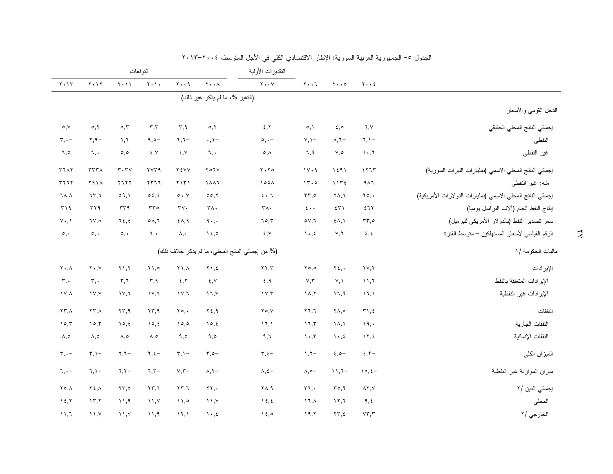|                                                            |                                         |                                     |                                          | النقديرات الأولية                               |                                                  |                                     | النوقعات                            |                                     |                                          |                                     |
|------------------------------------------------------------|-----------------------------------------|-------------------------------------|------------------------------------------|-------------------------------------------------|--------------------------------------------------|-------------------------------------|-------------------------------------|-------------------------------------|------------------------------------------|-------------------------------------|
|                                                            | $Y \cdot \cdot 2$                       | $\mathbf{y} \cdot \cdot \mathbf{0}$ | $\mathbf{y} \cdot \mathbf{y}$            | $Y \cdot Y$                                     | $\mathbf{Y} \bullet \bullet \mathbf{A}$          | $Y \cdot \cdot 9$                   | $Y \cdot Y \cdot$                   | $Y \cdot Y$                         | $Y \cdot Y$                              | $Y \cdot Y$                         |
|                                                            |                                         |                                     |                                          |                                                 | (التغير %، ما لم يذكر غير ذلك)                   |                                     |                                     |                                     |                                          |                                     |
| الدخل القومي والأسعار                                      |                                         |                                     |                                          |                                                 |                                                  |                                     |                                     |                                     |                                          |                                     |
| إجمالي الناتج المحلي الحقيقي                               | ٦,٧                                     | 5,0                                 | $\circ, \circ$                           | 5, 7                                            | $\circ$ , $\circ$                                | $\mathbf{r}, \mathbf{q}$            | $\mathbf{r},\mathbf{r}$             | $\circ, \tau$                       | 0, 1                                     | $\circ, \vee$                       |
| النفطي                                                     | $7, 1 -$                                | $\lambda, \lambda -$                | $Y, Y -$                                 | $\circ, \cdot -$                                | $\cdot, \cdot$                                   | $\mathbf{y}, \mathbf{y}$            | $9,0-$                              | 1, 7                                | $Y, 9 -$                                 | $\mathbf{r}, \cdot$                 |
| غير النفطي                                                 | $\mathcal{N} \cdot \mathcal{N}$         | ٧,٥                                 | ٦,٩                                      | $\circ, \wedge$                                 | ٦,٠                                              | ٤,٧                                 | ٤,٧                                 | $\circ, \circ$                      | ٦,٠                                      | ٦,٥                                 |
| إجمالي الناتج المحلي الاسمي (بمليارات الليرات السورية)     | 1117                                    | 1591                                | 11.9                                     | $Y \cdot Y$                                     | $Y \circ 7Y$                                     | <b>YEVV</b>                         | $\gamma \gamma \gamma \gamma$       | $\mathbf{r} \cdot \mathbf{r}$       | TTTA                                     | <b>TIAY</b>                         |
| منه: غير النفطي                                            | 9 <sub>A</sub> 7                        | 1172                                | 15.0                                     | 100 <sub>A</sub>                                | 1847                                             | $Y \setminus Y$                     | $YY$ $77$                           | YIYY                                | <b>7914</b>                              | <b>٣٢٦٢</b>                         |
| إجمالي الناتج المحلي الاسمى (بمليارات الدولارات الأمريكية) | $Y \circ$ .                             | ۲۸,٦                                | $rr, \circ$                              | $5 \cdot 7$                                     | 00,7                                             | $\circ \cdot \cdot \vee$            | $\circ \xi, \xi$                    | $\circ$ 9, 1                        | 7777                                     | ٦٨,٨                                |
| إنتاج النفط الخام (ألاف البر اميل يوميا)                   | ٤٦٢                                     | 551                                 | $\epsilon \cdot \cdot$                   | $\mathsf{r}\wedge\cdot$                         | $\mathsf{r}\wedge\cdot$                          | $\tau v$ .                          | rro                                 | rr9                                 | rr9                                      | $\uparrow$ 19                       |
| سعر تصدير النفط (بالدولار الأمريكي للبرميل)                | $rr, \circ$                             | $\S$ $\wedge$ , $\wedge$            | $\circ$ $\vee$ , $\vee$                  | 70,7                                            | $4 \cdot$ ,                                      | $\xi \wedge, \xi$                   | $\circ \wedge, \vee$                | 75, 2                               | ٦٧,٨                                     | $\vee \cdot, \vee$                  |
| الرقم القياسي لأسعار المستهلكين – منوسط الفترة             | $\mathbf{\hat{z}}$ , $\mathbf{\hat{z}}$ | Y, Y                                | $\mathcal{N} \cdot \mathcal{K}$          | $\mathbf{\mathfrak{c}}$ , $\mathbf{\mathsf{v}}$ | $\lambda \xi$ ,0                                 | ۸,٠                                 | ٦,٠                                 | $\circ, \cdot$                      | $\circ, \cdot$                           | $\circ, \cdot$                      |
| ماليات الحكومة /١                                          |                                         |                                     |                                          |                                                 | (% من إجمالي الناتج المحلي، ما لم يذكر خلاف ذلك) |                                     |                                     |                                     |                                          |                                     |
| الإير ادات                                                 | $\mathbf{y} \mathbf{y}, \mathbf{y}$     | $Y \xi$ ,                           | $Y \circ \circ$                          | $\mathbf{y}$                                    | $\gamma$ ), $\epsilon$                           | $\lambda, \lambda$                  | $Y \setminus \circ$                 | $\gamma$ ), $\gamma$                | $\mathbf{Y} \cdot \mathbf{,} \mathbf{Y}$ | $\mathbf{Y} \cdot \mathbf{A}$       |
| الإير ادات المتعلقة بالنفط                                 | 11.7                                    | Y, Y                                | $\vee,\curlyvee$                         | 5,9                                             | $\xi, V$                                         | 5,7                                 | ۳,۹                                 | $\mathbf{r}, \mathbf{v}$            | $\mathbf{r}$ .                           | $\mathbf{r}$ ,.                     |
| الإير ادات غير النفطية                                     | 11,1                                    | ۱٦,٩                                | $\lambda, \lambda$                       | $\gamma \gamma$                                 | 17, 1                                            | $\gamma \gamma$                     | $\gamma$ / $\gamma$                 | $\gamma$                            | $\gamma$                                 | $\lambda \vee, \lambda$             |
| النفقات                                                    | $\uparrow$ ۱, ٤                         | ۲۸,٥                                | $\mathbf{Y}$ $\mathbf{Y}$ , $\mathbf{Y}$ | $Y \circ Y$                                     | $Y\xi, \eta$                                     | $\mathbf{y} \circ \mathbf{y}$       | $\mathbf{y} \mathbf{y}, \mathbf{y}$ | $\mathbf{y} \mathbf{y}, \mathbf{y}$ | $\mathbf{Y} \mathbf{Y}, \mathbf{A}$      | $\mathbf{Y} \mathbf{Y}, \mathbf{A}$ |
| النفقات الجارية                                            | 19,                                     | $\lambda, \lambda$                  | 17,7                                     | 17,1                                            | 10, 2                                            | 10,0                                | 10, 2                               | 10, 2                               | 10,7                                     | 10,7                                |
| النفقات الإنمائية                                          | $\gamma$ , $\zeta$                      | $\mathcal{N} \cdot \mathcal{N}$     | $\upgamma$ , $\upgamma$                  | ۹,٦                                             | ۹,٥                                              | ۹,٥                                 | ٨,٥                                 | ۸,٥                                 | $\lambda, \circ$                         | ۸,٥                                 |
| الميزان الكلي                                              | $5, 7$ -                                | $2,0-$                              | $\gamma$ , $\gamma -$                    | $\tau, \epsilon$ -                              | $\mathbf{r}$ , $\circ$ -                         | $\mathbf{r}, \mathbf{v}$            | $\Upsilon, \xi -$                   | $\mathbf{y}, \mathbf{y}$            | $\mathbf{r}, \mathbf{v}$                 | $\mathbf{r}, \cdot$ -               |
| ميزان الموازنة غير النفطية                                 | $10, 5 -$                               | $11,7-$                             | $\lambda, \circ -$                       | $\lambda, \xi -$                                | $\lambda, \Upsilon$                              | $\vee$ , $\tau-$                    | $7,7-$                              | $7,7-$                              | $7, 1 -$                                 | $\mathcal{L}, \cdot -$              |
| إجمالي الدين /٢                                            | $\land \curlyvee, \lor$                 | ro, 9                               | $r_{7}$ .                                | ۲۸,۹                                            | $\mathbf{Y}$                                     | $\mathbf{Y} \mathbf{Y}, \mathbf{Y}$ | $\mathbf{Y}\mathbf{Y}, \mathbf{Y}$  | $\mathbf{Y}\mathbf{Y}, \mathbf{0}$  | $Y \xi, \Lambda$                         | ۲٥,٨                                |
| المحلي                                                     | ٩,٤                                     | 17.7                                | ۱٦,٨                                     | $\lambda \xi, \xi$                              | $\lambda$ , $\lambda$                            | 11,0                                | $\lambda$ , $\lambda$               | $\lambda$ , 9                       | $\gamma$                                 | $\lambda \xi, \overline{\lambda}$   |
| الخارجي /٢                                                 | VT, r                                   | $\Upsilon \Upsilon, \Sigma$         | 19,7                                     | 15,0                                            | $\mathcal{N} \cdot \mathcal{N}$                  | $\lambda \lambda$                   | 11,9                                | $\lambda, \lambda, \lambda$         | 11.7                                     | 11,7                                |

#### الجدول ٥– الجمهورية العربية السورية: الإطار الاقتصادي الكلي في الأجل المتوسط، ٢٠١٤–٢٠١٢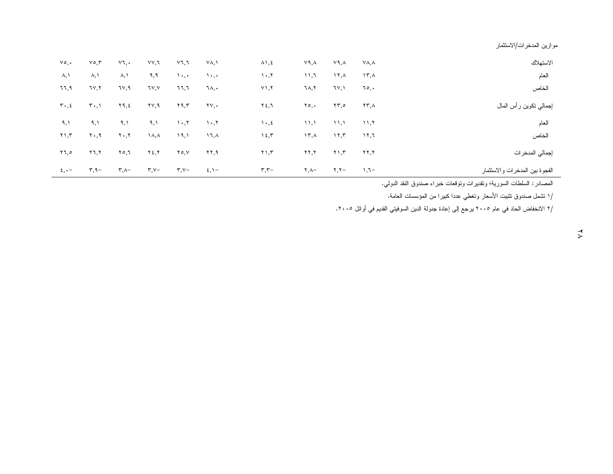موازين المدخرات/الاستثمار

| الاستهلاك                       | YA, A                           | ۷۹,۸                       | ۷۹,۸                     | $\lambda$ \, {                  | ۷۸, ۱             | ۷٦,٦                            | ۷۷,٦                     | ٧٦,٠                          | $\vee \circ, \vee$         | $\vee \circ$ , .              |
|---------------------------------|---------------------------------|----------------------------|--------------------------|---------------------------------|-------------------|---------------------------------|--------------------------|-------------------------------|----------------------------|-------------------------------|
| العام                           | ۱۳, $\lambda$                   | ۱۲, $\lambda$              | ۶۱,۲                     | $\mathcal{N} \cdot \mathcal{N}$ | $\lambda$         | $\lambda$ , , ,                 | ۹,۹                      | $\lambda, \lambda$            | ۸,۱                        | $\lambda, \lambda$            |
| الخاص                           | ٦٥,٠                            | ٦٧,١                       | ٦٨,٢                     | $Y \setminus, Y$                | ٦٨,٠              | ٦٦,٦                            | ٦٧,٧                     | ٦٧,٩                          | ٦٧,٢                       | ٦٦,٩                          |
| إجمالي نكوبن رأس المال          | ۲۳,۸                            | ۲۳,٥                       | ۲٥,٠                     | ۲٤,٦                            | 7 Y , .           | ۲۹,۳                            | ۲∨,۹                     | ۲۹, ٤                         | $T \cdot 1$                | $\mathbf{r} \cdot \mathbf{z}$ |
| العام                           | $\mathcal{N}, \mathcal{N}$      | $\mathcal{N}, \mathcal{N}$ | ۱۱,۱                     | $\lambda$ , $\epsilon$          | $\cdot$ , $\cdot$ | $\mathcal{N} \cdot \mathcal{N}$ | ۹,۱                      | ۹,۱                           | ۹,۱                        | ۹,۱                           |
| الخاص                           | $\lambda$ $\lambda$ , $\lambda$ | $\mathcal{N}, \mathcal{N}$ | ۱۳,۸                     | $\lambda \xi, \overline{\tau}$  | ۱٦,۸              | ۱۹,۱                            |                          | $\mathbf{Y} \cdot \mathbf{Y}$ | ۲۰,۹                       | $Y \setminus Y$               |
| إجمالي المدخرات                 | ۲۲,۲                            | $Y \setminus Y$            | $\mathbf{y}$             | $Y \setminus T$                 | ۲۲,۹              | 70, V                           | ۲٤,۲                     | $Y \circ 7$                   | ۲٦,۲                       | ۲٦,٥                          |
| الفجوة ببين المدخرات والاستثمار | $\neg$ , $\uparrow$             | $\mathbf{Y}, \mathbf{Y}$   | $\mathbf{Y}, \mathbf{A}$ | $\mathbf{r}, \mathbf{r}$ -      | $\xi, \lambda -$  | $\mathbf{r}$ , $\mathbf{v}$ –   | $\mathbf{r}, \mathbf{v}$ | $\mathsf{r}$ , $\wedge$ -     | $\mathbf{r}, \mathbf{q}$ - | $\epsilon, \cdot -$           |

المصادر : السلطات السورية؛ وتقديرات ونوقعات خبراء صندوق النقد الدولي.

/ا نتثمل صندوق نتثبيت الأسعار ونغطي عددا كبيرا من المؤسسات العامة.

/٢ الانخفاض الحاد في عام ٢٠٠٥ يرجع إلى إعادة جدولة الدين السوفيتي القديم في أوائل ٢٠٠٥.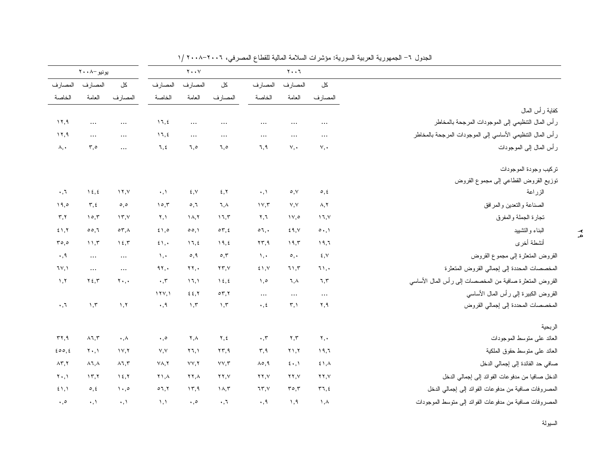|                              | بونيو -۰۸ ۲۰۰                 |                         |                                | $Y \cdot Y$               |                                    |                                                | $Y \cdot \cdot Y$        |                                     |                                                            |
|------------------------------|-------------------------------|-------------------------|--------------------------------|---------------------------|------------------------------------|------------------------------------------------|--------------------------|-------------------------------------|------------------------------------------------------------|
| المصارف                      | المصارف                       | کل                      | المصارف                        | المصارف                   | کل                                 | المصارف                                        | المصارف                  | کل                                  |                                                            |
| الخاصة                       | العامة                        | المصارف                 | الخاصة                         | العامة                    | المصارف                            | الخاصة                                         | العامة                   | المصارف                             |                                                            |
|                              |                               |                         |                                |                           |                                    |                                                |                          |                                     | كفاية رأس المال                                            |
| 17.9                         | $\cdots$                      | $\cdots$                | 11, 2                          | $\cdots$                  | $\cdots$                           |                                                |                          |                                     | ر أس المال النتظيمي إلى الموجودات المرجحة بالمخاطر         |
| 17,9                         | $\cdots$                      | $\cdots$                | 11, 2                          | $\cdots$                  | $\cdots$                           | $\cdots$                                       | $\cdots$                 | $\cdots$                            | ر أس المال النتظيمي الأساسي إلى الموجودات المرجحة بالمخاطر |
| $\lambda, \cdot$             | $\mathfrak{r}, \circ$         | $\cdots$                | ٦,٤                            | ٦,٥                       | ٦,٥                                | ٦,٩                                            | $\vee, \cdot$            | V,                                  | ر أس المال إلى الموجودات                                   |
|                              |                               |                         |                                |                           |                                    |                                                |                          |                                     | تركيب وجودة الموجودات                                      |
|                              |                               |                         |                                |                           |                                    |                                                |                          |                                     | نوزيع القروض القطاعي إلىى مجموع القروض                     |
| $\cdot$ , $\tau$             | $\lambda \xi, \xi$            | $\lambda$               | $\cdot$ , $\lambda$            | $\xi, \forall$            | 5, 7                               | $\cdot, \cdot$                                 | $\circ, \vee$            | $\circ, \circ$                      | الزراعة                                                    |
| 19.0                         | $\mathbf{r}, \mathbf{t}$      | $\circ$ , $\circ$       | 10.7                           | 0,7                       | ٦.٨                                | 11.5                                           | V, V                     | $\lambda, \lambda$                  | الصناعة والتعدين والمرافق                                  |
| $\mathbf{r}, \mathbf{r}$     | 10,7                          | $\Upsilon$              | ۲,۱                            | $\lambda, \lambda$        | 17.5                               | ۲,٦                                            | 11,0                     | 17, 1                               | نجارة الجملة والمفرق                                       |
| 51.7                         | 00,7                          | $\circ \tau$ , $\wedge$ | 51,0                           | 00.1                      | $\circ \tau, \epsilon$             | $\circ 7$ .                                    | 29.5                     | $\circ \cdot \cdot$                 | البناء والتشييد                                            |
| ro,o                         | 11.5                          | 15.7                    | 51.                            | 11, 2                     | 19, 2                              | $\mathbf{Y}\mathbf{Y}, \mathbf{Y}$             | ۱۹,۳                     | ۱۹,٦                                | أنشطة أخرى                                                 |
| $\cdot$ , 9                  | $\cdots$                      | $\cdots$                | $\lambda$ , $\cdot$            | $\circ$ , 9               | $\circ$ , $\mathsf{r}$             | $\lambda$ , $\cdot$                            | $\circ$ .                | $\xi, \forall$                      | القروض المتعثرة إلى مجموع القروض                           |
| 7Y, Y                        | $\cdots$                      | $\cdots$                | 91.                            | $\mathbf{Y} \mathbf{Y}$ . | $\mathbf{Y}\mathbf{Y},\mathbf{Y}$  | 51.5                                           | 71.5                     | 71.                                 | المخصصات المحددة إلى إجمالي القروض المتعثرة                |
| $\lambda, \lambda$           | $Y \xi, Y$                    | $\mathbf{y}$ .          | $\cdot$ , $\tau$               | 17,1                      | $\lambda \xi, \xi$                 | $\lambda, \circ$                               | ٦,٨                      | ٦,٣                                 | القروض المنعثرة صافية من المخصصات إلى رأس المال الأساسى    |
|                              |                               |                         | 111, 1                         | 22.7                      | $\circ \tau, \tau$                 | $\cdots$                                       | $\cdots$                 | $\ldots$                            | القروض الكبيرة إلىي رأس المال الأساسى                      |
| $\cdot$ , $\tau$             | $\lambda, \overline{\lambda}$ | , 7                     | $\cdot$ , 9                    | $\lambda, \tau$           | $\mathcal{N}, \mathcal{N}$         | $\cdot$ , $\epsilon$                           | $\mathbf{r}, \mathbf{v}$ | ۲.۹                                 | المخصصات المحددة إلى إجمالي القروض                         |
|                              |                               |                         |                                |                           |                                    |                                                |                          |                                     | الر بحية                                                   |
| rr, q                        | $\land$ 7, $\curlyvee$        | $\cdot$ , $\wedge$      | $\boldsymbol{\cdot}$ , $\circ$ | ۲,۸                       | ۲,٤                                | $\boldsymbol{\cdot}$ , $\boldsymbol{\uparrow}$ | ۲,۳                      | $\mathbf{y}, \mathbf{y}$            | العائد على منوسط الموجودات                                 |
| 200.5                        | $Y \cdot 1$                   | 1Y, Y                   | V, V                           | 17.1                      | $\mathbf{Y}\mathbf{Y}, \mathbf{Y}$ | ۳,۹                                            | Y1.7                     | 19,7                                | العائد على منوسط حقوق الملكية                              |
| $\Lambda \Upsilon, \Upsilon$ | $\lambda$ 1, $\lambda$        | $\lambda$ ٦,٣           | $Y\Lambda, Y$                  | VV, Y                     | VV,Y                               | $\lambda \circ, 9$                             | 5.1                      | 51,                                 | صافي حد الفائدة إلى إجمالي الدخل                           |
| $Y \cdot 1$                  | 15.7                          | 15.7                    | ۲۱,۸                           | ۲۲.۸                      | YY, Y                              | $\mathbf{Y} \mathbf{Y}, \mathbf{Y}$            | YY, V                    | $\mathbf{Y} \mathbf{Y}, \mathbf{Y}$ | الدخل صافيا من مدفوعات الفوائد إلى إجمالي الدخل            |
| 51.1                         | $\circ$ , $\epsilon$          | $\cdot$ ,0              | 07,7                           | 17.9                      | $\lambda, \tau$                    | 75.7                                           | $r \circ r$              | ۳٦,٤                                | المصروفات صافية من مدفوعات الفوائد إلىي إجمالي الدخل       |
| $\cdot$ , $\circ$            | $\cdot$ , $\backslash$        | $\cdot, \cdot$          | $\lambda$ , $\lambda$          | $\cdot$ , $\circ$         | $\cdot$ , $\tau$                   | $\cdot$ , 9                                    | 1,9                      | $\lambda, \lambda$                  | المصروفات صافية من مدفوعات الفوائد إلى منوسط الموجودات     |

الجدول ٦– الجمهورية العربية السورية: مؤشرات السلامة المالية للقطاع المصرفي، ٢٠٠٦–٢٠٠٨ /١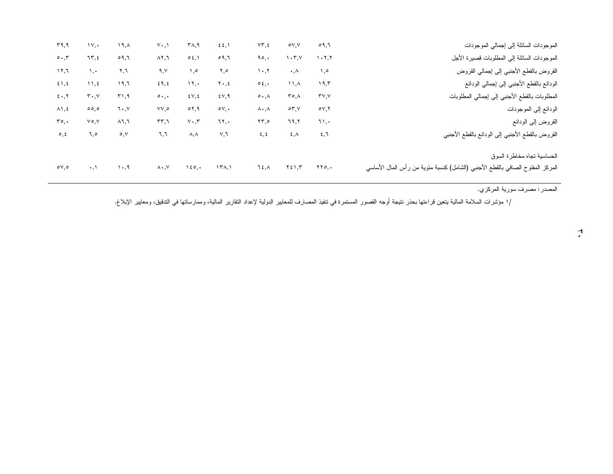| الموجودات السائلة إلى إجمالي الموجودات                                         | 09,7                         | oV, V                                        | $VT, \xi$                          | $\S$ $\S$ , $\S$             | $\mathsf{r}_{\mathsf{A},\mathsf{A}}$ | $Y \cdot, Y$                    | ۱۹, $\lambda$ | $\mathcal{N}, \cdot$          | ۳۹,۹                |
|--------------------------------------------------------------------------------|------------------------------|----------------------------------------------|------------------------------------|------------------------------|--------------------------------------|---------------------------------|---------------|-------------------------------|---------------------|
| الموجودات السائلة إلى المطلوبات قصيرة الأجل                                    | 1.7.7                        | $\mathcal{N} \cdot \mathcal{L}, \mathcal{N}$ | 90,                                | 09,7                         | 0.5, 1                               | $\lambda$ $\lambda$ , $\lambda$ | 09,7          | 75, 2                         | $\circ \cdot \cdot$ |
| القروض بالقطع الأجنبي إلىى إجمالي القروض                                       | 1,0                          | $\cdot$ , $\wedge$                           | 1.7                                | ٥, ۲                         | ٥, ١                                 | 9, 1                            | ۲,٦           | ۰.۱                           | 17,7                |
| الودائع بالقطع الأجنبي إلى إجمالي الودائع                                      | 19,5                         | ۸۱.۸                                         | $\circ \xi$ , $\cdot$              | $Y \cdot 5$                  | $\mathcal{N}, \cdot$                 | 29, 2                           | ۱۹,٦          | $\mathcal{N}, \mathcal{L}$    | 5, 5                |
| المطلوبات بالقطع الأجنبي إلى إجمالي المطلوبات                                  | $\mathbf{r} \vee \mathbf{v}$ | ۸,۳۰                                         | $\circ \cdot \wedge$               | $2 \vee 7$                   | $\mathcal{E} \vee, \mathcal{E}$      | $\circ \cdot \cdot$             | 51,9          | $\mathbf{r} \cdot \mathbf{v}$ | $5 \cdot 7$         |
| الودائع إلى الموجودات                                                          | oV, V                        | $\circ \tau$ , $\vee$                        | ۸۰,۸                               | $\circ v$ ,.                 | $\circ$ 7,9                          | ۷۷,٥                            | ٦.,٧          | 00,0                          | $\lambda$ 1, 2      |
| القروض إلىي الودائع                                                            | ٦١,٠                         | ٦٩,٢                                         | $\mathbf{Y}\mathbf{y}, \mathbf{0}$ | ٦٢,٠                         | $Y \cdot T$                          | rr,7                            | $\lambda$ ٦,٦ | $V \circ V$                   | ro.                 |
| القروض بالقطع الأجنبي إلىى الودائع بالقطع الأجنبي                              | 2,7                          | $\epsilon, \lambda$                          | $\epsilon, \epsilon$               | ٧,٦                          | $\lambda, \lambda$                   | ٦,٦                             | $\circ, \vee$ | ٦,٥                           | $\circ$ , $\circ$   |
| الحساسية نجاه مخاطرة السوق                                                     |                              |                                              |                                    |                              |                                      |                                 |               |                               |                     |
| المركز المفتوح الصافي بالقطع الأجنبي (الشامل) كنسبة مئوية من رأس المال الأساسى | $\Upsilon\Upsilon$ o,.       | $Y \xi Y, Y$                                 | ٦٤,٨                               | $\Upsilon(\lambda, \lambda)$ | $1\epsilon$ o, $\cdot$               | $\lambda \cdot, \vee$           | $\cdot$ ,9    | $\cdot$ , $\lambda$           | $\circ \vee, \circ$ |
|                                                                                |                              |                                              |                                    |                              |                                      |                                 |               |                               |                     |

المصدر : مصرف سورية المركزي.

/ا مؤشرات السلامة المالية يتعين قراءتها بحذر ننتيجة أوجه القصور المستمرة في تنفيذ المصالين الدولية لإعداد التقارير المالية، وممارساتها في التدقيق، ومعايير الإبلاغ.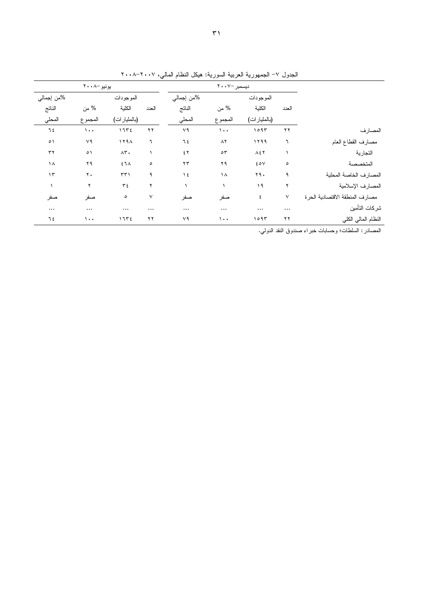|             |                |                            |          | -م ستسي.<br>جب | سررہ<br>يسربيه | يجتهرب        | جبرن     |                                |  |  |  |
|-------------|----------------|----------------------------|----------|----------------|----------------|---------------|----------|--------------------------------|--|--|--|
| پونيو –۲۰۰۸ |                |                            |          | دیسمبر ۲۰۰۷    |                |               |          |                                |  |  |  |
| %من إجمالي  |                | الموجودات                  |          | %من إجمالي     |                |               |          |                                |  |  |  |
| الناتج      | % من           | الكلية                     | العدد    | النانج         | % من           | الكلية        | العدد    |                                |  |  |  |
| المحلي      | المجموع        | (بالمليار ات)              |          | المحلى         | المجموع        | (بالمليار ات) |          |                                |  |  |  |
| ٦٤          | $\cdots$       | 1752                       | ۲۲       | ٧٩             | $\lambda$ .    | 1097          | ۲۲       | المصارف                        |  |  |  |
| $\circ$     | ٧٩             | 119A                       | ٦        | ٦٤             | $\Lambda$ ٢    | 1199          | ٦        | مصارف القطاع العام             |  |  |  |
| $\tau\tau$  | $\circ$        | $\wedge\mathbf{r}$ .       |          | ٤٢             | $\circ \tau$   | $\Lambda$ ٤٢  |          | التجارية                       |  |  |  |
| ١٨          | ۲۹             | $51\lambda$                | $\circ$  | $\mathbf{r}$   | ۲۹             | 20V           | $\circ$  | المتخصصة                       |  |  |  |
| $\gamma$    | $\mathbf{y}$ . | $\uparrow\uparrow\uparrow$ | ٩        | $\lambda$      | $\lambda$      | ۲۹.           | ٩        | المصارف الخاصة المحلية         |  |  |  |
|             | ۲              | ع ۳                        | ۲        |                |                | ۱۹            | ۲        | المصارف الإسلامية              |  |  |  |
| صفر         | صفر            | $\circ$                    | $\vee$   | صفر            | صفر            | ٤             | ٧        | مصارف المنطقة الاقتصادية الحرة |  |  |  |
| $\cdots$    | $\cdots$       | $\cdots$                   | $\cdots$ | $\cdots$       | $\cdots$       | $\cdots$      | $\ddots$ | شركات التأمين                  |  |  |  |
| ٦٤          | $\lambda$ .    | ، ۶۳۶                      | ۲۲       | ٧٩             | $\cdots$       | ۱۰۹۳          | ۲۲       | النظام المالي الكلي            |  |  |  |

الجدول ٧– الجمهورية العربية السورية: هيكل النظام المالي، ٢٠٠٧–٢٠٠٨

المصادر : السلطات؛ وحسابات خبراء صندوق النقد الدولي.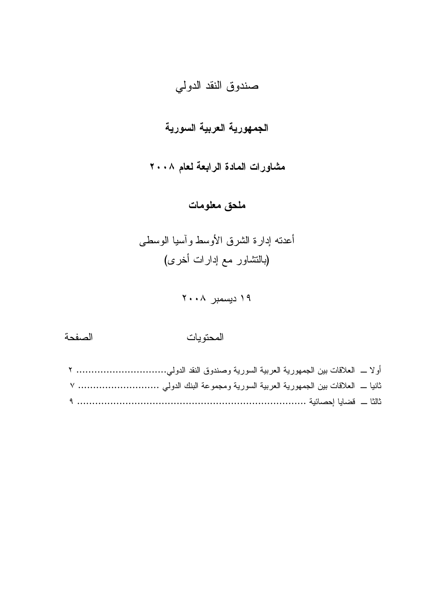# صندوق النقد الدولي

# الجمهورية العربية السورية

مشاورات المادة الرابعة لعام ٢٠٠٨

# ملحق معلومات

أعدنه إدارة الشرق الأوسط وآسيا الوسطى (بالنشاور مع إدارات أخرى)

۱۹ دیسمبر ۲۰۰۸

### الصفحة

## المحتويات

| أولا ـــ العلاقات بين الجمهورية العربية السورية وصندوق النقد الدولي ٢  |  |
|------------------------------------------------------------------------|--|
| ثانيا _ العلاقات بين الجمهورية العربية السورية ومجموعة البنك الدولي  ٧ |  |
|                                                                        |  |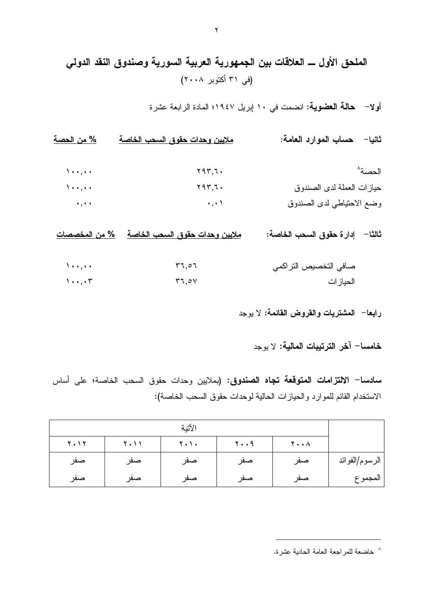# الملحق الأول ـــ العلاقات بين الجمهورية العربية السورية وصندوق النقد الدولى (في ٣١ أكتوبر ٢٠٠٨)

أولا- حالة العضوية: انضمت في ١٠ ايريل ١٩٤٧؛ المادة الرابعة عشر ة

ثانيا– حساب الموارد العامة: <u>% من الحصة</u> ملايين وحدات حقوق السحب الخاصة الحصة^  $\lambda$ .,..  $Y97.7.$  $\lambda$ .,.. حياز ات العملة لدى الصندو ق  $Y97,7.$  $\cdots$ وضع الاحتياطي لدى الصندوق  $\rightarrow$ ,  $\rightarrow$ 

ملايين وحدات حقوق السحب الخاصة % من المخصصات ثالثًا – إدار ة حقوق السحب الخاصة:

 $\Delta$  + +  $\Delta$  + +  $57,07$ صافي التخصيص التراكمي  $1 \cdot \cdot \cdot$  $77.0V$ الحباز ات

رابعا– المشتريات والقروض القائمة: لا يوجد

خامسا– آخر الترتببات المالبة: لا بوجد

**سادسا– الالتزامات المتوقعة تجاه الصندوق: (**بملايين وحدات حقوق السحب الخاصة؛ على أساس الاستخدام القائم للموارد والحيازات الحالية لوحدات حقوق السحب الخاصة):

|                |               |              | الآتية            |      |             |
|----------------|---------------|--------------|-------------------|------|-------------|
|                | <b>7.</b> . A | $y \cdot .4$ | $Y \cdot Y \cdot$ | 7.11 | $Y \cdot Y$ |
| الرسوم/الفوائد | صفر           | صفر          | صفر               | صفر  | صفر         |
| المجموع        | صفر           | صفر          | صفر               | صفر  | صفر         |

<sup>^</sup> خاضعة للمر اجعة العامة الحادية عشر ة.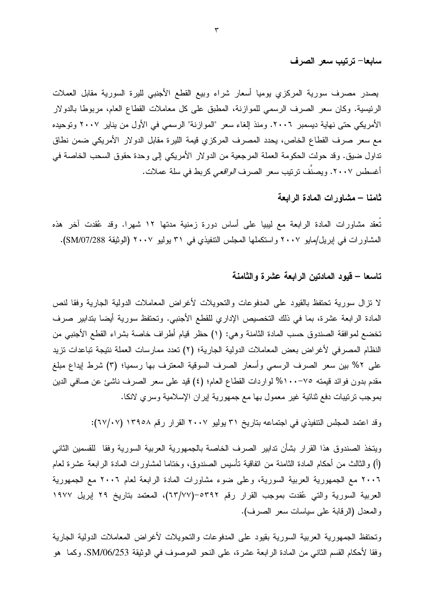سابعا– ترتيب سعر الصرف

يصدر مصرف سورية المركزي يوميا أسعار شراء وبيع القطع الأجنبي لليرة السورية مقابل العملات الرئيسية. وكان سعر الصرف الرسمي للموازنة، المطبق على كل معاملات القطاع العام، مربوطًا بالدولار الأمريكي حتى نهاية ديسمبر ٢٠٠٦. ومنذ إلغاء سعر "الموازنة" الرسمي في الأول من يناير ٢٠٠٧ وتوحيده مع سعر صرف القطاع الخاص، يحدد المصرف المركزي قيمة الليرة مقابل الدولار الأمريكي ضمن نطاق تداول ضيق. وقد حولت الحكومة العملة المرجعية من الدولار الأمريكي إلى وحدة حقوق السحب الخاصة في أغسطس ٢٠٠٧. ويصنّف ترتيب سعر الصرف *الوافعي* كربط في سلة عملات.

ثامنا – مشاورات المادة الرابعة

تُعقد مشاورات المادة الرابعة مع ليبيا على أساس دورة زمنية مدتها ١٢ شهرا. وقد عُقدت آخر هذه المشاورات في إبريل/مايو ٢٠٠٧ واستكملها المجلس التنفيذي في ٣١ يوليو ٢٠٠٧ (الوثيقة SM/07/288).

## تاسعا – قيود المادتين الرابعة عشرة والثامنة

لا نزال سورية نحتفظ بالقيود على المدفوعات والتحويلات لأغراض المعاملات الدولية الجارية وفقا لنص المادة الرابعة عشرة، بما في ذلك التخصيص الإداري للقطع الأجنبي. وتحتفظ سورية أيضا بتدابير صرف تخضع لموافقة الصندوق حسب المادة الثامنة وهي: (١) حظر قيام أطراف خاصة بشراء القطع الأجنبي من النظام المصرفي لأغراض بعض المعاملات الدولية الجارية؛ (٢) تعدد ممارسات العملة نتيجة تباعدات نزيد على ٢% بين سعر الصرف الرسمي وأسعار الصرف السوفية المعترف بها رسميا؛ (٣) شرط إيداع مبلغ مقدم بدون فوائد قيمته ٧٥-١٠٠% لواردات القطاع العام؛ (٤) قيد على سعر الصرف ناشئ عن صافي الدين بموجب نرتيبات دفع ثنائية غير معمول بها مع جمهورية إيران الإسلامية وسرى لانكا.

وقد اعتمد المجلس التتفيذي في اجتماعه بتاريخ ٣١ يوليو ٢٠٠٧ القرار رقم ١٣٩٥٨ (٦٧/٠٧):

ويتخذ الصندوق هذا القرار بشأن تدابير الصرف الخاصة بالجمهورية العربية السورية وفقا للقسمين الثانبي (أ) والثالث من أحكام المادة الثامنة من اتفاقية تأسيس الصندوق، وختاما لمشاورات المادة الرابعة عشرة لعام ٢٠٠٦ مع الجمهورية العربية السورية، وعلى ضوء مشاورات المادة الرابعة لعام ٢٠٠٦ مع الجمهورية العربية السورية والتي عُقدت بموجب القرار رقم ٥٣٩٢–(٦٣/٧٧)، المعتمد بتاريخ ٢٩ إبريل ١٩٧٧ والمعدل (الرقابة على سياسات سعر الصرف).

وتحتفظ الجمهورية العربية السورية بقيود على المدفوعات والتحويلات لأغراض المعاملات الدولية الجارية وفقا لأحكام القسم الثاني من المادة الرابعة عشرة، على النحو الموصوف في الوثيقة SM/06/253. وكما هو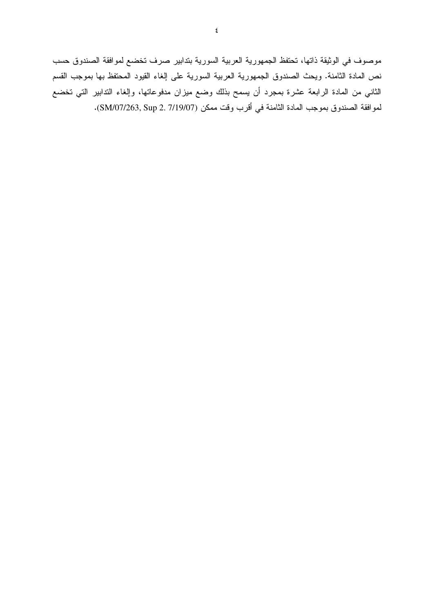موصوف في الوثيقة ذاتها، تحتفظ الجمهورية العربية السورية بتدابير صرف تخضع لموافقة الصندوق حسب نص المادة الثامنة. ويحث الصندوق الجمهورية العربية السورية على إلغاء القيود المحتفظ بها بموجب القسم الثاني من المادة الرابعة عشرة بمجرد أن يسمح بذلك وضع ميزان مدفوعاتها، وإلغاء الندابير التي تخضع لموافقة الصندوق بموجب المادة الثامنة في أقرب وقت ممكن (SM/07/263, Sup 2. 7/19/07).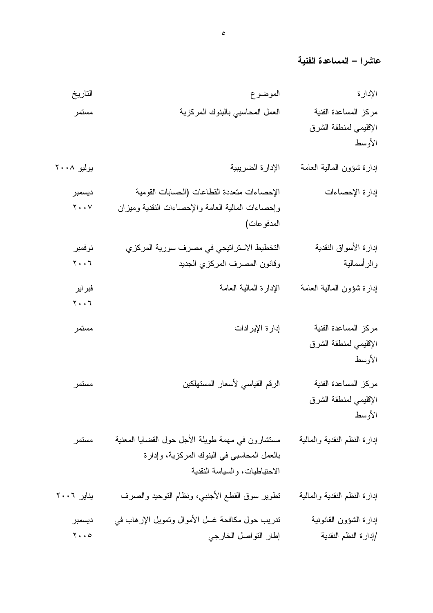عاشرا – المساعدة الفنية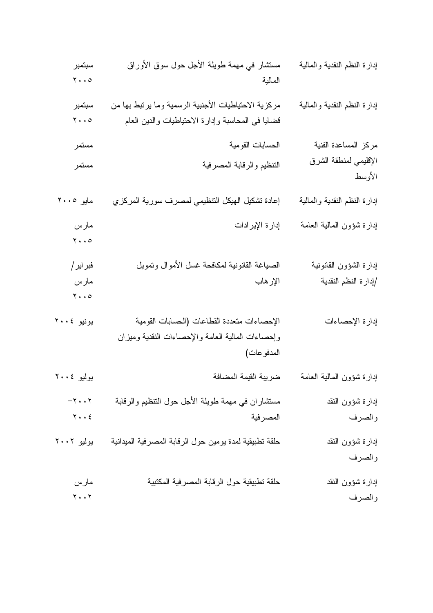| سبتمبر                        | مستشار في مهمة طويلة الأجل حول سوق الأوراق             | إدارة النظم النقدية والمالية    |
|-------------------------------|--------------------------------------------------------|---------------------------------|
| $\mathbf{y} \cdot \mathbf{0}$ | المالية                                                |                                 |
| سبتمبر                        | مركزية الاحتياطيات الأجنبية الرسمية وما برنبط بها من   | إدارة النظم النقدية والمالية    |
| $\mathbf{y} \cdot \mathbf{0}$ | قضايا في المحاسبة وإدارة الاحتياطيات والدين العام      |                                 |
| مستمر                         | الحسابات القومية                                       | مركز المساعدة الفنية            |
| مستمر                         | التنظيم والرقابة المصرفية                              | الإقليمي لمنطقة الشرق<br>الأوسط |
| مايو ٢٠٠٥                     | إعادة تشكيل الهيكل التنظيمي لمصرف سورية المركزي        | إدارة النظم النقدية والمالية    |
| مارس                          | إدارة الإيرادات                                        | إدارة شؤون المالية العامة       |
| $\mathbf{y} \cdot \mathbf{0}$ |                                                        |                                 |
| فبر اير /                     | الصياغة القانونية لمكافحة غسل الأموال وتمويل           | إدارة الشؤون القانونية          |
| مارس                          | الإرهاب                                                | إدارة النظم النقدية             |
| $\mathbf{y} \cdot \mathbf{0}$ |                                                        |                                 |
| یونیو ۲۰۰٤                    | الإحصاءات متعددة القطاعات (الحسابات القومية            | إدارة الإحصاءات                 |
|                               | وإحصاءات المالية العامة والإحصاءات النقدية وميزان      |                                 |
|                               | المدفو عات)                                            |                                 |
| بوليو ٢٠٠٤                    | ضريبة القيمة المضافة                                   | إدارة شؤون المالية العامة       |
| $-\tau \cdot \cdot \tau$      | مستثماران في مهمة طويلة الأجل حول النتظيم والرقابة     | إدارة شؤون النقد                |
| $Y \cdot \cdot 2$             | المصرفية                                               | والصرف                          |
| بوليو ٢٠٠٢                    | حلقة تطبيقية لمدة يومين حول الرقابة المصرفية الميدانية | إدارة شؤون النقد                |
|                               |                                                        | والصرف                          |
| مارس                          | حلقة تطبيقية حول الرقابة المصرفية المكتبية             | إدارة شؤون النقد                |
| $\mathbf{y} \cdot \mathbf{y}$ |                                                        | والصرف                          |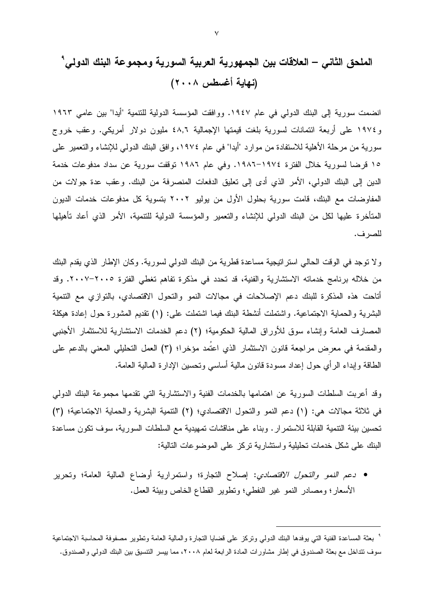انضمت سورية إلى البنك الدولي في عام ١٩٤٧. ووافقت المؤسسة الدولية للتنمية "أيدا" بين عامي ١٩٦٣ و ١٩٧٤ على أربعة ائتمانات لسورية بلغت قيمتها الإجمالية ٤٨٫٦ مليون دولار أمريكي. وعقب خروج سورية من مرحلة الأهلية للاستفادة من موارد "أيدا" في عام ١٩٧٤، وإفق البنك الدولي للإنشاء والتعمير على ١٥ قرضا لسورية خلال الفترة ١٩٧٤-١٩٨٦. وفي عام ١٩٨٦ توقفت سورية عن سداد مدفوعات خدمة الدين إلى البنك الدولي، الأمر الذي أدى إلى تعليق الدفعات المنصرفة من البنك. وعقب عدة جولات من المفاوضات مع البنك، قامت سورية بحلول الأول من يوليو ٢٠٠٢ بتسوية كل مدفوعات خدمات الديون المتأخرة عليها لكل من البنك الدولي للإنشاء والتعمير والمؤسسة الدولية للتتمية، الأمر الذي أعاد تأهيلها للصرف.

ولا نوجد في الوقت الحالي استراتيجية مساعدة قطرية من البنك الدولي لسورية. وكان الإطار الذي يقدم البنك من خلاله برنامج خدماته الاستثنارية والفنية، قد تحدد في مذكرة تفاهم تغطي الفترة ٢٠٠٥-٢٠٠٧. وقد أتاحت هذه المذكرة للبنك دعم الإصلاحات في مجالات النمو والنحول الاقتصادي، بالتوازي مع التنمية البشرية والحماية الاجتماعية. واشتملت أنشطة البنك فيما اشتملت على: (١) نقديم المشورة حول إعادة هيكلة المصارف العامة وإنشاء سوق للأوراق المالية الحكومية؛ (٢) دعم الخدمات الاستشارية للاستثمار الأجنبي والمقدمة في معرض مراجعة قانون الاستثمار الذي اعتُمد مؤخرًا؛ (٣) العمل التحليلي المعنى بالدعم على الطاقة وإبداء الرأى حول إعداد مسودة فانون مالية أساسى وتحسين الإدارة المالية العامة.

وقد أعربت السلطات السورية عن اهتمامها بالخدمات الفنية والاستشارية التبي نقدمها مجموعة البنك الدولبي في ثلاثة مجالات هي: (١) دعم النمو والنحول الاقتصادي؛ (٢) النتمية البشرية والحماية الاجتماعية؛ (٣) تحسين بيئة النتمية القابلة للاستمرار . وبناء على مناقشات تمهيدية مع السلطات السورية، سوف تكون مساعدة البنك على شكل خدمات تحليلية واستشارية تركز على الموضوعات التالية:

• دعم *النمو والتحول الاقتصادي*: إصلاح التجارة؛ واستمرارية أوضاع المالية العامة؛ وتحرير الأسعار؛ ومصـادر النمو غير النفطي؛ ونطوير القطاع الخاص وبيئة العمل.

<sup>°</sup> بعثة المساعدة الفنية الني يوفدها البنك الدولي ونركز على قضايا التجارة والمالية العامة ونطوير مصفوفة المحاسبة الاجتماعية سوف نتداخل مع بعثة الصندوق في إطار مشاورات المادة الرابعة لعام ٢٠٠٨، مما ييسر التتسيق بين البنك الدولي والصندوق.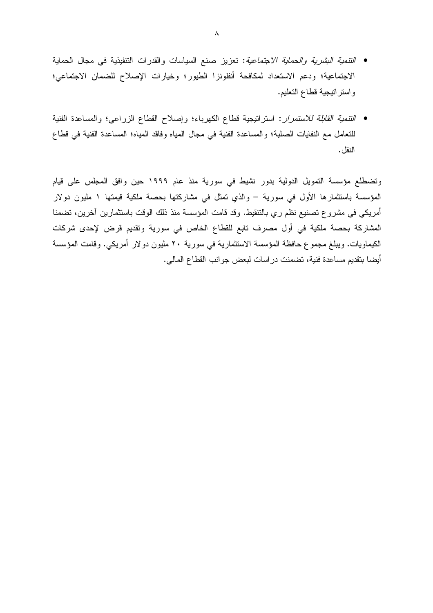- *التنمية البشرية والحماية الاجتماعية*: تعزيز صنع السياسات والقدرات التنفيذية في مجال الحماية الاجتماعية؛ ودعم الاستعداد لمكافحة أنفلونزا الطيور؛ وخيارات الإصلاح للضمان الاجتماعي؛ واستراتيجية قطاع التعليم.
- ا*لتنمية القابلة للاستمرار*: استراتيجية قطاع الكهرباء؛ وإصلاح القطاع الزراعي؛ والمساعدة الفنية للتعامل مع النفايات الصلبة؛ والمساعدة الفنية في مجال المياه وفاقد المياه؛ المساعدة الفنية في فطاع النقل .

وتضطلع مؤسسة التمويل الدولية بدور نشيط في سورية منذ عام ١٩٩٩ حين وافق المجلس على قيام المؤسسة باستثمارها الأول في سورية – والذي تمثَّل في مشاركتها بحصة ملكية قيمتها ١ مليون دولار أمريكي في مشروع تصنيع نظم ري بالتتقيط. وقد قامت المؤسسة منذ ذلك الوقت باستثمارين آخرين، تضمنا المشاركة بحصة ملكية في أول مصرف نابع للقطاع الخاص في سورية ونقديم قرض لإحدى شركات الكيماويات. ويبلغ مجموع حافظة المؤسسة الاستثمارية في سورية ٢٠ مليون دولار أمريكي. وقامت المؤسسة أيضا بنقديم مساعدة فنية، تضمنت در اسات لبعض جو انب القطاع المالي.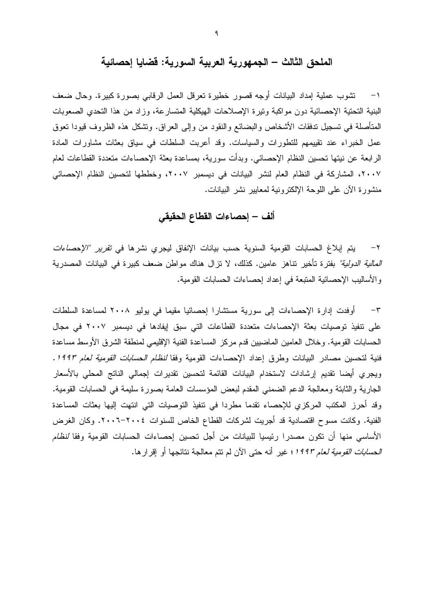## الملحق الثالث – الجمهورية العربية السورية: فضايا إحصائية

تشوب عملية إمداد البيانات أوجه قصور خطيرة تعرقل العمل الرقابي بصورة كبيرة. وحال ضعف البنية التحتية الإحصائية دون مواكبة ونيرة الإصلاحات الهيكلية المتسارعة، وزاد من هذا التحدي الصعوبات المتأصلة في تسجيل تدفقات الأشخاص والبضائع والنقود من وإلى العراق. وتشكل هذه الظروف قيودا تعوق عمل الخبراء عند تقييمهم للتطورات والسياسات. وقد أعربت السلطات في سياق بعثات مشاورات المادة الرابعة عن نيتها تحسين النظام الإحصائي. وبدأت سورية، بمساعدة بعثة الإحصاءات متعددة القطاعات لعام ٢٠٠٧، المشاركة في النظام العام لنشر البيانات في ديسمبر ٢٠٠٧، وخططها لتحسين النظام الإحصائي منشورة الآن على اللوحة الإلكترونية لمعابير نشر البيانات.

### ألف – إحصاءات القطاع الحقيقى

٢– يتم إبلاغ الحسابات القومية السنوية حسب بيانات الإنفاق ليجري نشرها في *تقرير "الإحصاءات المالية الدولية"* بفترة تأخير تناهز عامين. كذلك، لا تزال هناك مواطن ضعف كبيرة في البيانات المصدرية والأساليب الإحصائية المتبعة في إعداد إحصاءات الحسابات القومية.

على نتفيذ توصيات بعثة الإحصاءات متعددة القطاعات التي سبق إيفادها في ديسمبر ٢٠٠٧ في مجال الحسابات القومية. وخلال العامين الماضبين قدم مركز المساعدة الفنية الإقليمي لمنطقة الشرق الأوسط مساعدة فنية لتحسين مصـادر البيانات وطرق إعداد الإحصـاءات القومية وفقا *لنظام الـحسابات القومية لـعام ١٩٩٣.* ويجرى أيضا نقديم إرشادات لاستخدام البيانات القائمة لتحسين تقديرات إجمالي الناتج المحلى بالأسعار الجارية والثابتة ومعالجة الدعم الضمنى المقدم لبعض المؤسسات العامة بصورة سليمة في الحسابات القومية. وقد أحرز المكتب المركزي للإحصاء نقدما مطردا في نتفيذ التوصيات التي انتهت إليها بعثات المساعدة الفنية. وكانت مسوح اقتصادية قد أجريت لشركات القطاع الخاص للسنوات ٢٠٠٤-٢٠٠٦. وكان الغرض الأساسي منها أن تكون مصدرا رئيسيا للبيانات من أجل تحسين إحصاءات الحسابات القومية وفقا *لنظام* العس*ابات القومية لعام ١٩٩٣*؛ غير أنه حتى الآن لم نتم معالجة نتائجها أو إقرارها.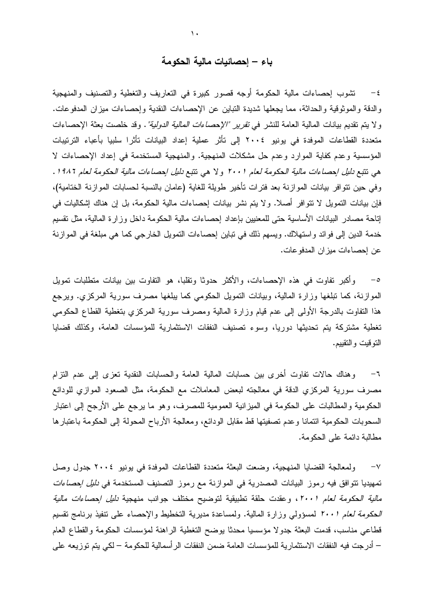### باء – إحصائيات مالية الحكومة

٤− نشوب إحصاءات مالية الحكومة أوجه قصور كبيرة في التعاريف والتغطية والتصنيف والمنهجية والدقة والموثوقية والحداثة، مما يجعلها شديدة التباين عن الإحصاءات النقدية وإحصاءات ميزان المدفوعات. ولا يتم تقديم بيانات المالية العامة للنشر في *تقرير "الإحصاءات المالية الدولية".* وقد خلصت بعثة الإحصاءات متعددة القطاعات الموفدة في يونيو ٢٠٠٤ إلى تأثر عملية إعداد البيانات تأثرا سلبيا بأعباء الترتيبات المؤسسية وعدم كفاية الموارد وعدم حل مشكلات المنهجية. والمنهجية المستخدمة في إعداد الإحصاءات لا هي نتبع دليل إحصاءات مالية الحكومة لعام ٢٠٠١ ولا هي نتبع دليل إحصاءات مالية الحكومة لعام ١٩٨٢. وفي حين نتوافر بيانات الموازنة بعد فترات تأخير طويلة للغاية (عامان بالنسبة لحسابات الموازنة الخنامية)، فإن بيانات التمويل لا تتوافر أصلا. ولا يتم نشر بيانات إحصاءات مالية الحكومة، بل إن هناك إشكاليات في إناحة مصادر البيانات الأساسية حتى للمعنيين بإعداد إحصاءات مالية الحكومة داخل وزارة المالية، مثل نقسيم خدمة الدين إلى فوائد واستهلاك. ويسهم ذلك في نباين إحصاءات التمويل الخارجي كما هي مبلغة في الموازنة عن إحصاءات ميزان المدفو عات.

وأكبر تفاوت في هذه الإحصاءات، والأكثر حدوثًا وتقلبًا، هو النفاوت بين بيانات منطلبات تمويل  $-\circ$ الموازنة، كما تبلغها وزارة المالية، وبيانات التمويل الحكومي كما يبلغها مصرف سورية المركزي. ويرجع هذا النفاوت بالدرجة الأولىي إلىي عدم قيام وزارة المالية ومصرف سورية المركزي بتغطية القطاع الحكومي تغطية مشتركة بتم تحديثها دوريا، وسوء تصنيف النفقات الاستثمارية للمؤسسات العامة، وكذلك قضايا النوقيت والنقييم.

٦– وهناك حالات نفاوت أخرى بين حسابات المالية العامة والحسابات النقدية تعزى إلى عدم النزام مصرف سورية المركزي الدقة في معالجته لبعض المعاملات مع الحكومة، مثل الصعود الموازي للودائع الحكومية والمطالبات على الحكومة في الميزانية العمومية للمصرف، وهو ما يرجع على الأرجح إلى اعتبار السحوبات الحكومية ائتمانا وعدم تصفيتها قط مقابل الودائع، ومعالجة الأرباح المحولة إلى الحكومة باعتبارها مطالبة دائمة على الحكومة.

ولمعالجة القضايا المنهجية، وضعت البعثة متعددة القطاعات الموفدة في يونيو ٢٠٠٤ جدول وصل  $-\vee$ تمهيديا نتوافق فيه رموز البيانات المصدرية في الموازنة مع رموز التصنيف المستخدمة ف*ي دليل إحصاءات مالية الحكومة لعام ٢٠٠١*، وعقدت حلقة تطبيقية لتوضيح مختلف جوانب منهجية *دليل إحصاءات مالية* الكومة لعام ٢٠٠١ لمسؤولي وزارة المالية. ولمساعدة مديرية التخطيط والإحصاء على نتفيذ برنامج نقسيم قطاعي مناسب، قدمت البعثة جدولا مؤسسيا محدثا يوضح التغطية الراهنة لمؤسسات الحكومة والقطاع العام – أدرجت فيه النفقات الاستثمارية للمؤسسات العامة ضمن النفقات الرأسمالية للحكومة – لكي يتم توزيعه على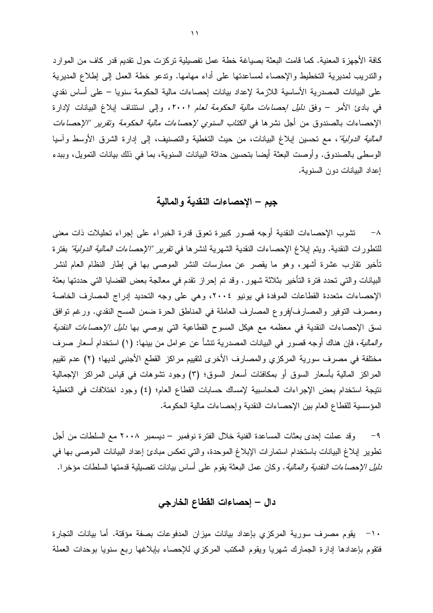كافة الأجهزة المعنية. كما قامت البعثة بصياغة خطة عمل تفصيلية تركزت حول تقديم قدر كاف من الموارد والندريب لمديرية التخطيط والإحصاء لمساعدتها على أداء مهامها. وندعو خطة العمل إلى إطلاع المديرية على البيانات المصدرية الأساسية اللازمة لإعداد بيانات إحصاءات مالية الحكومة سنويا – على أساس نقدى في بادئ الأمر – وفق *دليل إحصاءات مالية الحكومة لعام ٢٠٠١،* وإلى استئناف إبلاغ البيانات لإدارة الإحصـاءات بـالصندوق من أجل نشرها في *الكتاب السنوي لإحصـاءات مالية الـحكومة وتقرير "الإحصـاءات المالية الدولية"*، مع تحسين إبلاغ البيانات، من حيث التغطية والتصنيف، إلى إدارة الشرق الأوسط وأسيا الوسطى بالصندوق. وأوصت البعثة أيضا بتحسين حداثة البيانات السنوية، بما في ذلك بيانات التمويل، وببدء إعداد البيانات دون السنوية.

### جيم – الإحصاءات النقدية والمالية

٨– تشوب الإحصاءات النقدية أوجه قصور كبيرة نعوق قدرة الخبراء على إجراء تحليلات ذات معنى للتطورات النقدية. ويتم إبلاغ الإحصاءات النقدية الشهرية لنشرها ف*ي تقرير "الإحصاءات المالية الدولية"* بفترة تأخير نقارب عشرة أشهر، وهو ما يقصر عن ممارسات النشر الموصىي بها في إطار النظام العام لنشر البيانات والتي تحدد فترة التأخير بثلاثة شهور. وقد تم إحراز نقدم في معالجة بعض القضايا التي حددتها بعثة الإحصاءات متعددة القطاعات الموفدة في يونيو ٢٠٠٤، وهي على وجه التحديد إدراج المصارف الخاصة ومصرف التوفير والمصارف/فروع المصارف العاملة في المناطق الحرة ضمن المسح النقدي. ورغم نوافق نسق الإحصاءات النقدية في معظمه مع هيكل المسوح القطاعية التي يوصبي بها *دليل الإحصاءات النقدية والمالية*، فإن هناك أوجه قصور في البيانات المصدرية تتشأ عن عوامل من بينها: (١) استخدام أسعار صرف مختلفة في مصرف سورية المركزي والمصارف الأخرى لتقييم مراكز القطع الأجنبي لديها؛ (٢) عدم تقييم المراكز المالية بأسعار السوق أو بمكافئات أسعار السوق؛ (٣) وجود نشوهات في قياس المراكز الإجمالية نتيجة استخدام بعض الإجراءات المحاسبية لإمساك حسابات القطاع العام؛ (٤) وجود اختلافات في التغطية المؤسسية للقطاع العام بين الإحصاءات النقدية وإحصاءات مالية الحكومة.

وقد عملت إحدى بعثات المساعدة الفنية خلال الفترة نوفمبر – ديسمبر ٢٠٠٨ مع السلطات من أجل  $-9$ نطوير إبلاغ البيانات باستخدام استمارات الإبلاغ الموحدة، والتي تعكس مبادئ إعداد البيانات الموصبي بها في *دليل الإحصاءات النقدية والمالية*. وكان عمل البعثة يقوم على أساس بيانات تفصيلية قدمتها السلطات مؤخرا.

## دال – إحصاءات القطاع الخارجي

· ١- يقوم مصرف سورية المركزي بإعداد بيانات ميزان المدفوعات بصفة مؤقتة. أما بيانات التجارة فتقوم بإعدادها إدارة الجمارك شهريا ويقوم المكتب المركزي للإحصاء بإبلاغها ربع سنويا بوحدات العملة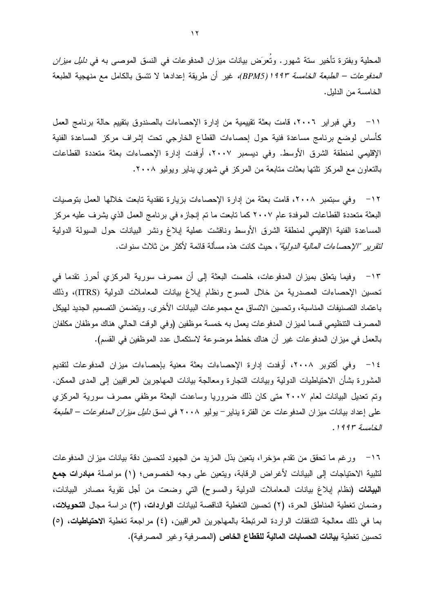المحلية وبفترة تأخير ستة شهور . وتُعرَض بيانات ميزان المدفوعات في النسق الموصبي به في *دليل ميزان المدفوعات – الطبعة الخامسة ١٩٩٣(BPM5)،* غير أن طريقة إعدادها لا تتسق بالكامل مع منهجية الطبعة الخامسة من الدلبل.

1١– وفي فبراير ٢٠٠٦، قامت بعثة تقييمية من إدارة الإحصاءات بالصندوق بتقييم حالة برنامج العمل كأساس لوضع برنامج مساعدة فنية حول إحصاءات القطاع الخارجي تحت إشراف مركز المساعدة الفنية الإقليمي لمنطقة الشرق الأوسط. وفي ديسمبر ٢٠٠٧، أوفدت إدارة الإحصاءات بعثة متعددة القطاعات بالنعاون مع المركز نلتها بعثات متابعة من المركز في شهري يناير ويوليو ٢٠٠٨.

١٢− وفي سبتمبر ٢٠٠٨، قامت بعثة من إدارة الإحصاءات بزيارة تفقدية تابعت خلالها العمل بتوصيات البعثة متعددة القطاعات الموفدة عام ٢٠٠٧ كما تابعت ما تم إنجازه في برنامج العمل الذي يشرف عليه مركز المساعدة الفنية الإقليمي لمنطقة الشرق الأوسط وناقشت عملية إبلاغ ونشر البيانات حول السيولة الدولية *لتقرير "الإحصاءات المالية الدولية"* ، حيث كانت هذه مسألة قائمة لأكثر من ثلاث سنو ات.

١٣ - وفيما يتعلق بميزان المدفوعات، خلصت البعثة إلى أن مصرف سورية المركزي أحرز نقدما في تحسين الإحصاءات المصدرية من خلال المسوح ونظام إبلاغ بيانات المعاملات الدولية (ITRS)، وذلك باعتماد التصنيفات المناسبة، وتحسين الاتساق مع مجموعات البيانات الأخرى. ويتضمن التصميم الجديد لهيكل المصرف التنظيمي قسما لميزان المدفوعات يعمل به خمسة موظفين (وفي الوقت الحالي هناك موظفان مكلفان بالعمل في ميز ان المدفوعات غير أن هناك خطط موضوعة لاستكمال عدد الموظفين في القسم).

١٤ - وفي أكتوبر ٢٠٠٨، أوفدت إدارة الإحصاءات بعثة معنية بإحصاءات ميزان المدفوعات لتقديم المشورة بشأن الاحتياطيات الدولية وبيانات النجارة ومعالجة بيانات المهاجرين العراقيين إلى المدى الممكن. وتم تعديل البيانات لعام ٢٠٠٧ متى كان ذلك ضروريا وساعدت البعثة موظفى مصرف سورية المركزي على إعداد بيانات ميز ان المدفو عات عن الفتر ة يناير – يوليو ٢٠٠٨ في نسق *دليل ميز ان المدفو عات – الطبعة* الخامسة ١٩٩٣.

1 ° ورغم ما تحقق من نقدم مؤخرا، يتعين بذل المزيد من الجهود لتحسين دقة بيانات ميزان المدفوعات لتلبية الاحتياجات إلى البيانات لأغراض الرقابة، ويتعين على وجه الخصوص؛ (١) مواصلة **مبادرات جمع** ا**لبيانات (**نظام إبلاغ بيانات المعاملات الدولية والمسوح) التي وضعت من أجل نقوية مصادر البيانات، وضمان تغطية المناطق الحرة، (٢) تحسين التغطية الناقصة لبيانات الواردات، (٣) دراسة مجال التحويلات، بما في ذلك معالجة التدفقات الواردة المرتبطة بالمهاجرين العراقيين، (٤) مراجعة تغطية الاحتياطيات، (٥) تحسين تغطية **بيانات الحسابات المالية للقطاع الخاص (**المصرفية و غير المصرفية).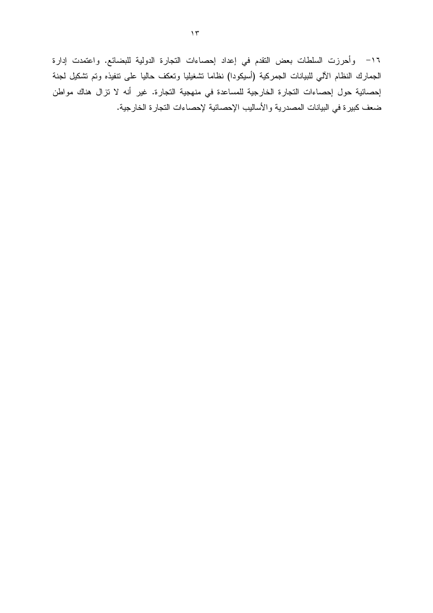١٦– وأحرزت السلطات بعض النقدم في إعداد إحصاءات النجارة الدولية للبضائع. واعتمدت إدارة الجمارك النظام الآلي للبيانات الجمركية (أسيكودا) نظاما تشغيليا وتعكف حاليا على نتفيذه وتم نشكيل لجنة إحصائية حول إحصاءات التجارة الخارجية للمساعدة في منهجية التجارة. غير أنه لا تزال هناك مواطن ضعف كبيرة في البيانات المصدرية والأساليب الإحصائية لإحصاءات التجارة الخارجية.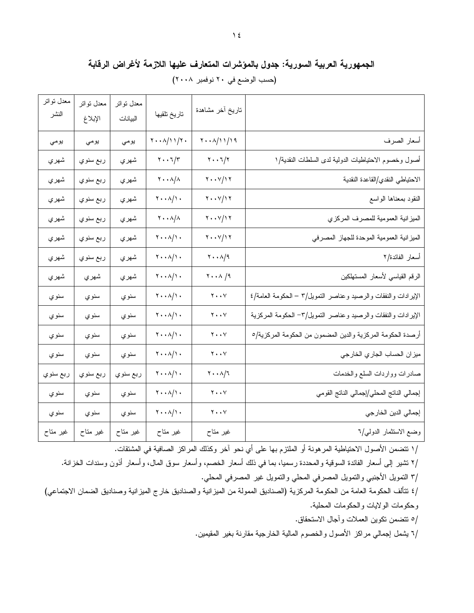## الجمهورية العربية السورية: جدول بالمؤشرات المتعارف عليها اللازمة لأغراض الرقابة (حسب الوضع في ٢٠ نوفمبر ٢٠٠٨)

| معدل نواتر<br>النشر | معدل نواتر<br>الإبلاغ | معدل نواتر<br>البيانات | تاريخ تلقيها                                           | تاريخ أخر مشاهدة                                                                    |                                                                |
|---------------------|-----------------------|------------------------|--------------------------------------------------------|-------------------------------------------------------------------------------------|----------------------------------------------------------------|
| يومى                | يومي                  | يومي                   | $\mathbf{Y} \cdot \cdot \mathbf{A} / \mathbf{Y} \cdot$ | $\mathbf{Y} \cdot \cdot \mathbf{A} / \mathbf{1} \mathbf{1} / \mathbf{1} \mathbf{9}$ | أسعار الصرف                                                    |
| شهري                | ربع سنوي              | شهري                   | $\mathbf{y} \cdot \mathbf{y}$                          | $\mathbf{y} \cdot \mathbf{y}$                                                       | أصول وخصوم الاحتياطيات الدولية لدى السلطات النقدية/١           |
| شهري                | ربع سنوي              | شهري                   | $\mathbf{Y} \cdot \cdot \mathbf{A}/\mathbf{A}$         | $\mathbf{y} \cdot \mathbf{y}$                                                       | الاحتياطي النقدي/القاعدة النقدية                               |
| شهري                | ربع سنوي              | شهري                   | $\mathbf{y} \cdot \mathbf{y}$                          | $\mathbf{y} \cdot \mathbf{y}$                                                       | النقود بمعناها الواسع                                          |
| شهري                | ربع سنوي              | شهري                   | $\mathbf{Y} \cdot \cdot \mathbf{A}/\mathbf{A}$         | $\mathbf{y} \cdot \mathbf{y}$                                                       | الميزانية العمومية للمصرف المركزي                              |
| شهري                | ربع سنو <i>ي</i>      | شهري                   | $\mathbf{Y} \cdot \mathbf{A}$                          | $\mathbf{y} \cdot \mathbf{y}$                                                       | الميزانية العمومية الموحدة للجهاز المصرفي                      |
| شهري                | ربع سنوي              | شهري                   | $\mathbf{y} \cdot \mathbf{y}$                          | $\mathbf{y} \cdot \mathbf{y}$                                                       | أسعار الفائدة/٢                                                |
| شهري                | شهري                  | شهري                   | $\mathbf{Y} \cdot \mathbf{A}$                          | $\mathbf{Y} \cdot \cdot \mathbf{A}$ /9                                              | الرقم القياسي لأسعار المستهلكين                                |
| سنوي                | سنوي                  | سنوي                   | $\mathbf{y} \cdot \mathbf{y}$                          | $\mathbf{y} \cdot \mathbf{y}$                                                       | الإيرادات والنفقات والرصيد وعناصر التمويل/٣ – الحكومة العامة/٤ |
| سنوي                | سنوي                  | سنوي                   | $\mathbf{y} \cdot \mathbf{y}$                          | $\mathbf{y} \cdot \cdot \mathbf{y}$                                                 | الإيرادات والنفقات والرصيد وعناصر التمويل/٣- الحكومة المركزية  |
| سنوي                | سنوي                  | سنوي                   | $\mathbf{y} \cdot \mathbf{y}$                          | $\mathbf{y} \cdot \cdot \mathbf{y}$                                                 | أرصدة الحكومة المركزية والدين المضمون من الحكومة المركزية/٥    |
| سنوي                | سنوي                  | سنوي                   | $\mathbf{Y} \cdot \mathbf{A}$                          | $\mathbf{y} \cdot \mathbf{y}$                                                       | ميزان الحساب الجاري الخارجي                                    |
| ربع سنوي            | ربع سنوي              | ربع سنوي               | $\mathbf{Y} \cdot \mathbf{A}$                          | $\mathbf{y} \cdot \mathbf{y}$                                                       | صادرات وواردات السلع والخدمات                                  |
| سنوي                | سنوي                  | سنوي                   | $\mathbf{y} \cdot \mathbf{y}$                          | $\mathbf{y} \cdot \cdot \mathbf{y}$                                                 | إجمالي الناتج المحلي/إجمالي الناتج القومي                      |
| سنوي                | سنوي                  | سنوي                   | $\mathbf{Y} \cdot \mathbf{A} / \mathbf{Y}$             | $\mathbf{y} \cdot \cdot \mathbf{y}$                                                 | إجمالي الدين الخارجي                                           |
| غیر متاح            | غیر متاح              | غیر متاح               | غیر متاح                                               | غیر متاح                                                                            | وضع الاستثمار الدولي/٦                                         |

/١ نتضمن الأصول الاحتياطية المرهونة أو الملتزم بها على أي نحو آخر وكذلك المراكز الصافية في المشتقات.

/٢ نتثمير إلى أسعار الفائدة السوقية والمحددة رسميا، بما في ذلك أسعار الخصم، وأسعار سوق المال، وأسعار أذون وسندات الخزانة.

/٣ النمويل الأجنبي والنمويل المصرفي المحلي والنمويل غير المصرفي المحلي.

/٤ نتألف الحكومة العامة من الحكومة المركزية (الصناديق الممولة من الميزانية والصناديق خارج الميزانية وصناديق الضمان الاجتماعي) وحكومات الولايات والحكومات المحلية.

0/ تتضمن تكوين العملات وأجال الاستحقاق.

/٦ يشمل إجمالي مراكز الأصول والخصوم المالية الخارجية مقارنة بغير المقيمين.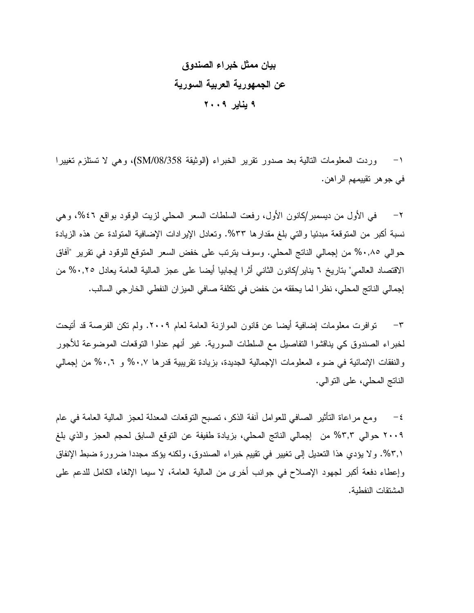# بيان ممثل خبراء الصندوق عن الجمهورية العربية السورية ۹ يناير ۲۰۰۹

١– وردت المعلومات التالية بعد صدور نقرير الخبراء (الوثيقة SM/08/358)، وهي لا تستلزم نغييرا في جو هر تقييمهم الراهن.

في الأول من ديسمبر/كانون الأول، رفعت السلطات السعر المحلي لزيت الوقود بواقع ٤٦%، وهي  $-\tau$ نسبة أكبر ٍ من المنوقعة مبدئيا والتي بلغ مقدار ها ٣٣%. وتعادل الإير ادات الإضافية المنولدة عن هذه الزيادة حوالي ٠,٨٥% من إجمالي الناتج المحلي. وسوف يترتب على خفض السعر المتوقع للوقود في تقرير "أفاق الاقتصاد العالمي" بتاريخ ٦ بناير/كانون الثاني أثرًا إيجابيا أيضا على عجز المالية العامة يعادل ٠,٢٥% من إجمالي الناتج المحلي، نظر ا لما يحققه من خفض في تكلفة صافي الميزان النفطي الخارجي السالب.

٣– توافرت معلومات إضافية أيضا عن قانون الموازنة العامة لعام ٢٠٠٩. ولم تكن الفرصة قد أتيحت لخبراء الصندوق كي يناقشوا النفاصيل مع السلطات السورية. غير أنهم عدلوا النوفعات الموضوعة للأجور والنفقات الإنمائية في ضوء المعلومات الإجمالية الجديدة، بزيادة نقريبية قدرها ٠,٧% و ٠,٦% من إجمالي الناتج المحلي، على النو الي.

٤− ومع مراعاة التأثير الصافي للعوامل أنفة الذكر، نصبح النوقعات المعدلة لعجز المالية العامة في عام ٢٠٠٩ حوالي ٣,٣% من إجمالي الناتج المحلي، بزيادة طفيفة عن التوقع السابق لحجم العجز والذي بلغ ٢,١%. ولا يؤدي هذا التعديل إلى تغيير في تقييم خبراء الصندوق، ولكنه يؤكد مجددا ضرورة ضبط الإنفاق وإعطاء دفعة أكبر لجهود الإصلاح في جوانب أخرى من المالية العامة، لا سيما الإلغاء الكامل للدعم على المشتقات النفطية.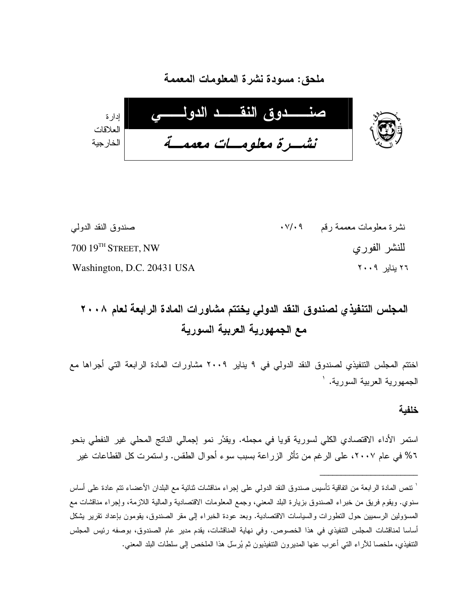

ملحق: مسودة نشر ة المعلومات المعممة

نشرة معلومات معممة رقم ٧/٠٩٠ صندوق النقد الدولبي  $70019$ <sup>TH</sup> STREET, NW للنشر الفوري ٢٦ بنابر ٢٠٠٩ Washington, D.C. 20431 USA

# المجلس التنفيذي لصندوق النقد الدولى يختتم مشاورات المادة الرابعة لعام ٢٠٠٨ مع الجمهورية العربية السورية

اختتم المجلس التتفيذي لصندوق النقد الدولي في ٩ يناير ٢٠٠٩ مشاورات المادة الرابعة التي أجراها مع الجمهوربة العربية السوربة. `

خلفبة

استمر الأداء الاقتصادي الكلَّى لسورية قويا في مجمله. ويقدَّر نمو إجمالي الناتج المحلَّى غير النفطي بنحو ٦% في عام ٢٠٠٧، على الرغم من تأثر الزراعة بسبب سوء أحوال الطقس. واستمرت كل القطاعات غير

<sup>&#</sup>x27; نتص المادة الرابعة من اتفاقية تأسيس صندوق النقد الدولمي على إجراء مناقشات ثنائية مع البلدان الأعضاء نتم عادة على أساس سنوي. ويقوم فريق من خبراء الصندوق بزيارة البلد المعنى، وجمع المعلومات الاقتصادية والمالية اللازمة، وإجراء مناقشات مع المسؤولين الرسميين حول التطورات والسياسات الاقتصادية. وبعد عودة الخبراء إلى مقر الصندوق، بقومون بإعداد تقرير يشكل أساسا لمناقشات المجلس التتفيذي في هذا الخصوص. وفي نهاية المناقشات، يقدم مدير عام الصندوق، بوصفه رئيس المجلس التنفيذي، ملخصا للأراء التي أعرب عنها المديرون التنفيذيون ثم يُرسِّل هذا الملخص إلى سلطات البلد المعنى.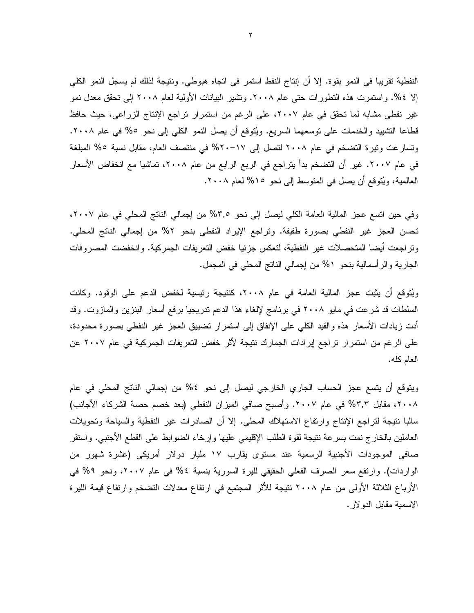النفطية تقريبا في النمو بقوة. إلا أن إنتاج النفط استمر في اتجاه هبوطي. ونتيجة لذلك لم يسجل النمو الكلي إلا ٤%. واستمرت هذه النطورات حتى عام ٢٠٠٨. وتشير البيانات الأولية لعام ٢٠٠٨ إلى تحقق معدل نمو غير نفطي مشابه لما تحقق في عام ٢٠٠٧، على الرغم من استمرار تراجع الإنتاج الزراعي، حيث حافظ قطاعا النشييد والخدمات على نوسعهما السريع. ويُتوقع أن يصل النمو الكلي إلى نحو ٥% في عام ٢٠٠٨. وتسارعت ونيرة التضخم في عام ٢٠٠٨ لتصل إلى ١٧-٢٠% في منتصف العام، مقابل نسبة ٥% المبلغة في عام ٢٠٠٧. غير أن التضخم بدأ يتراجع في الربع الرابع من عام ٢٠٠٨، تماشيا مع انخفاض الأسعار العالمية، ويُتوقع أن يصل في المتوسط إلى نحو ١٥% لعام ٢٠٠٨.

وفي حين انسع عجز المالية العامة الكلي ليصل إلى نحو ٣,٥% من إجمالي الناتج المحلي في عام ٢٠٠٧، تحسن العجز غير النفطي بصورة طفيفة. ونراجع الإيراد النفطي بنحو ٢% من إجمالي الناتج المحلي. وتراجعت أيضا المتحصلات غير النفطية، لتعكس جزئيا خفض التعريفات الجمركية. وانخفضت المصروفات الجارية والرأسمالية بنحو ٥% من إجمالي الناتج المحلي في المجمل.

ويُتوقع أن يثبت عجز المالية العامة في عام ٢٠٠٨، كنتيجة رئيسية لخفض الدعم على الوقود. وكانت السلطات قد شرعت في مايو ٢٠٠٨ في برنامج لإلغاء هذا الدعم تدريجيا برفع أسعار البنزين والمازوت. وقد أدت زيادات الأسعار هذه والقيد الكلـى علـى الإنفاق إلـى استمرار تضبيبق العجز غير النفطـى بصـورة مـحدودة، على الرغم من استمر ار تراجع إيرادات الجمارك نتيجة لأثر خفض التعريفات الجمركية في عام ٢٠٠٧ عن العام كله.

ويتوقع أن يتسع عجز الحساب الجاري الخارجي ليصل إلى نحو ٤% من إجمالي الناتج المحلي في عام ٢٠٠٨، مقابل ٣,٣% في عام ٢٠٠٧. وأصبح صافي الميزان النفطي (بعد خصم حصة الشركاء الأجانب) سالبا نتيجة لنراجع الإنتاج وارتفاع الاستهلاك المحلي. إلا أن الصادرات غير النفطية والسياحة وتحويلات العاملين بالخارج نمت بسرعة نتيجة لقوة الطلب الإقليمي عليها وإرخاء الضوابط على القطع الأجنبي. واستقر صافى الموجودات الأجنبية الرسمية عند مستوى يقارب ١٧ مليار دولار أمريكي (عشرة شهور من الواردات). وارتفع سعر الصرف الفعلي الحقيقي لليرة السورية بنسبة ٤% في عام ٢٠٠٧، ونحو ٩% في الأرباع الثلاثة الأولى من عام ٢٠٠٨ نتيجة للأثر المجتمِع في ارتفاع معدلات التضخم وارتفاع قيمة الليرة الاسمية مقابل الدولار .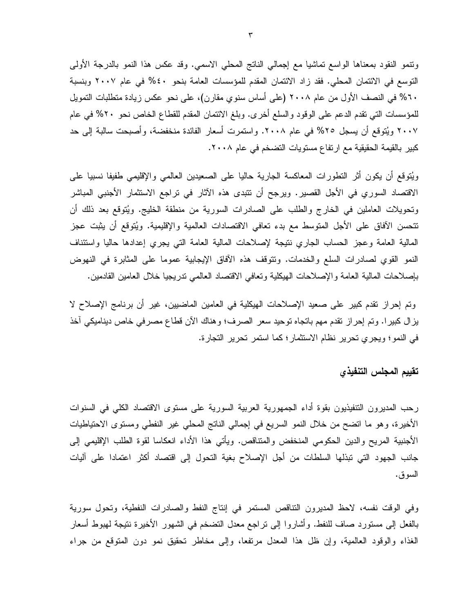ونتمو النقود بمعناها الواسع تماشيا مع إجمالي الناتج المحلي الاسمي. وفد عكس هذا النمو بالدرجة الأولى التوسع في الائتمان المحلي. فقد زاد الائتمان المقدم للمؤسسات العامة بنحو ٤٠% في عام ٢٠٠٧ وبنسبة ٦٠% في النصف الأول من عام ٢٠٠٨ (على أساس سنوي مقارن)، على نحو عكس زيادة منطلبات النمويل للمؤسسات التي نقدم الدعم على الوقود والسلع أخرى. وبلغ الائتمان المقدم للقطاع الخاص نحو ٢٠% في عام ٢٠٠٧ ويُتوقع أن يسجل ٢٥% في عام ٢٠٠٨. واستمرت أسعار الفائدة منخفضة، وأصبحت سالبة إلى حد كبير بالقيمة الحقيقية مع ارتفاع مستويات التضخم في عام ٢٠٠٨.

ويُتوقع أن يكون أثر النطورات المعاكسة الجارية حاليا على الصعيدين العالمي والإقليمي طفيفا نسبيا على الاقتصاد السوري في الأجل القصير. ويرجح أن نتبدى هذه الآثار في تراجع الاستثمار الأجنبي المباشر وتحويلات العاملين في الخارج والطلب على الصادرات السورية من منطقة الخليج. ويُتوقع بعد ذلك أن تتحسن الآفاق على الأجل المتوسط مع بدء تعافى الاقتصادات العالمية والإقليمية. ويُتوقع أن يثبت عجز المالية العامة وعجز الحساب الجاري نتيجة لإصلاحات المالية العامة التي يجري إعدادها حاليا واستئناف النمو القوى لصادرات السلع والخدمات. وتتوقف هذه الأفاق الإيجابية عموما على المثابرة في النهوض بإصلاحات المالية العامة والإصلاحات الهيكلية ونعافى الاقتصاد العالمي ندريجيا خلال العامين القادمين.

وتم إحراز نقدم كبير على صعيد الإصلاحات الهيكلية في العامين الماضيين، غير أن برنامج الإصلاح لا يزال كبيرا. وتم إحراز نقدم مهم باتجاه توحيد سعر الصرف؛ وهناك الأن قطاع مصرفي خاص ديناميكي أخذ في النمو؛ ويجري تحرير نظام الاستثمار؛ كما استمر تحرير التجارة.

### تقييم المجلس التنفيذى

رحب المديرون التنفيذيون بقوة أداء الجمهورية العربية السورية على مستوى الاقتصاد الكلى في السنوات الأخيرة، وهو ما انضح من خلال النمو السريع في إجمالي النانج المحلي غير النفطي ومستوى الاحتياطيات الأجنبية المريح والدين الحكومي المنخفض والمنتاقص. ويأتي هذا الأداء انعكاسا لقوة الطلب الإقليمي إلى جانب الجهود التي تبذلها السلطات من أجل الإصلاح بغية التحول إلى اقتصاد أكثر اعتمادا على آليات السو ق.

وفي الوقت نفسه، لاحظ المديرون النتاقص المستمر في إنتاج النفط والصادرات النفطية، وتحول سورية بالفعل إلى مستورد صـاف للنفط. وأشاروا إلى نراجع مـعدل النضخم فـي الشهور الأخيرة نتيجة لـهبوط أسعار الغذاء والوقود العالمية، وإن ظل هذا المعدل مرتفعًا، وإلى مخاطر تحقيق نمو دون المتوقع من جراء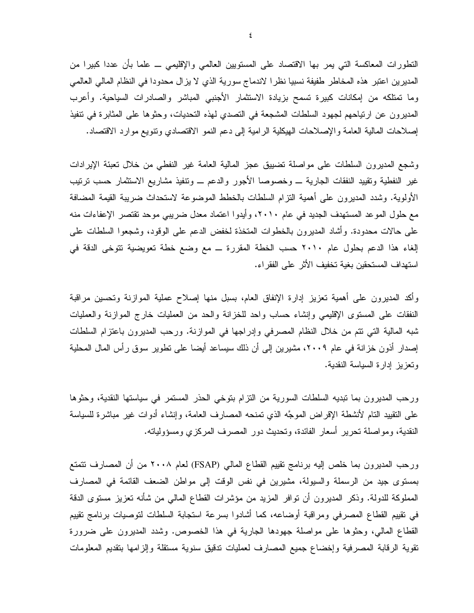النطورات المعاكسة التي يمر بها الاقتصاد على المستويين العالمي والإقليمي ـــ علما بأن عددا كبيرا من المديرين اعتبر هذه المخاطر طفيفة نسبيا نظرا لاندماج سورية الذي لا يزال محدودا في النظام المالي العالمي وما نمتلكه من إمكانات كبيرة تسمح بزيادة الاستثمار الأجنبي المباشر والصادرات السياحية. وأعرب المديرون عن ارتياحهم لجهود السلطات المشجعة في التصدي لهذه التحديات، وحثوها على المثابرة في تتفيذ إصلاحات المالية العامة والإصلاحات الهيكلية الرامية إلى دعم النمو الاقتصادي ونتويع موارد الاقتصاد.

وشجع المديرون السلطات على مواصلة نضبيق عجز المالية العامة غير النفطى من خلال نعبئة الإيرادات غير النفطية وتقييد النفقات الجارية ـــ وخصوصا الأجور والدعم ـــ ونتفيذ مشاريع الاستثمار حسب نرتيب الأولوية. وشدد المديرون على أهمية النزام السلطات بالخطط الموضوعة لاستحداث ضريبة القيمة المضافة مع حلول الموعد المستهدف الجديد في عام ٢٠١٠، وأيدوا اعتماد معدل ضريبي موحد تقتصر الإعفاءات منه على حالات محدودة. وأشاد المديرون بالخطوات المتخذة لخفض الدعم على الوقود، وشجعوا السلطات على إلغاء هذا الدعم بحلول عام ٢٠١٠ حسب الخطة المقررة ــ مع وضع خطة تعويضية تتوخى الدقة في استهداف المستحقين بغية تخفيف الأثر على الفقراء.

وأكد المديرون على أهمية تعزيز إدارة الإنفاق العام، بسبل منها إصلاح عملية الموازنة وتحسين مراقبة النفقات على المستوى الإقليمي وإنشاء حساب واحد للخزانة والحد من العمليات خارج الموازنة والعمليات شبه المالية التي نتم من خلال النظام المصرفي وإدراجها في الموازنة. ورحب المديرون باعتزام السلطات إصدار أذون خزانة في عام ٢٠٠٩، مشيرين إلى أن ذلك سيساعد أيضا على نطوير سوق رأس المال المحلية وتعزيز إدارة السياسة النقدية.

ورحب المديرون بما نبديه السلطات السورية من النزام بنوخي الحذر المستمر في سياستها النقدية، وحثوها على النقييد النام لأنشطة الإقراض الموجَّه الذي نمنحه المصارف العامة، وإنشاء أدوات غير مباشرة للسياسة النقدية، ومواصلة تحرير أسعار الفائدة، وتحديث دور المصرف المركزي ومسؤولياته.

ورحب المديرون بما خلص إليه برنامج نقييم القطاع المالي (FSAP) لعام ٢٠٠٨ من أن المصارف نتمتع بمستوى جيد من الرسملة والسيولة، مشيرين في نفس الوقت إلى مواطن الضعف القائمة في المصارف المملوكة للدولة. وذكر المديرون أن نوافر المزيد من مؤشرات القطاع المالـي من شأنه نعزيز مستوى الدقة في نقييم القطاع المصرفي ومراقبة أوضاعه، كما أشادوا بسرعة استجابة السلطات لتوصيات برنامج تقييم القطاع المالي، وحثوها على مواصلة جهودها الجارية في هذا الخصوص. وشدد المديرون على ضرورة نقوية الرقابة المصرفية وإخضاع جميع المصارف لعمليات ندقيق سنوية مستقلة وإلزامها بتقديم المعلومات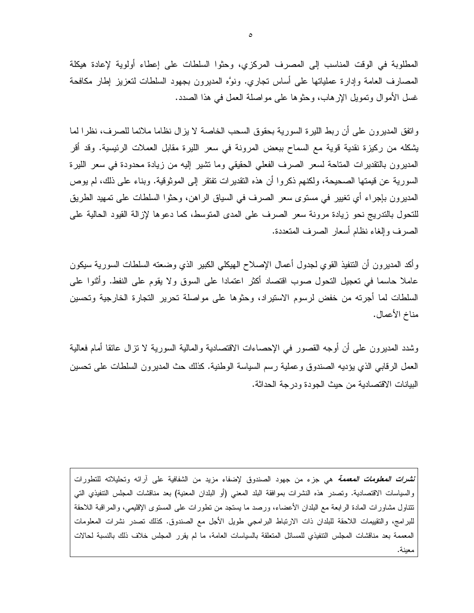المطلوبة في الوقت المناسب إلى المصرف المركزي، وحثوا السلطات على إعطاء أولوبة لإعادة هيكلة المصارف العامة وإدارة عملياتها على أساس نجاري. ونوَّه المديرون بجهود السلطات لنعزيز إطار مكافحة غسل الأموال ونمويل الإرهاب، وحثوها على مواصلة العمل في هذا الصدد.

واتفق المديرون على أن ربط الليرة السورية بحقوق السحب الخاصة لا يزال نظاما ملائما للصرف، نظرا لما يشكله من ركيزة نقدية قوية مع السماح ببعض المرونة في سعر الليرة مقابل العملات الرئيسية. وقد أقر المديرون بالتقديرات المتاحة لسعر الصرف الفعلى الحقيقى وما تشير إليه من زيادة محدودة في سعر الليرة السورية عن قيمتها الصحيحة، ولكنهم ذكروا أن هذه النقديرات نفتقر إلى الموثوقية. وبناء على ذلك، لم يوص المديرون بإجراء أي تغيير في مستوى سعر الصرف في السياق الراهن، وحثوا السلطات على تمهيد الطريق للنحول بالندريج نحو زيادة مرونة سعر الصرف على المدى المنوسط، كما دعوها لإزالة القيود الحالية على الصرف وإلغاء نظام أسعار الصرف المتعددة.

وأكد المديرون أن النتفيذ القوى لجدول أعمال الإصلاح الهيكلي الكبير الذي وضعنه السلطات السورية سيكون عاملا حاسما في نعجيل النحول صوب اقتصاد أكثر اعتمادا على السوق ولا يقوم على النفط. وأثنوا على السلطات لما أجرته من خفض لرسوم الاستيراد، وحثوها على مواصلة تحرير التجارة الخارجية وتحسين مناخ الأعمال.

وشدد المديرون على أن أوجه القصور في الإحصاءات الاقتصادية والمالية السورية لا نزال عائقا أمام فعالية العمل الر قابي الذي يؤديه الصندوق و عملية رسم السياسة الوطنية. كذلك حث المدير ون السلطات على تحسين البيانات الاقتصادية من حيث الجودة ودرجة الحداثة.

*نشرات المعلومات المعممة* هي جزء من جهود الصندوق لإضفاء مزيد من الشفافية على آرائه وتحليلاته للتطورات والسياسات الاقتصادية. وتصدر هذه النشرات بموافقة البلد المعنى (أو البلدان المعنية) بعد مناقشات المجلس التتفيذي التي نتتاول مشاورات المادة الرابعة مع البلدان الأعضاء، ورصد ما يستجد من نطورات على المستوى الإقليمي، والمراقبة اللاحقة للبرامج، والتقييمات اللاحقة للبلدان ذات الارتباط البرامجي طويل الأجل مع الصندوق. كذلك تصدر نشرات المعلومات المعممة بعد مناقشات المجلس التنفيذي للمسائل المتعلقة بالسياسات العامة، ما لم يقرر المجلس خلاف ذلك بالنسبة لحالات معننة.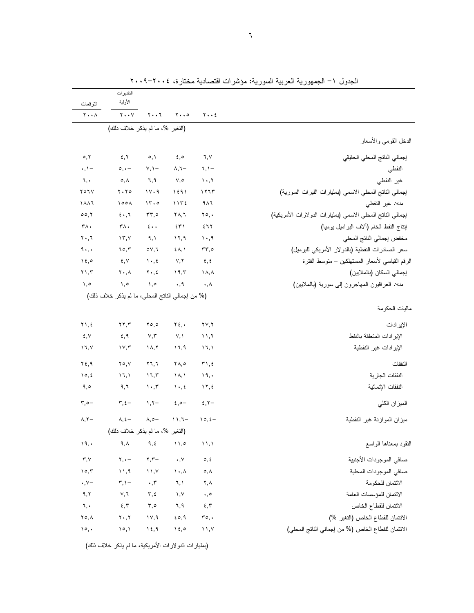| ーン<br>~~~<br>- ∕ ∙                                         |                                     |                                 |                               | التقدير ات<br>الأولية                            | التوقعات                            |
|------------------------------------------------------------|-------------------------------------|---------------------------------|-------------------------------|--------------------------------------------------|-------------------------------------|
|                                                            | $y \cdot z$                         | $\mathbf{y} \cdot \mathbf{z}$   | ۲۰۰٦                          | $\mathbf{y} \cdot \cdot \mathbf{y}$              | $\mathbf{Y} \cdot \cdot \mathbf{A}$ |
|                                                            |                                     |                                 |                               | (التغير %، ما لم يذكر خلاف ذلك)                  |                                     |
| الدخل القومي والأسعار                                      |                                     |                                 |                               |                                                  |                                     |
| إجمالي الناتج المحلي الحقيقي                               | ٦,٧                                 | $\epsilon, \circ$               | $\circ, \wedge$               | 5,7                                              | $\circ, \vee$                       |
| النفطي                                                     | $7, 1 -$                            | $\lambda, \lambda -$            | $Y, Y -$                      | $\circ$ , $\cdot$ $-$                            | $\cdot$ , $\cdot$ -                 |
| غير النفطي                                                 | 1.7                                 | $V, \circ$                      | ٦,٩                           | $\circ, \wedge$                                  | ٦,٠                                 |
| إجمالي الناتج المحلي الاسمي (بمليارات الليرات السورية)     | ۱۲٦٣                                | ۱٤٩١                            | 11.9                          | $Y \cdot Y$                                      | $Y \circ I V$                       |
| منه: غير النفطي                                            | 9 <sub>A</sub> 7                    | 1172                            | 15.0                          | 100 <sub>A</sub>                                 | ۱۸۸٦                                |
| إجمالي النانج المحلي الاسمي (بمليارات الدولارات الأمريكية) | $\mathbf{y} \circ \mathbf{y}$       | ۲۸,٦                            | $rr, \circ$                   | $5 \cdot 7$                                      | 00, 1                               |
| إنتاج النفط الخام (ألاف البراميل يوميا)                    | ٤٦٢                                 | ٤٣١                             | $\epsilon \cdot \cdot$        | ۳۸.                                              | ٣٨.                                 |
| مخفض إجمالي الناتج المحلي                                  | ۰٫۹                                 | 17,9                            | ۹,۱                           | $\gamma$ , $\gamma$                              | $\mathbf{y} \cdot \mathbf{y}$       |
| سعر الصادرات النفطية (بالدولار الأمريكي للبرميل)           | $rr, \circ$                         | $\{\lambda, \lambda\}$          | $\circ \vee, \vee$            | 70,7                                             | $4 \cdot$ ,                         |
| الرقم القياسي لأسعار المستهلكين – منوسط الفنرة             | $\epsilon, \epsilon$                | V, Y                            | $\mathcal{N}$ , $\mathcal{E}$ | ٤,٧                                              | $\lambda \xi$ ,0                    |
| إجمالي السكان (بالملايين)                                  | $\lambda, \lambda$                  | 19,5                            | $\mathbf{Y} \cdot \mathbf{z}$ | $\mathbf{Y} \cdot \mathbf{A}$                    | $\mathbf{y}$ , $\mathbf{y}$         |
| <i>منه:</i> العراقيون المهاجرون إلى سورية (بالملايين)      | $\cdot, \wedge$                     | $\cdot$ , 9                     | $\lambda$ ,0                  | ۰,٥                                              | ۰,۰                                 |
|                                                            |                                     |                                 |                               | (% من إجمالي الناتج المحلي، ما لم يذكر خلاف ذلك) |                                     |
| ماليات الحكومة                                             |                                     |                                 |                               |                                                  |                                     |
| الإير ادات                                                 | $\mathbf{Y} \mathbf{Y}, \mathbf{Y}$ | $Y_{\xi}$ .                     | 50,0                          | $\mathbf{y}$                                     | ۲١,٤                                |
| الإير ادات المتعلقة بالنفط                                 | 11,7                                | V, V                            | $\vee,\curlyvee$              | ٤,٩                                              | ٤,٧                                 |
| الإير ادات غير النفطية                                     | ۱٦,۱                                | ۱٦,٩                            | ۱۸,۲                          | $\gamma \gamma, \gamma$                          | ۱٦,۷                                |
| النفقات                                                    | $\mathbf{r}$ , $\epsilon$           | $\forall \wedge, \circ$         | $Y$ $7, 7$                    | $\mathbf{Y} \circ \mathbf{V}$                    | $Y \xi, \eta$                       |
| النفقات الجارية                                            | 19,                                 | $\Lambda, \Lambda$              | 17,7                          | 17,1                                             | 10, 2                               |
| النفقات الإنمائية                                          | $\gamma$                            | $\mathcal{N} \cdot \mathcal{N}$ | $\cdot$ , $\mathsf{r}$        | ۹,٦                                              | ۹,٥                                 |
| المبز ان الكلي                                             | $\xi, \zeta$                        | $2,0-$                          | $\lambda, \lambda -$          | $\mathbf{r},\mathbf{t}$ –                        | $\mathbf{r}, \mathbf{c}$            |
| ميزان الموازنة غير النفطية                                 | $10, 2 -$                           | $11,7-$                         | $\wedge, \circ -$             | $\lambda, \xi$ –                                 | $\lambda, \Upsilon$                 |
|                                                            |                                     |                                 |                               | (التغير %، ما لم يذكر خلاف ذلك)                  |                                     |
| النقود بمعناها الواسع                                      | $\mathcal{N}, \mathcal{N}$          | $\wedge$ ,0                     | 9, 2                          | $\mathsf{q}\,,\mathsf{\lambda}$                  | 19,                                 |
| صافي الموجودات الأجنبية                                    | $\circ$ , $\circ$                   | $\cdot$ , $\vee$                | $\mathbf{Y}, \mathbf{Y} -$    | $\mathbf{Y},\bullet =$                           | $\mathbf{r},\mathbf{v}$             |
| صافي الموجودات المحلية                                     | $\circ, \wedge$                     | $\mathcal{N} \cdot \mathcal{N}$ | $\lambda$ , $\lambda$         | 11,9                                             | ۱٥,٣                                |
| الائتمان للحكومة                                           | $\mathbf{Y}, \mathbf{A}$            | ٦,١                             | $\cdot$ , $\mathsf{r}$        | $\mathbf{r}, \mathbf{v}$                         | $\cdot$ , $\vee$ -                  |
| الائتمان للمؤسسات العامة                                   | $\cdot, \circ$                      | $\rightarrow$ , Y               | $\mathbf{r}, \mathbf{t}$      | V,7                                              | ۹,۲                                 |
|                                                            | $\epsilon, \tau$                    | ٦,٩                             | $\mathsf{r},\mathsf{o}$       | 5,7                                              | ٦,٠                                 |
| الائتمان للقطاع الخاص                                      |                                     |                                 |                               |                                                  |                                     |
| الائتمان للقطاع الخاص (التغير %)                           | ro,                                 | $\epsilon \circ 0$              | ١٧,٩                          | $\mathbf{Y} \cdot \mathbf{Y}$                    | ۲٥,٨                                |

الجدول ١– الجمهورية العربية السورية: مؤشرات اقتصادية مختارة، ٢٠٠٤–٢٠٠٩

(بمليارات الدولارات الأمريكية، ما لم يذكر خلاف ذلك)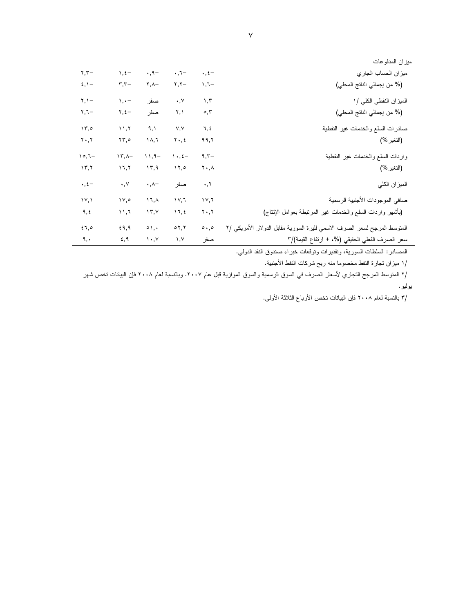| ميزان المدفوعات                                                                                       |                                  |                            |                            |                            |
|-------------------------------------------------------------------------------------------------------|----------------------------------|----------------------------|----------------------------|----------------------------|
| ميزان الحساب الجاري<br>$\cdot$ , $\xi$ –                                                              | $\cdot$ , $\tau-$                | $\cdot$ , 9 -              | $\lambda$ , $\xi -$        | $\mathbf{r}, \mathbf{r}$ - |
| (% من إجمالي الناتج المحلي)<br>$1,7-$                                                                 | $\mathbf{y}, \mathbf{y} -$       | $\mathbf{Y}, \mathbf{A}$ - | $\mathbf{r}, \mathbf{r}$   | $\S$ , $\Upsilon$ -        |
| الميزان النفطي الكلي /١<br>$\mathcal{N}, \mathcal{N}$                                                 | $\cdot$ , $\vee$                 | صفر                        | $\lambda, \cdot -$         | $Y, Y -$                   |
| (% من إجمالي الناتج المحلي)<br>$\circ$ , $\mathsf{r}$                                                 | ۲,۱                              | صفر                        | -٤, ٢                      | -۳,٦                       |
| 7, 2<br>صادرات السلع والخدمات غير النفطية                                                             | V, V                             | ۹.۱                        | 11,7                       | 15.0                       |
| ۹۹,۲                                                                                                  | ۲۰,٤                             | ۱۸,٦                       | ۲۳,٥                       | ۲۰,۲                       |
| $9,7-$<br>واردات السلع والخدمات غير النفطية                                                           | $\mathcal{N} \cdot \mathcal{L}$  | $11,9-$                    | $15, -$                    | $10,7-$                    |
| ۲۰,۸                                                                                                  | ۰۲٫۰                             | ۱۳,۹                       | 17,7                       | 15,7                       |
| $\cdot$ , $\tau$                                                                                      | صفر                              | $\cdot$ , $\wedge$ -       | $\cdot$ , $\vee$           | $\cdot$ , $\xi$ –          |
| صافي الموجودات الأجنبية الرسمية<br>۱۷,٦                                                               | $1 \vee 7$                       | $17, \wedge$               | $\mathcal{N}, \mathcal{O}$ | $\mathsf{IV}, \mathsf{V}$  |
| (بأشهر واردات السلع والخدمات غير المرتبطة بعوامل الإنتاج)<br>$\mathbf{Y} \cdot \mathbf{Y}$            | 17, 2                            | ۱۳,۷                       | ۶۱,٦                       | ٩,٤                        |
| المنوسط المرجح لسعر الصرف الاسمي لليرة السورية مقابل الدولار الأمريكي /٢<br>$\circ \cdot \cdot \circ$ | $\circ$ $\mathbf{y}, \mathbf{y}$ | $\circ$ \, \,              | 29,9                       | 57,0                       |
| سعر الصرف الفعلي الحقيقي (%، + ارتفاع القيمة)/٣<br>صفر                                                | $\lambda, \lambda$               | $\mathcal{N}$              | 5,9                        | ٩,٠                        |

المصادر : السلطات السورية، وتقديرات وتوقعات خبراء صندوق النقد الدولي.

/١ ميزان تجارة النفط مخصوما منه ربح شركات النفط الأجنبية.

/٢ المتوسط المرجح التجاري لأسعار الصرف في السوق الرسمية والسوق الموازية قبل عام ٢٠٠٧. وبالنسبة لعام ٢٠٠٨ فإن البيانات تخص شهر بوليو .

/٣ بالنسبة لعام ٢٠٠٨ فإن البيانات تخص الأرباع الثلاثة الأولى.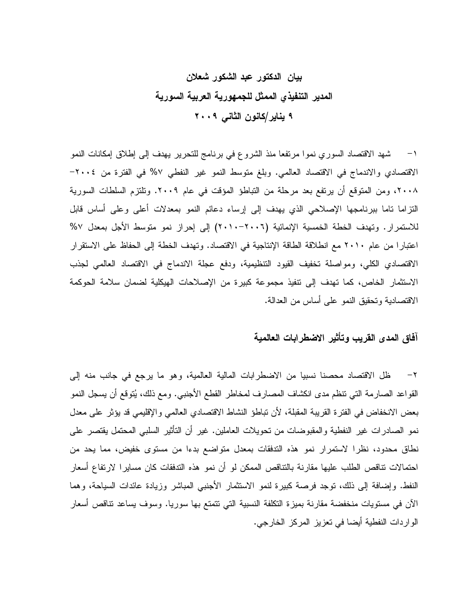# بيان الدكتور عبد الشكور شعلان المدير التنفيذي الممثل للجمهورية العربية السورية ۹ يناير/كانون الثاني ۲۰۰۹

١– شهد الاقتصاد السوري نموا مرتفعا منذ الشروع في برنامج للتحرير يهدف إلى إطلاق إمكانات النمو الاقتصادي والاندماج في الاقتصاد العالمي. وبلغ متوسط النمو غير النفطي ٧% في الفترة من ٢٠٠٤-٢٠٠٨، ومن المتوقع أن يرتفع بعد مرحلة من التباطؤ المؤقت في عام ٢٠٠٩. وتلتزم السلطات السورية النزاما ناما ببرنامجها الإصلاحي الذي يهدف إلى إرساء دعائم النمو بمعدلات أعلى وعلى أساس قابل للاستمرار . وتهدف الخطة الخمسية الإنمائية (٢٠٠٦-٢٠١٠) إلى إحراز نمو متوسط الأجل بمعدل ٥٧ اعتبارًا من عام ٢٠١٠ مع انطلاقة الطاقة الإنتاجية في الاقتصاد. وتهدف الخطة إلى الحفاظ على الاستقرار الاقتصادي الكلي، ومواصلة تخفيف القيود التنظيمية، ودفع عجلة الاندماج في الاقتصاد العالمي لجذب الاستثمار الخاص، كما تهدف إلى نتفيذ مجموعة كبيرة من الإصلاحات الهيكلية لضمان سلامة الحوكمة الاقتصادية وتحقيق النمو على أساس من العدالة.

### آفاق المدى القريب وتأثير الاضطرابات العالمية

ظل الاقتصاد محصنا نسبيا من الاضطرابات المالية العالمية، وهو ما يرجع في جانب منه إلى  $-7$ القواعد الصـارمة التـي نتظم مدى انكشاف المصـارف لمخاطر القطـع الأجنبـي. ومـع ذلك، يُتوقع أن يسجل النمو بعض الانخفاض في الفترة القريبة المقبلة، لأن تباطؤ النشاط الاقتصادي العالمي والإقليمي قد يؤثر على معدل نمو الصـادرات غير النفطية والمقبوضـات من تـحويلات الـعاملين. غير أن التأثير السلبـي المحتمل يقتصـر علـي نطاق محدود، نظرًا لاستمرار نمو هذه التدفقات بمعدل متواضع بدءًا من مستوى خفيض، مما يحد من احتمالات نتاقص الطلب عليها مقارنة بالنتاقص الممكن لو أن نمو هذه التدفقات كان مسايرا لارتفاع أسعار النفط. وإضافة إلى ذلك، نوجد فرصة كبيرة لنمو الاستثمار الأجنبي المباشر وزيادة عائدات السياحة، وهما الآن في مستويات منخفضة مقارنة بميزة التكلفة النسبية التي نتمتع بها سوريا. وسوف يساعد تناقص أسعار الواردات النفطية أيضا في تعزيز المركز الخارجي.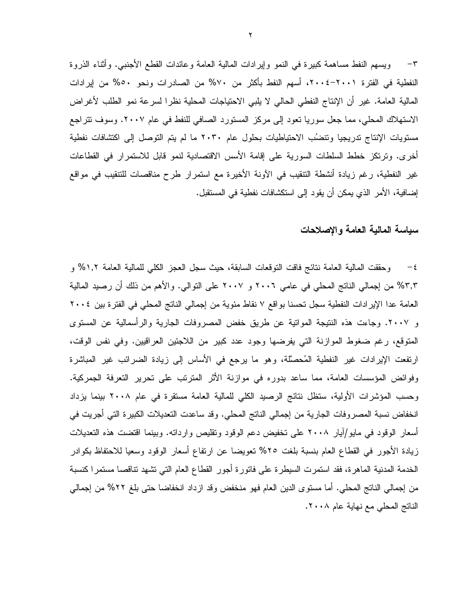٣– ويسهم النفط مساهمة كبيرة في النمو وإيرادات المالية العامة وعائدات القطع الأجنبي. وأثناء الذروة النفطية في الفترة ٢٠٠١–٢٠٠٤، أسهم النفط بأكثر من ٧٠% من الصادرات ونحو ٥٠% من إيرادات المالية العامة. غير أن الإنتاج النفطي الحالي لا يلبي الاحتياجات المحلية نظرا لسرعة نمو الطلب لأغراض الاستهلاك المحلي، مما جعل سوريا نعود إلى مركز المستورد الصافي للنفط في عام ٢٠٠٧. وسوف نتراجع مستويات الإنتاج تدريجيا وتنضُب الاحتياطيات بحلول عام ٢٠٣٠ ما لم يتم التوصل إلى اكتشافات نفطية أخرى. ونرنكز خطط السلطات السورية على إقامة الأسس الاقتصادية لنمو قابل للاستمرار في القطاعات غير النفطية، رغم زيادة أنشطة النتقيب في الأونة الأخيرة مع استمرار طرح مناقصات للتتقيب في مواقع إضـافية، الأمر الذي يمكن أن يقود إلى استكشافات نفطية في المستقبل.

### سباسة المالبة العامة والاصلاحات

وحقَّقت المالية العامة نتائج فاقت النَّوقعات السابقة، حيث سجل العجز الكلَّي للمالية العامة ١,٢% و  $-\epsilon$ ٣,٣% من إجمالي الناتج المحلي في عامي ٢٠٠٦ و ٢٠٠٧ علي التوالي. والأهم من ذلك أن رصيد المالية العامة عدا الإيرادات النفطية سجل تحسنا بواقع ٧ نقاط مئوية من إجمالي الناتج المحلي في الفترة بين ٢٠٠٤ و ٢٠٠٧. وجاءت هذه النتيجة المواتية عن طريق خفض المصروفات الجارية والرأسمالية عن المستوى المتوقع، رغم ضغوط الموازنة التي يفرضها وجود عدد كبير من اللاجئين العراقيين. وفي نفس الوقت، ارتفعت الإيرادات غير النفطية المُحصَّلة، وهو ما يرجع في الأساس إلى زيادة الضرائب غير المباشرة وفوائض المؤسسات العامة، مما ساعد بدوره في موازنة الأثر المترنب على تحرير التعرفة الجمركية. وحسب المؤشرات الأولية، ستظل نتائج الرصيد الكلي للمالية العامة مستقرة في عام ٢٠٠٨ بينما يزداد انخفاض نسبة المصروفات الجارية من إجمالي الناتج المحلي. وقد ساعدت التعديلات الكبيرة التي أجريت في أسعار الوقود في مايو/أبار ٢٠٠٨ على نخفيض دعم الوقود ونقليص واردانه. وبينما اقتضت هذه النعديلات زيادة الأجور في القطاع العام بنسبة بلغت ٢٥% نعويضا عن ارتفاع أسعار الوقود وسعيا للاحتفاظ بكوادر الخدمة المدنية الماهرة، فقد استمرت السيطرة على فاتورة أجور القطاع العام التي تشهد تناقصا مستمرا كنسبة من إجمالي الناتج المحلي. أما مستوى الدين العام فهو منخفض وقد ازداد انخفاضا حتى بلغ ٢٢% من إجمالي الناتج المحلي مع نهاية عام ٢٠٠٨.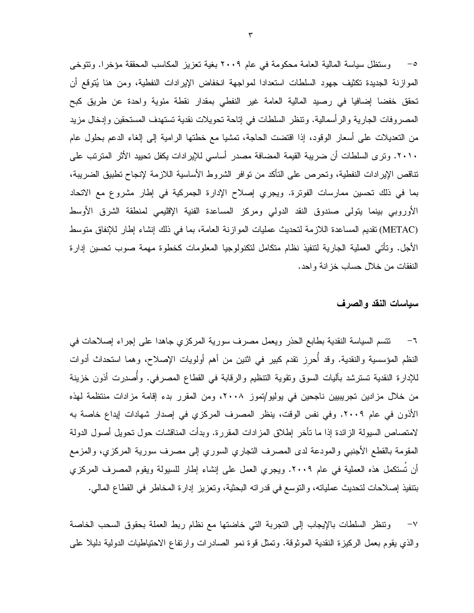o− وستظل سياسة المالية العامة محكومة في عام ٢٠٠٩ بغية تعزيز المكاسب المحققة مؤخرا. وتتوخى الموازنة الجديدة تكثيف جهود السلطات استعدادا لمواجهة انخفاض الإيرادات النفطية، ومن هنا يُتوقع أن تحقق خفضا إضافيا في رصيد المالية العامة غير النفطي بمقدار نقطة مئوية واحدة عن طريق كبح المصروفات الجارية والرأسمالية. ونتظر السلطات في إناحة تحويلات نقدية تستهدف المستحقين وإدخال مزيد من التعديلات على أسعار الوقود، إذا اقتضت الحاجة، تمشيا مع خطتها الرامية إلى إلغاء الدعم بحلول عام ٢٠١٠. وترى السلطات أن ضريبة القيمة المضافة مصدر أساسي للإيرادات يكفل تحييد الأثر المترتب على تناقص الإيرادات النفطية، وتحرص على التأكد من نوافر الشروط الأساسية اللازمة لإنجاح تطبيق الضريبة، بما في ذلك تحسين ممارسات الفوترة. ويجري إصلاح الإدارة الجمركية في إطار مشروع مع الاتحاد الأوروبي بينما يتولى صندوق النقد الدولي ومركز المساعدة الفنية الإقليمي لمنطقة الشرق الأوسط (METAC) تقديم المساعدة اللازمة لتحديث عمليات الموازنة العامة، بما في ذلك إنشاء إطار للإنفاق متوسط الأجل. وتأتي العملية الجارية لتتفيذ نظام متكامل لتكنولوجيا المعلومات كخطوة مهمة صوب تحسين إدارة النفقات من خلال حساب خزانة واحد.

#### سياسات النقد والصرف

٦– تتسم السياسة النقدية بطابع الحذر ويعمل مصرف سورية المركزي جاهدا على إجراء إصلاحات في النظم المؤسسية والنقدية. وقد أحرز نقدم كبير في اثنين من أهم أولويات الإصلاح، وهما استحداث أدوات للإدارة النقدية تسترشد بآليات السوق وتقوية التنظيم والرقابة في القطاع المصرفي. وأصدرت أذون خزينة من خلال مزادين تجريبيين ناجحين في يوليو/تموز ٢٠٠٨، ومن المقرر بدء إقامة مزادات منتظمة لهذه الأذون في عام ٢٠٠٩. وفي نفس الوقت، ينظر المصرف المركزي في إصدار شهادات إيداع خاصة به لامتصاص السيولة الزائدة إذا ما تأخر إطلاق المزادات المقررة. وبدأت المناقشات حول تحويل أصول الدولة المقومة بالقطع الأجنبي والمودعة لدى المصرف النجاري السوري إلى مصرف سورية المركزي، والمزمع أن تُستكمل هذه العملية في عام ٢٠٠٩. ويجري العمل على إنشاء إطار للسيولة ويقوم المصرف المركزي بتنفيذ إصلاحات لتحديث عملياته، والتوسع في قدراته البحثية، وتعزيز إدارة المخاطر في القطاع المالي.

ونتظر السلطات بالإيجاب إلى النجربة التي خاضتها مع نظام ربط العملة بحقوق السحب الخاصة  $-\vee$ والذي يقوم بعمل الركيزة النقدية الموثوقة. وتمثل قوة نمو الصادرات وارتفاع الاحتياطيات الدولية دليلا على